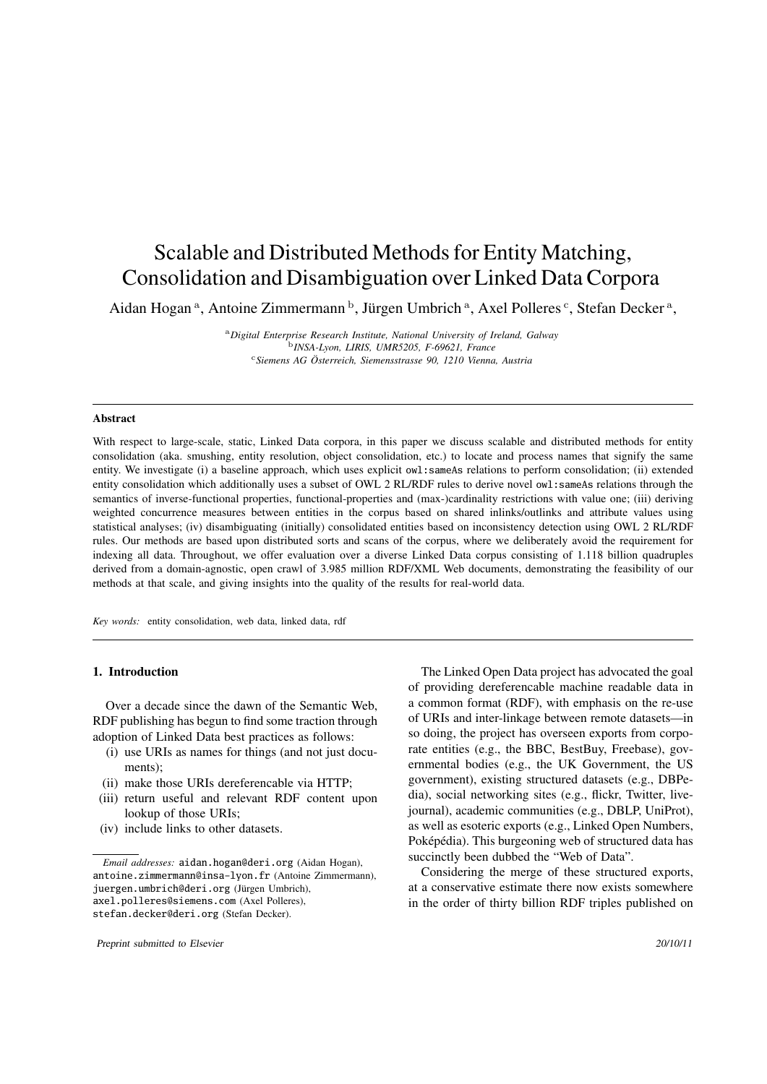# Scalable and Distributed Methods for Entity Matching, Consolidation and Disambiguation over Linked Data Corpora

Aidan Hogan<sup>a</sup>, Antoine Zimmermann<sup>b</sup>, Jürgen Umbrich<sup>a</sup>, Axel Polleres<sup>c</sup>, Stefan Decker<sup>a</sup>,

<sup>a</sup>*Digital Enterprise Research Institute, National University of Ireland, Galway* <sup>b</sup>*INSA-Lyon, LIRIS, UMR5205, F-69621, France* <sup>c</sup>*Siemens AG Österreich, Siemensstrasse 90, 1210 Vienna, Austria*

#### Abstract

With respect to large-scale, static, Linked Data corpora, in this paper we discuss scalable and distributed methods for entity consolidation (aka. smushing, entity resolution, object consolidation, etc.) to locate and process names that signify the same entity. We investigate (i) a baseline approach, which uses explicit owl: sameAs relations to perform consolidation; (ii) extended entity consolidation which additionally uses a subset of OWL 2 RL/RDF rules to derive novel owl:sameAs relations through the semantics of inverse-functional properties, functional-properties and (max-)cardinality restrictions with value one; (iii) deriving weighted concurrence measures between entities in the corpus based on shared inlinks/outlinks and attribute values using statistical analyses; (iv) disambiguating (initially) consolidated entities based on inconsistency detection using OWL 2 RL/RDF rules. Our methods are based upon distributed sorts and scans of the corpus, where we deliberately avoid the requirement for indexing all data. Throughout, we offer evaluation over a diverse Linked Data corpus consisting of 1.118 billion quadruples derived from a domain-agnostic, open crawl of 3.985 million RDF/XML Web documents, demonstrating the feasibility of our methods at that scale, and giving insights into the quality of the results for real-world data.

*Key words:* entity consolidation, web data, linked data, rdf

# 1. Introduction

Over a decade since the dawn of the Semantic Web, RDF publishing has begun to find some traction through adoption of Linked Data best practices as follows:

- (i) use URIs as names for things (and not just documents);
- (ii) make those URIs dereferencable via HTTP;
- (iii) return useful and relevant RDF content upon lookup of those URIs;
- (iv) include links to other datasets.

The Linked Open Data project has advocated the goal of providing dereferencable machine readable data in a common format (RDF), with emphasis on the re-use of URIs and inter-linkage between remote datasets—in so doing, the project has overseen exports from corporate entities (e.g., the BBC, BestBuy, Freebase), governmental bodies (e.g., the UK Government, the US government), existing structured datasets (e.g., DBPedia), social networking sites (e.g., flickr, Twitter, livejournal), academic communities (e.g., DBLP, UniProt), as well as esoteric exports (e.g., Linked Open Numbers, Poképédia). This burgeoning web of structured data has succinctly been dubbed the "Web of Data".

Considering the merge of these structured exports, at a conservative estimate there now exists somewhere in the order of thirty billion RDF triples published on

Preprint submitted to Elsevier 20/10/11

*Email addresses:* aidan.hogan@deri.org (Aidan Hogan), antoine.zimmermann@insa-lyon.fr (Antoine Zimmermann), juergen.umbrich@deri.org (Jürgen Umbrich), axel.polleres@siemens.com (Axel Polleres), stefan.decker@deri.org (Stefan Decker).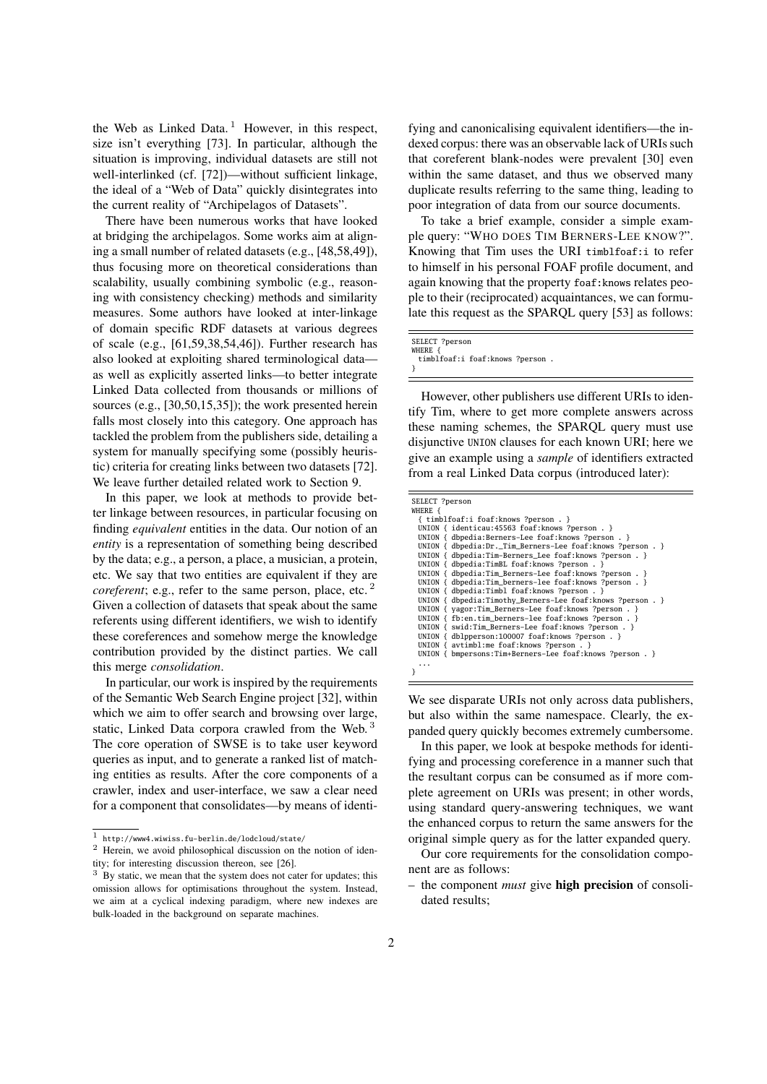the Web as Linked Data. $1$  However, in this respect, size isn't everything [73]. In particular, although the situation is improving, individual datasets are still not well-interlinked (cf. [72])—without sufficient linkage, the ideal of a "Web of Data" quickly disintegrates into the current reality of "Archipelagos of Datasets".

There have been numerous works that have looked at bridging the archipelagos. Some works aim at aligning a small number of related datasets (e.g., [48,58,49]), thus focusing more on theoretical considerations than scalability, usually combining symbolic (e.g., reasoning with consistency checking) methods and similarity measures. Some authors have looked at inter-linkage of domain specific RDF datasets at various degrees of scale (e.g., [61,59,38,54,46]). Further research has also looked at exploiting shared terminological data as well as explicitly asserted links—to better integrate Linked Data collected from thousands or millions of sources (e.g., [30,50,15,35]); the work presented herein falls most closely into this category. One approach has tackled the problem from the publishers side, detailing a system for manually specifying some (possibly heuristic) criteria for creating links between two datasets [72]. We leave further detailed related work to Section 9.

In this paper, we look at methods to provide better linkage between resources, in particular focusing on finding *equivalent* entities in the data. Our notion of an *entity* is a representation of something being described by the data; e.g., a person, a place, a musician, a protein, etc. We say that two entities are equivalent if they are *coreferent*; e.g., refer to the same person, place, etc. <sup>2</sup> Given a collection of datasets that speak about the same referents using different identifiers, we wish to identify these coreferences and somehow merge the knowledge contribution provided by the distinct parties. We call this merge *consolidation*.

In particular, our work is inspired by the requirements of the Semantic Web Search Engine project [32], within which we aim to offer search and browsing over large, static, Linked Data corpora crawled from the Web. <sup>3</sup> The core operation of SWSE is to take user keyword queries as input, and to generate a ranked list of matching entities as results. After the core components of a crawler, index and user-interface, we saw a clear need for a component that consolidates—by means of identifying and canonicalising equivalent identifiers—the indexed corpus: there was an observable lack of URIs such that coreferent blank-nodes were prevalent [30] even within the same dataset, and thus we observed many duplicate results referring to the same thing, leading to poor integration of data from our source documents.

To take a brief example, consider a simple example query: "WHO DOES TIM BERNERS-LEE KNOW?". Knowing that Tim uses the URI timblfoaf:i to refer to himself in his personal FOAF profile document, and again knowing that the property foaf:knows relates people to their (reciprocated) acquaintances, we can formulate this request as the SPARQL query [53] as follows:

```
SELECT ?person
WHERE {
```
timblfoaf:i foaf:knows ?person . }

However, other publishers use different URIs to identify Tim, where to get more complete answers across these naming schemes, the SPARQL query must use disjunctive UNION clauses for each known URI; here we give an example using a *sample* of identifiers extracted from a real Linked Data corpus (introduced later):

| SELECT ?person                                                 |
|----------------------------------------------------------------|
| WHERE {                                                        |
| { timblfoaf:i foaf:knows ?person . }                           |
| UNION { identicau: 45563 foaf: knows ? person . }              |
| UNION { dbpedia:Berners-Lee foaf:knows ?person . }             |
| UNION { $dbpedia:Dr._$ Tim_Berners-Lee foaf: knows ?person . } |
| UNION { dbpedia:Tim-Berners_Lee foaf:knows ?person . }         |
| UNION { dbpedia:TimBL foaf:knows ?person . }                   |
| UNION { dbpedia:Tim_Berners-Lee foaf:knows ?person . }         |
| UNION { dbpedia:Tim_berners-lee foaf:knows ?person . }         |
| UNION { dbpedia:Timbl foaf:knows ?person . }                   |
| UNION { $dbpedia:Timothy_Berners-Lee$ $foaf:knows$ ?person . } |
| UNION { vagor:Tim_Berners-Lee foaf:knows ?person . }           |
| UNION { fb:en.tim_berners-lee foaf:knows ?person . }           |
| UNION { swid:Tim_Berners-Lee foaf:knows ?person . }            |
| UNION { $db1$ pperson:100007 foaf:knows ?person . }            |
| UNION { $avtimbl: me foaf: knows ?person. \}$                  |
| UNION { bmpersons: Tim+Berners-Lee foaf: knows ?person . }     |
|                                                                |

We see disparate URIs not only across data publishers, but also within the same namespace. Clearly, the expanded query quickly becomes extremely cumbersome.

In this paper, we look at bespoke methods for identifying and processing coreference in a manner such that the resultant corpus can be consumed as if more complete agreement on URIs was present; in other words, using standard query-answering techniques, we want the enhanced corpus to return the same answers for the original simple query as for the latter expanded query.

Our core requirements for the consolidation component are as follows:

– the component *must* give high precision of consolidated results;

}

<sup>1</sup> http://www4.wiwiss.fu-berlin.de/lodcloud/state/

<sup>2</sup> Herein, we avoid philosophical discussion on the notion of identity; for interesting discussion thereon, see [26].

<sup>&</sup>lt;sup>3</sup> By static, we mean that the system does not cater for updates; this omission allows for optimisations throughout the system. Instead, we aim at a cyclical indexing paradigm, where new indexes are bulk-loaded in the background on separate machines.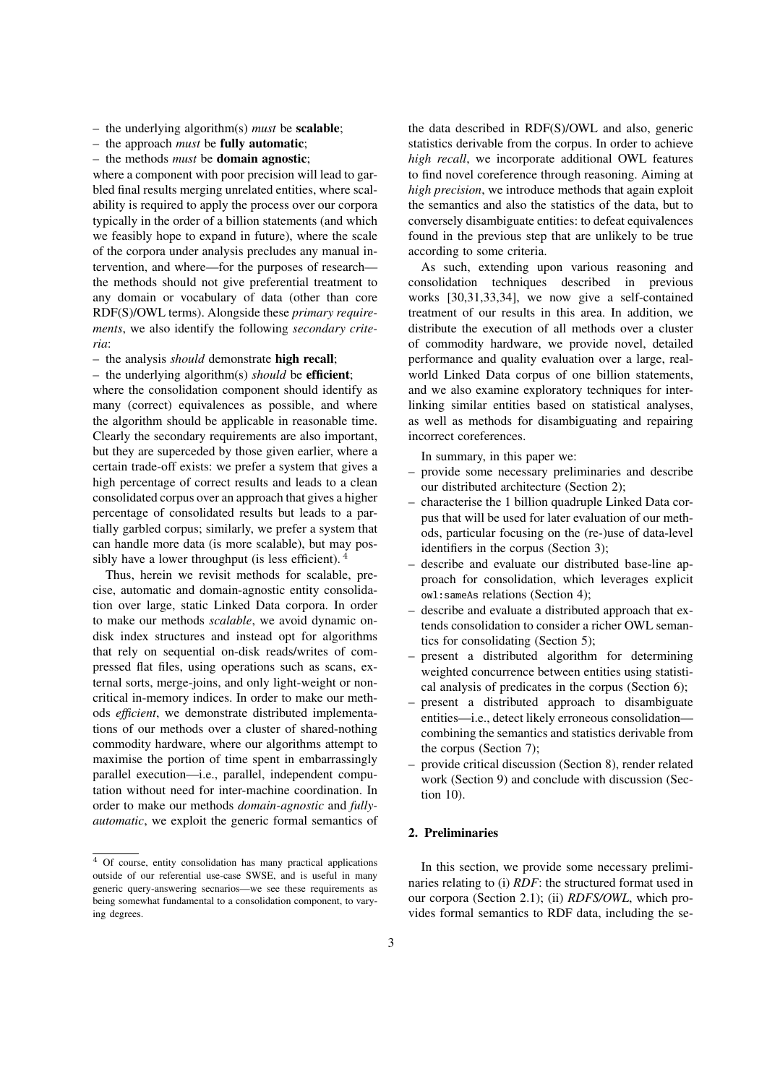- the underlying algorithm(s) *must* be scalable;
- the approach *must* be fully automatic;
- the methods *must* be domain agnostic;

where a component with poor precision will lead to garbled final results merging unrelated entities, where scalability is required to apply the process over our corpora typically in the order of a billion statements (and which we feasibly hope to expand in future), where the scale of the corpora under analysis precludes any manual intervention, and where—for the purposes of research the methods should not give preferential treatment to any domain or vocabulary of data (other than core RDF(S)/OWL terms). Alongside these *primary requirements*, we also identify the following *secondary criteria*:

– the analysis *should* demonstrate high recall;

– the underlying algorithm(s) *should* be efficient;

where the consolidation component should identify as many (correct) equivalences as possible, and where the algorithm should be applicable in reasonable time. Clearly the secondary requirements are also important, but they are superceded by those given earlier, where a certain trade-off exists: we prefer a system that gives a high percentage of correct results and leads to a clean consolidated corpus over an approach that gives a higher percentage of consolidated results but leads to a partially garbled corpus; similarly, we prefer a system that can handle more data (is more scalable), but may possibly have a lower throughput (is less efficient).  $4$ 

Thus, herein we revisit methods for scalable, precise, automatic and domain-agnostic entity consolidation over large, static Linked Data corpora. In order to make our methods *scalable*, we avoid dynamic ondisk index structures and instead opt for algorithms that rely on sequential on-disk reads/writes of compressed flat files, using operations such as scans, external sorts, merge-joins, and only light-weight or noncritical in-memory indices. In order to make our methods *efficient*, we demonstrate distributed implementations of our methods over a cluster of shared-nothing commodity hardware, where our algorithms attempt to maximise the portion of time spent in embarrassingly parallel execution—i.e., parallel, independent computation without need for inter-machine coordination. In order to make our methods *domain-agnostic* and *fullyautomatic*, we exploit the generic formal semantics of the data described in RDF(S)/OWL and also, generic statistics derivable from the corpus. In order to achieve *high recall*, we incorporate additional OWL features to find novel coreference through reasoning. Aiming at *high precision*, we introduce methods that again exploit the semantics and also the statistics of the data, but to conversely disambiguate entities: to defeat equivalences found in the previous step that are unlikely to be true according to some criteria.

As such, extending upon various reasoning and consolidation techniques described in previous works [30,31,33,34], we now give a self-contained treatment of our results in this area. In addition, we distribute the execution of all methods over a cluster of commodity hardware, we provide novel, detailed performance and quality evaluation over a large, realworld Linked Data corpus of one billion statements, and we also examine exploratory techniques for interlinking similar entities based on statistical analyses, as well as methods for disambiguating and repairing incorrect coreferences.

In summary, in this paper we:

- provide some necessary preliminaries and describe our distributed architecture (Section 2);
- characterise the 1 billion quadruple Linked Data corpus that will be used for later evaluation of our methods, particular focusing on the (re-)use of data-level identifiers in the corpus (Section 3);
- describe and evaluate our distributed base-line approach for consolidation, which leverages explicit owl:sameAs relations (Section 4);
- describe and evaluate a distributed approach that extends consolidation to consider a richer OWL semantics for consolidating (Section 5);
- present a distributed algorithm for determining weighted concurrence between entities using statistical analysis of predicates in the corpus (Section 6);
- present a distributed approach to disambiguate entities—i.e., detect likely erroneous consolidation combining the semantics and statistics derivable from the corpus (Section 7);
- provide critical discussion (Section 8), render related work (Section 9) and conclude with discussion (Section 10).

# 2. Preliminaries

In this section, we provide some necessary preliminaries relating to (i) *RDF*: the structured format used in our corpora (Section 2.1); (ii) *RDFS/OWL*, which provides formal semantics to RDF data, including the se-

<sup>4</sup> Of course, entity consolidation has many practical applications outside of our referential use-case SWSE, and is useful in many generic query-answering secnarios—we see these requirements as being somewhat fundamental to a consolidation component, to varying degrees.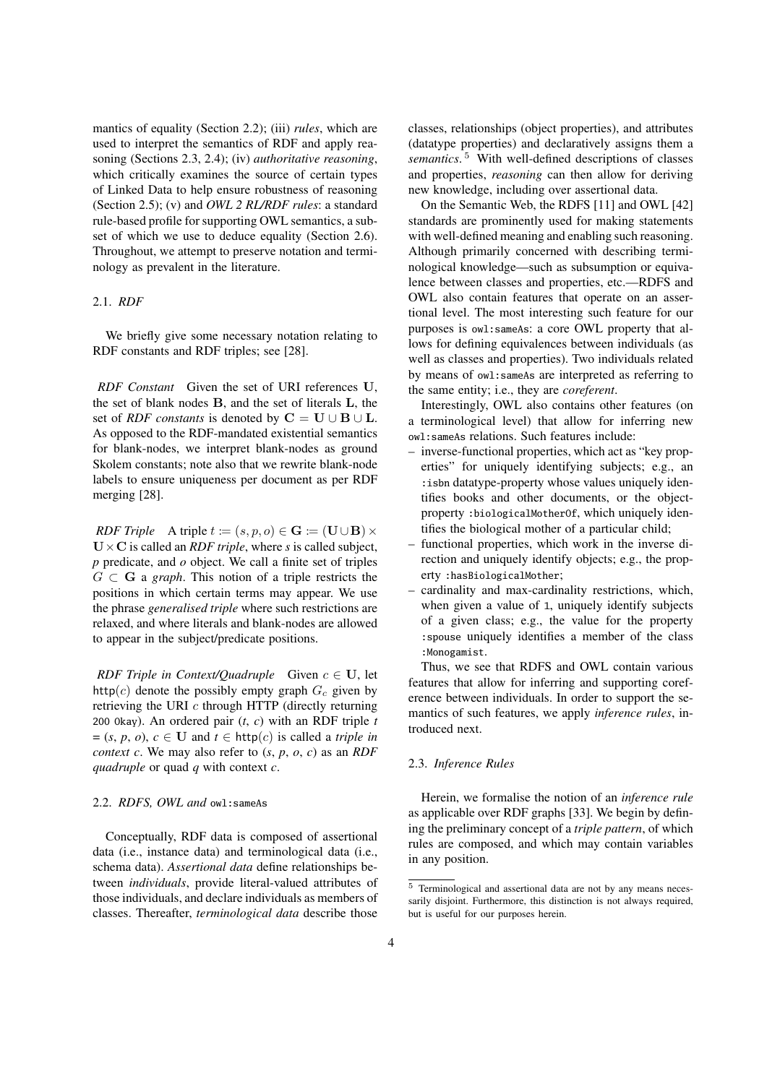mantics of equality (Section 2.2); (iii) *rules*, which are used to interpret the semantics of RDF and apply reasoning (Sections 2.3, 2.4); (iv) *authoritative reasoning*, which critically examines the source of certain types of Linked Data to help ensure robustness of reasoning (Section 2.5); (v) and *OWL 2 RL/RDF rules*: a standard rule-based profile for supporting OWL semantics, a subset of which we use to deduce equality (Section 2.6). Throughout, we attempt to preserve notation and terminology as prevalent in the literature.

# 2.1. *RDF*

We briefly give some necessary notation relating to RDF constants and RDF triples; see [28].

*RDF Constant* Given the set of URI references U, the set of blank nodes B, and the set of literals L, the set of *RDF constants* is denoted by  $C = U \cup B \cup L$ . As opposed to the RDF-mandated existential semantics for blank-nodes, we interpret blank-nodes as ground Skolem constants; note also that we rewrite blank-node labels to ensure uniqueness per document as per RDF merging [28].

*RDF Triple* A triple  $t := (s, p, o) \in \mathbf{G} := (\mathbf{U} \cup \mathbf{B}) \times$  $U \times C$  is called an *RDF triple*, where *s* is called subject, *p* predicate, and *o* object. We call a finite set of triples  $G \subset \mathbf{G}$  a *graph*. This notion of a triple restricts the positions in which certain terms may appear. We use the phrase *generalised triple* where such restrictions are relaxed, and where literals and blank-nodes are allowed to appear in the subject/predicate positions.

*RDF Triple in Context/Quadruple* Given  $c \in U$ , let http $(c)$  denote the possibly empty graph  $G_c$  given by retrieving the URI c through HTTP (directly returning 200 Okay). An ordered pair (*t*, *c*) with an RDF triple *t*  $=(s, p, o), c \in U$  and  $t \in \text{http}(c)$  is called a *triple in context c*. We may also refer to (*s*, *p*, *o*, *c*) as an *RDF quadruple* or quad *q* with context *c*.

# 2.2. *RDFS, OWL and* owl:sameAs

Conceptually, RDF data is composed of assertional data (i.e., instance data) and terminological data (i.e., schema data). *Assertional data* define relationships between *individuals*, provide literal-valued attributes of those individuals, and declare individuals as members of classes. Thereafter, *terminological data* describe those classes, relationships (object properties), and attributes (datatype properties) and declaratively assigns them a *semantics*. <sup>5</sup> With well-defined descriptions of classes and properties, *reasoning* can then allow for deriving new knowledge, including over assertional data.

On the Semantic Web, the RDFS [11] and OWL [42] standards are prominently used for making statements with well-defined meaning and enabling such reasoning. Although primarily concerned with describing terminological knowledge—such as subsumption or equivalence between classes and properties, etc.—RDFS and OWL also contain features that operate on an assertional level. The most interesting such feature for our purposes is owl:sameAs: a core OWL property that allows for defining equivalences between individuals (as well as classes and properties). Two individuals related by means of owl:sameAs are interpreted as referring to the same entity; i.e., they are *coreferent*.

Interestingly, OWL also contains other features (on a terminological level) that allow for inferring new owl:sameAs relations. Such features include:

- inverse-functional properties, which act as "key properties" for uniquely identifying subjects; e.g., an :isbn datatype-property whose values uniquely identifies books and other documents, or the objectproperty :biologicalMotherOf, which uniquely identifies the biological mother of a particular child;
- functional properties, which work in the inverse direction and uniquely identify objects; e.g., the property :hasBiologicalMother;
- cardinality and max-cardinality restrictions, which, when given a value of 1, uniquely identify subjects of a given class; e.g., the value for the property :spouse uniquely identifies a member of the class :Monogamist.

Thus, we see that RDFS and OWL contain various features that allow for inferring and supporting coreference between individuals. In order to support the semantics of such features, we apply *inference rules*, introduced next.

#### 2.3. *Inference Rules*

Herein, we formalise the notion of an *inference rule* as applicable over RDF graphs [33]. We begin by defining the preliminary concept of a *triple pattern*, of which rules are composed, and which may contain variables in any position.

<sup>5</sup> Terminological and assertional data are not by any means necessarily disjoint. Furthermore, this distinction is not always required, but is useful for our purposes herein.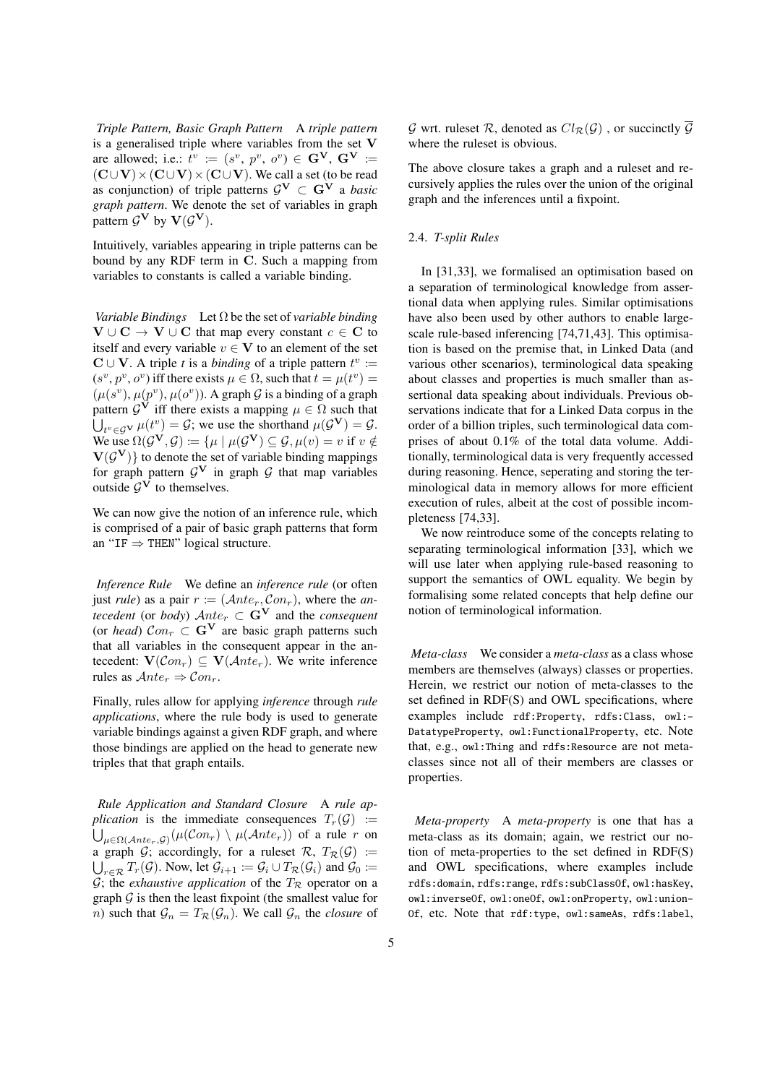*Triple Pattern, Basic Graph Pattern* A *triple pattern* is a generalised triple where variables from the set V are allowed; i.e.:  $t^v := (s^v, p^v, o^v) \in \mathbf{G}^{\mathbf{V}}, \mathbf{G}^{\mathbf{V}} :=$  $(C\cup V)\times (C\cup V)\times (C\cup V)$ . We call a set (to be read as conjunction) of triple patterns  $\mathcal{G}^{\mathbf{V}} \subset \mathbf{G}^{\mathbf{V}}$  a *basic graph pattern*. We denote the set of variables in graph pattern  $\mathcal{G}^{\mathbf{V}}$  by  $\mathbf{V}(\mathcal{G}^{\mathbf{V}})$ .

Intuitively, variables appearing in triple patterns can be bound by any RDF term in C. Such a mapping from variables to constants is called a variable binding.

*Variable Bindings* Let Ω be the set of *variable binding*  $V \cup C \rightarrow V \cup C$  that map every constant  $c \in C$  to itself and every variable  $v \in V$  to an element of the set  $C \cup V$ . A triple *t* is a *binding* of a triple pattern  $t^v :=$  $(s^v, p^v, o^v)$  iff there exists  $\mu \in \Omega$ , such that  $t = \mu(t^v) =$  $(\mu(s^v), \mu(p^v), \mu(o^v))$ . A graph G is a binding of a graph pattern  $\mathcal{G}^{\mathbf{V}}$  iff there exists a mapping  $\mu \in \Omega$  such that  $\bigcup_{t^v \in \mathcal{G}^{\mathbf{V}}} \mu(t^v) = \mathcal{G}$ ; we use the shorthand  $\mu(\mathcal{G}^{\mathbf{V}}) = \mathcal{G}$ . We use  $\Omega(\mathcal{G}^{\mathbf{V}}, \mathcal{G}) := \{ \mu \mid \mu(\mathcal{G}^{\mathbf{V}}) \subseteq \mathcal{G}, \mu(v) = v \text{ if } v \notin \mathcal{G} \}$  $V(G<sup>V</sup>)$ } to denote the set of variable binding mappings for graph pattern  $\mathcal{G}^{\mathbf{V}}$  in graph  $\mathcal G$  that map variables outside  $\mathcal{G}^{\mathbf{V}}$  to themselves.

We can now give the notion of an inference rule, which is comprised of a pair of basic graph patterns that form an "IF  $\Rightarrow$  THEN" logical structure.

*Inference Rule* We define an *inference rule* (or often just *rule*) as a pair  $r := (Ante_r, Con_r)$ , where the *antecedent* (or *body*)  $\mathcal{A}nte_r \subset \mathbf{G}^{\mathbf{V}}$  and the *consequent* (or *head*)  $Con_r \,\subset \, \mathbf{G}^{\mathbf{V}}$  are basic graph patterns such that all variables in the consequent appear in the antecedent:  $\mathbf{V}(\mathcal{C}on_r) \subseteq \mathbf{V}(\mathcal{A}nte_r)$ . We write inference rules as  $Ante_r \Rightarrow Con_r$ .

Finally, rules allow for applying *inference* through *rule applications*, where the rule body is used to generate variable bindings against a given RDF graph, and where those bindings are applied on the head to generate new triples that that graph entails.

*Rule Application and Standard Closure* A *rule application* is the immediate consequences  $T_r(\mathcal{G})$  :=  $\bigcup_{\mu \in \Omega(\mathcal{A}nte_r,\mathcal{G})}(\mu(\mathcal{C}on_r)\setminus \mu(\mathcal{A}nte_r))$  of a rule  $r$  on a graph G; accordingly, for a ruleset R,  $T_{\mathcal{R}}(G) :=$  $\bigcup_{r \in \mathcal{R}} T_r(\mathcal{G})$ . Now, let  $\mathcal{G}_{i+1} := \mathcal{G}_i \cup T_{\mathcal{R}}(\mathcal{G}_i)$  and  $\mathcal{G}_0 :=$ G; the *exhaustive application* of the  $T_R$  operator on a graph  $G$  is then the least fixpoint (the smallest value for *n*) such that  $\mathcal{G}_n = T_{\mathcal{R}}(\mathcal{G}_n)$ . We call  $\mathcal{G}_n$  the *closure* of  $\mathcal G$  wrt. ruleset  $\mathcal R$ , denoted as  $Cl_{\mathcal R}(\mathcal G)$ , or succinctly  $\overline{\mathcal G}$ where the ruleset is obvious.

The above closure takes a graph and a ruleset and recursively applies the rules over the union of the original graph and the inferences until a fixpoint.

# 2.4. *T-split Rules*

In [31,33], we formalised an optimisation based on a separation of terminological knowledge from assertional data when applying rules. Similar optimisations have also been used by other authors to enable largescale rule-based inferencing [74,71,43]. This optimisation is based on the premise that, in Linked Data (and various other scenarios), terminological data speaking about classes and properties is much smaller than assertional data speaking about individuals. Previous observations indicate that for a Linked Data corpus in the order of a billion triples, such terminological data comprises of about 0.1% of the total data volume. Additionally, terminological data is very frequently accessed during reasoning. Hence, seperating and storing the terminological data in memory allows for more efficient execution of rules, albeit at the cost of possible incompleteness [74,33].

We now reintroduce some of the concepts relating to separating terminological information [33], which we will use later when applying rule-based reasoning to support the semantics of OWL equality. We begin by formalising some related concepts that help define our notion of terminological information.

*Meta-class* We consider a *meta-class* as a class whose members are themselves (always) classes or properties. Herein, we restrict our notion of meta-classes to the set defined in RDF(S) and OWL specifications, where examples include rdf:Property, rdfs:Class, owl:- DatatypeProperty, owl:FunctionalProperty, etc. Note that, e.g., owl:Thing and rdfs:Resource are not metaclasses since not all of their members are classes or properties.

*Meta-property* A *meta-property* is one that has a meta-class as its domain; again, we restrict our notion of meta-properties to the set defined in RDF(S) and OWL specifications, where examples include rdfs:domain, rdfs:range, rdfs:subClassOf, owl:hasKey, owl:inverseOf, owl:oneOf, owl:onProperty, owl:union-Of, etc. Note that rdf:type, owl:sameAs, rdfs:label,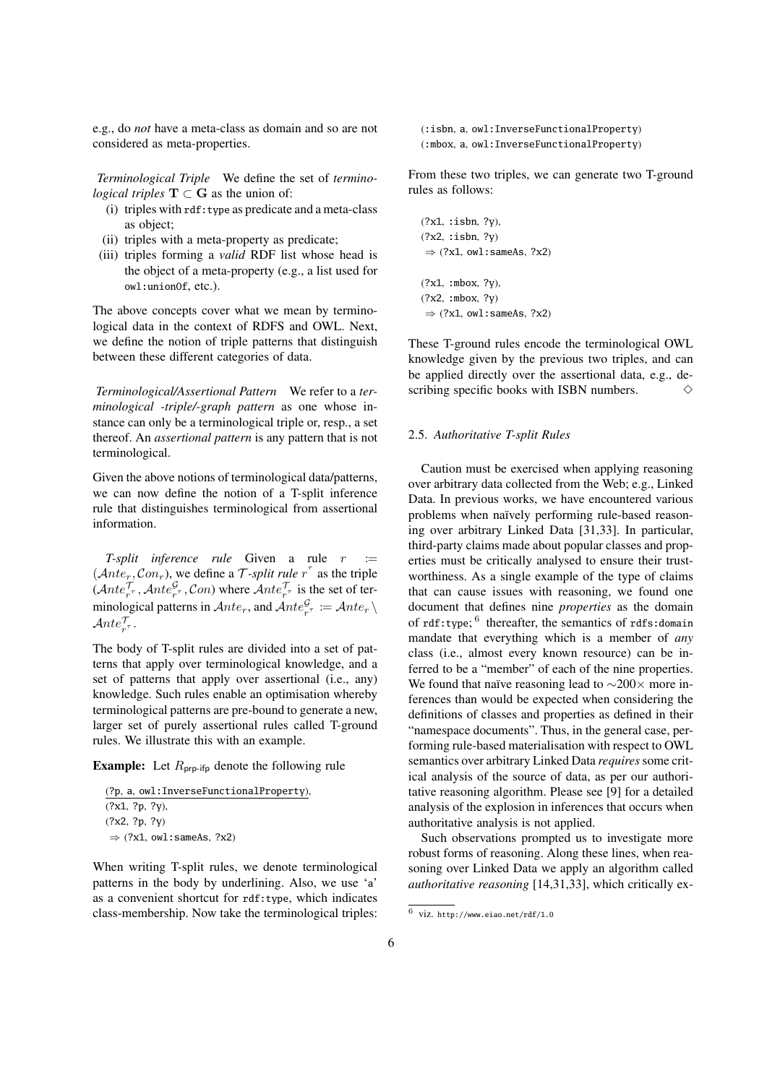e.g., do *not* have a meta-class as domain and so are not considered as meta-properties.

*Terminological Triple* We define the set of *terminological triples*  $T \subset G$  as the union of:

- (i) triples with rdf:type as predicate and a meta-class as object;
- (ii) triples with a meta-property as predicate;
- (iii) triples forming a *valid* RDF list whose head is the object of a meta-property (e.g., a list used for owl:unionOf, etc.).

The above concepts cover what we mean by terminological data in the context of RDFS and OWL. Next, we define the notion of triple patterns that distinguish between these different categories of data.

*Terminological/Assertional Pattern* We refer to a *terminological -triple/-graph pattern* as one whose instance can only be a terminological triple or, resp., a set thereof. An *assertional pattern* is any pattern that is not terminological.

Given the above notions of terminological data/patterns, we can now define the notion of a T-split inference rule that distinguishes terminological from assertional information.

*T-split inference rule* Given a rule r  $(Ante<sub>r</sub>, Con<sub>r</sub>)$ , we define a T-split rule r<sup>\*</sup> as the triple  $(Ante_{r^{\tau}}^{\mathcal{T}}, Ante_{r^{\tau}}^{\mathcal{G}}, \mathcal{C}on)$  where  $Ante_{r^{\tau}}^{\mathcal{T}}$  is the set of terminological patterns in  $\mathcal{A}nte_r$ , and  $\mathcal{A}nte_r^{\mathcal{G}}_r := \mathcal{A}nte_r \setminus$  $\mathcal{A}nte_{r^{\tau}}^{\mathcal{T}}.$ 

The body of T-split rules are divided into a set of patterns that apply over terminological knowledge, and a set of patterns that apply over assertional (i.e., any) knowledge. Such rules enable an optimisation whereby terminological patterns are pre-bound to generate a new, larger set of purely assertional rules called T-ground rules. We illustrate this with an example.

**Example:** Let  $R_{\text{prop-ifp}}$  denote the following rule

```
(?p, a, owl:InverseFunctionalProperty),
(?x1, ?p, ?y),
(?x2, ?p, ?y)
 \Rightarrow (?x1, owl:sameAs, ?x2)
```
When writing T-split rules, we denote terminological patterns in the body by underlining. Also, we use 'a' as a convenient shortcut for rdf:type, which indicates class-membership. Now take the terminological triples: (:isbn, a, owl:InverseFunctionalProperty) (:mbox, a, owl:InverseFunctionalProperty)

From these two triples, we can generate two T-ground rules as follows:

```
(?x1, :isbn, ?y),
(?x2, :isbn, ?y)
\Rightarrow (?x1, owl:sameAs, ?x2)
(?x1, :mbox, ?y),
(?x2, :mbox, ?y)
\Rightarrow (?x1, owl:sameAs, ?x2)
```
These T-ground rules encode the terminological OWL knowledge given by the previous two triples, and can be applied directly over the assertional data, e.g., describing specific books with ISBN numbers.

#### 2.5. *Authoritative T-split Rules*

Caution must be exercised when applying reasoning over arbitrary data collected from the Web; e.g., Linked Data. In previous works, we have encountered various problems when naïvely performing rule-based reasoning over arbitrary Linked Data [31,33]. In particular, third-party claims made about popular classes and properties must be critically analysed to ensure their trustworthiness. As a single example of the type of claims that can cause issues with reasoning, we found one document that defines nine *properties* as the domain of rdf:type;<sup>6</sup> thereafter, the semantics of rdfs:domain mandate that everything which is a member of *any* class (i.e., almost every known resource) can be inferred to be a "member" of each of the nine properties. We found that naïve reasoning lead to ∼200× more inferences than would be expected when considering the definitions of classes and properties as defined in their "namespace documents". Thus, in the general case, performing rule-based materialisation with respect to OWL semantics over arbitrary Linked Data *requires* some critical analysis of the source of data, as per our authoritative reasoning algorithm. Please see [9] for a detailed analysis of the explosion in inferences that occurs when authoritative analysis is not applied.

Such observations prompted us to investigate more robust forms of reasoning. Along these lines, when reasoning over Linked Data we apply an algorithm called *authoritative reasoning* [14,31,33], which critically ex-

 $\overline{6 \text{ viz. http://www.eiao.net/rdf/1.0}}$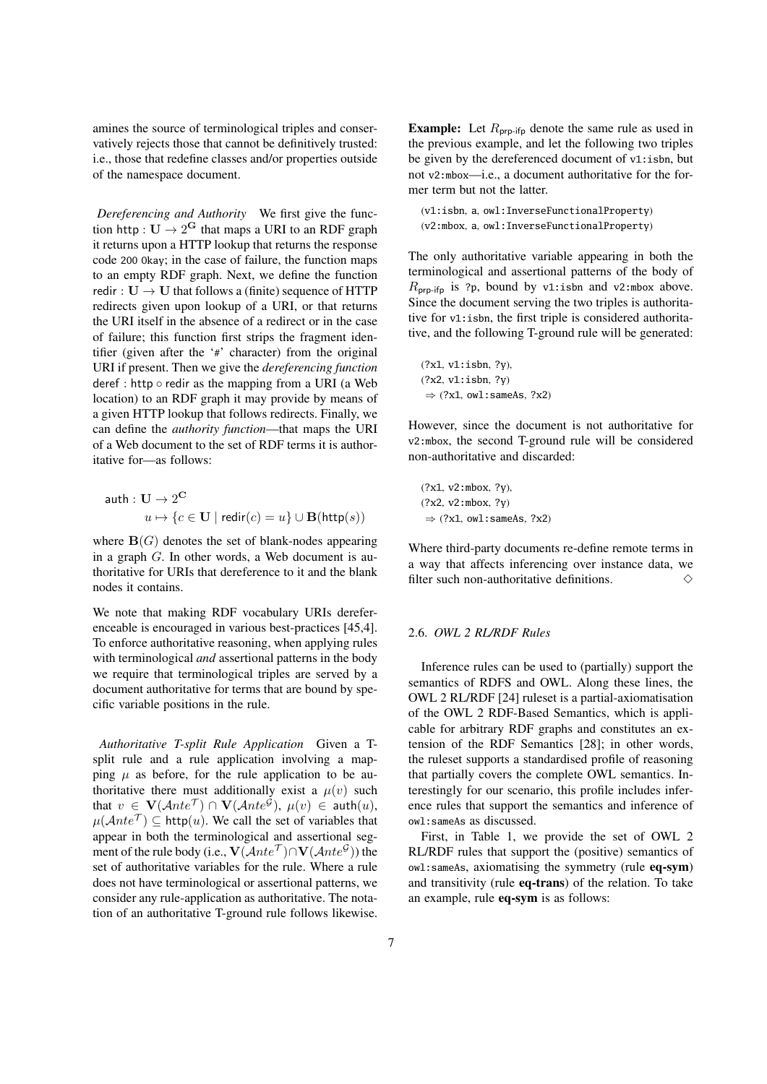amines the source of terminological triples and conservatively rejects those that cannot be definitively trusted: i.e., those that redefine classes and/or properties outside of the namespace document.

*Dereferencing and Authority* We first give the function http :  $\mathbf{U} \rightarrow 2^{\mathbf{G}}$  that maps a URI to an RDF graph it returns upon a HTTP lookup that returns the response code 200 Okay; in the case of failure, the function maps to an empty RDF graph. Next, we define the function redir :  $U \rightarrow U$  that follows a (finite) sequence of HTTP redirects given upon lookup of a URI, or that returns the URI itself in the absence of a redirect or in the case of failure; this function first strips the fragment identifier (given after the '#' character) from the original URI if present. Then we give the *dereferencing function* deref : http  $\circ$  redir as the mapping from a URI (a Web location) to an RDF graph it may provide by means of a given HTTP lookup that follows redirects. Finally, we can define the *authority function*—that maps the URI of a Web document to the set of RDF terms it is authoritative for—as follows:

$$
\begin{aligned} \mathsf{auth}:\mathbf{U} \to 2^{\mathbf{C}}\\ u &\mapsto \{c \in \mathbf{U} \mid \mathsf{redir}(c) = u\} \cup \mathbf{B}(\mathsf{http}(s)) \end{aligned}
$$

where  $\mathbf{B}(G)$  denotes the set of blank-nodes appearing in a graph G. In other words, a Web document is authoritative for URIs that dereference to it and the blank nodes it contains.

We note that making RDF vocabulary URIs dereferenceable is encouraged in various best-practices [45,4]. To enforce authoritative reasoning, when applying rules with terminological *and* assertional patterns in the body we require that terminological triples are served by a document authoritative for terms that are bound by specific variable positions in the rule.

*Authoritative T-split Rule Application* Given a Tsplit rule and a rule application involving a mapping  $\mu$  as before, for the rule application to be authoritative there must additionally exist a  $\mu(v)$  such that  $v \in \mathbf{V}(\mathcal{A}nte^{\mathcal{T}}) \cap \mathbf{V}(\mathcal{A}nte^{\mathcal{G}}), \ \mu(v) \ \in \ \mathsf{auth}(u),$  $\mu(\text{Ant}e^{\mathcal{T}}) \subseteq \text{http}(u)$ . We call the set of variables that appear in both the terminological and assertional segment of the rule body (i.e.,  $\mathbf{V}(\mathcal{A}nte^{\mathcal{T}})\cap\mathbf{V}(\mathcal{A}nte^{\mathcal{G}}))$  the set of authoritative variables for the rule. Where a rule does not have terminological or assertional patterns, we consider any rule-application as authoritative. The notation of an authoritative T-ground rule follows likewise.

**Example:** Let  $R_{\text{prp-ifp}}$  denote the same rule as used in the previous example, and let the following two triples be given by the dereferenced document of v1:isbn, but not v2:mbox—i.e., a document authoritative for the former term but not the latter.

(v1:isbn, a, owl:InverseFunctionalProperty) (v2:mbox, a, owl:InverseFunctionalProperty)

The only authoritative variable appearing in both the terminological and assertional patterns of the body of  $R_{\text{prp-ifp}}$  is ?p, bound by v1:isbn and v2:mbox above. Since the document serving the two triples is authoritative for v1:isbn, the first triple is considered authoritative, and the following T-ground rule will be generated:

$$
(?x1, v1:ishn, ?y),(?x2, v1:ishn, ?y)⇒ (?x1, owl:sameAs, ?x2)
$$

However, since the document is not authoritative for v2:mbox, the second T-ground rule will be considered non-authoritative and discarded:

(?x1, v2:mbox, ?y), (?x2, v2:mbox, ?y)  $\Rightarrow$  (?x1, owl:sameAs, ?x2)

Where third-party documents re-define remote terms in a way that affects inferencing over instance data, we filter such non-authoritative definitions.  $\Diamond$ 

# 2.6. *OWL 2 RL/RDF Rules*

Inference rules can be used to (partially) support the semantics of RDFS and OWL. Along these lines, the OWL 2 RL/RDF [24] ruleset is a partial-axiomatisation of the OWL 2 RDF-Based Semantics, which is applicable for arbitrary RDF graphs and constitutes an extension of the RDF Semantics [28]; in other words, the ruleset supports a standardised profile of reasoning that partially covers the complete OWL semantics. Interestingly for our scenario, this profile includes inference rules that support the semantics and inference of owl:sameAs as discussed.

First, in Table 1, we provide the set of OWL 2 RL/RDF rules that support the (positive) semantics of owl:sameAs, axiomatising the symmetry (rule eq-sym) and transitivity (rule eq-trans) of the relation. To take an example, rule eq-sym is as follows: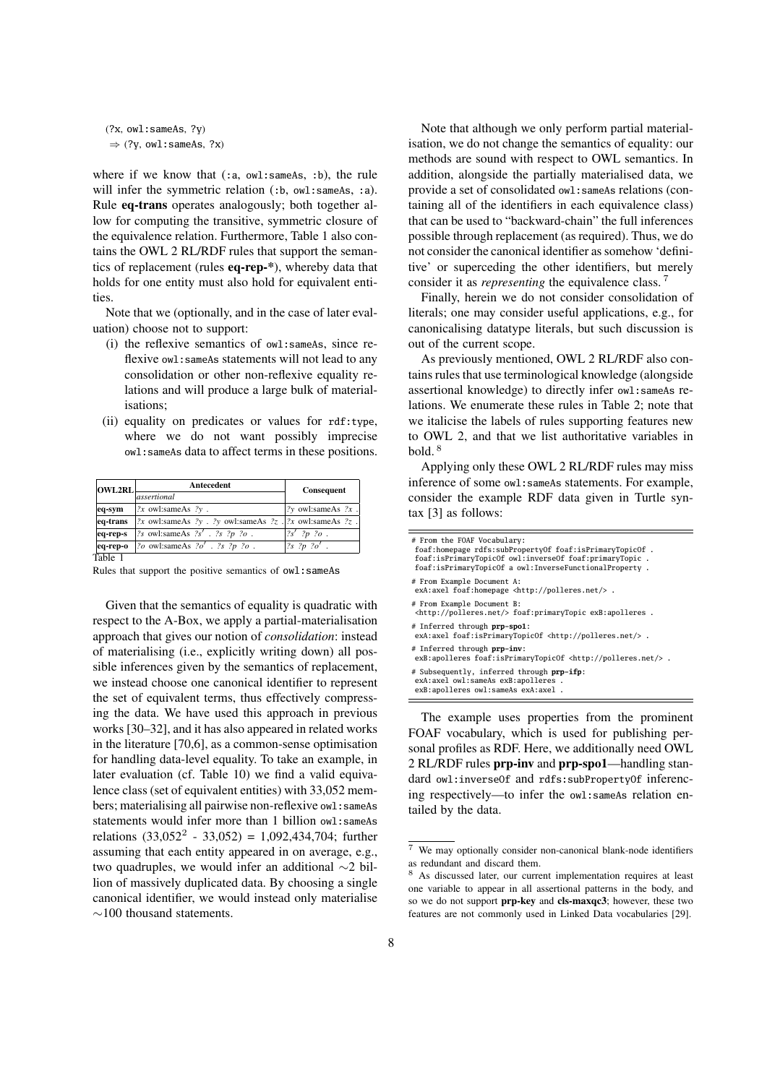(?x, owl:sameAs, ?y)  $\Rightarrow$  (?y, owl:sameAs, ?x)

where if we know that (:a, owl:sameAs, :b), the rule will infer the symmetric relation (:b, owl:sameAs, :a). Rule eq-trans operates analogously; both together allow for computing the transitive, symmetric closure of the equivalence relation. Furthermore, Table 1 also contains the OWL 2 RL/RDF rules that support the semantics of replacement (rules eq-rep-\*), whereby data that holds for one entity must also hold for equivalent entities.

Note that we (optionally, and in the case of later evaluation) choose not to support:

- (i) the reflexive semantics of owl:sameAs, since reflexive owl:sameAs statements will not lead to any consolidation or other non-reflexive equality relations and will produce a large bulk of materialisations;
- (ii) equality on predicates or values for rdf:type, where we do not want possibly imprecise owl:sameAs data to affect terms in these positions.

| OWL2RL   | Antecedent                                                       | Consequent           |
|----------|------------------------------------------------------------------|----------------------|
|          | <i>assertional</i>                                               |                      |
| eq-sym   | $ 2x \text{ will:} sameAs 2y$ .                                  | ?y owl:sameAs $?x$ . |
| eq-trans | 2x owl:sameAs $2y$ . 2y owl:sameAs $2z$ . $2x$ owl:sameAs $2z$ . |                      |
| eq-rep-s | 2s owl:sameAs $2s'$ . 2s $2p$ $2o$ .                             | $2s'$ $2p$ $2o$ .    |
| eq-rep-o | ?o owl:sameAs $?o'$ . ?s ?p ?o .                                 | $?s$ $?p$ $?o'$ .    |
| Table 1  |                                                                  |                      |

Rules that support the positive semantics of owl:sameAs

Given that the semantics of equality is quadratic with respect to the A-Box, we apply a partial-materialisation approach that gives our notion of *consolidation*: instead of materialising (i.e., explicitly writing down) all possible inferences given by the semantics of replacement, we instead choose one canonical identifier to represent the set of equivalent terms, thus effectively compressing the data. We have used this approach in previous works [30–32], and it has also appeared in related works in the literature [70,6], as a common-sense optimisation for handling data-level equality. To take an example, in later evaluation (cf. Table 10) we find a valid equivalence class (set of equivalent entities) with 33,052 members; materialising all pairwise non-reflexive owl:sameAs statements would infer more than 1 billion owl:sameAs relations  $(33,052^2 - 33,052) = 1,092,434,704$ ; further assuming that each entity appeared in on average, e.g., two quadruples, we would infer an additional ∼2 billion of massively duplicated data. By choosing a single canonical identifier, we would instead only materialise ∼100 thousand statements.

Note that although we only perform partial materialisation, we do not change the semantics of equality: our methods are sound with respect to OWL semantics. In addition, alongside the partially materialised data, we provide a set of consolidated owl:sameAs relations (containing all of the identifiers in each equivalence class) that can be used to "backward-chain" the full inferences possible through replacement (as required). Thus, we do not consider the canonical identifier as somehow 'definitive' or superceding the other identifiers, but merely consider it as *representing* the equivalence class. <sup>7</sup>

Finally, herein we do not consider consolidation of literals; one may consider useful applications, e.g., for canonicalising datatype literals, but such discussion is out of the current scope.

As previously mentioned, OWL 2 RL/RDF also contains rules that use terminological knowledge (alongside assertional knowledge) to directly infer owl:sameAs relations. We enumerate these rules in Table 2; note that we italicise the labels of rules supporting features new to OWL 2, and that we list authoritative variables in  $b$ old.  $8$ 

Applying only these OWL 2 RL/RDF rules may miss inference of some owl:sameAs statements. For example, consider the example RDF data given in Turtle syntax [3] as follows:

| # From the FOAF Vocabulary:<br>foaf:homepage rdfs:subPropertyOf foaf:isPrimaryTopicOf.<br>foaf:isPrimaryTopicOf owl:inverseOf foaf:primaryTopic.<br>foaf:isPrimaryTopicOf a owl:InverseFunctionalProperty.<br># From Example Document A:<br>exA:axel foaf:homepage <http: polleres.net=""></http:> .<br># From Example Document B:<br><http: polleres.net=""></http:> foaf:primaryTopic exB:apolleres.<br># Inferred through prp-spo1:<br>exA:axel foaf:isPrimaryTopicOf <http: polleres.net=""></http:> .<br># Inferred through prp-inv:<br>exB:apolleres foaf:isPrimaryTopicOf <http: polleres.net=""></http:> .<br># Subsequently, inferred through prp-ifp:<br>exA:axel owl:sameAs exB:apolleres.<br>exB:apolleres owl:sameAs exA:axel. |  |
|---------------------------------------------------------------------------------------------------------------------------------------------------------------------------------------------------------------------------------------------------------------------------------------------------------------------------------------------------------------------------------------------------------------------------------------------------------------------------------------------------------------------------------------------------------------------------------------------------------------------------------------------------------------------------------------------------------------------------------------------|--|
|                                                                                                                                                                                                                                                                                                                                                                                                                                                                                                                                                                                                                                                                                                                                             |  |
|                                                                                                                                                                                                                                                                                                                                                                                                                                                                                                                                                                                                                                                                                                                                             |  |
|                                                                                                                                                                                                                                                                                                                                                                                                                                                                                                                                                                                                                                                                                                                                             |  |
|                                                                                                                                                                                                                                                                                                                                                                                                                                                                                                                                                                                                                                                                                                                                             |  |
|                                                                                                                                                                                                                                                                                                                                                                                                                                                                                                                                                                                                                                                                                                                                             |  |
|                                                                                                                                                                                                                                                                                                                                                                                                                                                                                                                                                                                                                                                                                                                                             |  |

The example uses properties from the prominent FOAF vocabulary, which is used for publishing personal profiles as RDF. Here, we additionally need OWL 2 RL/RDF rules prp-inv and prp-spo1—handling standard owl:inverseOf and rdfs:subPropertyOf inferencing respectively—to infer the owl:sameAs relation entailed by the data.

<sup>7</sup> We may optionally consider non-canonical blank-node identifiers as redundant and discard them.

As discussed later, our current implementation requires at least one variable to appear in all assertional patterns in the body, and so we do not support prp-key and cls-maxqc3; however, these two features are not commonly used in Linked Data vocabularies [29].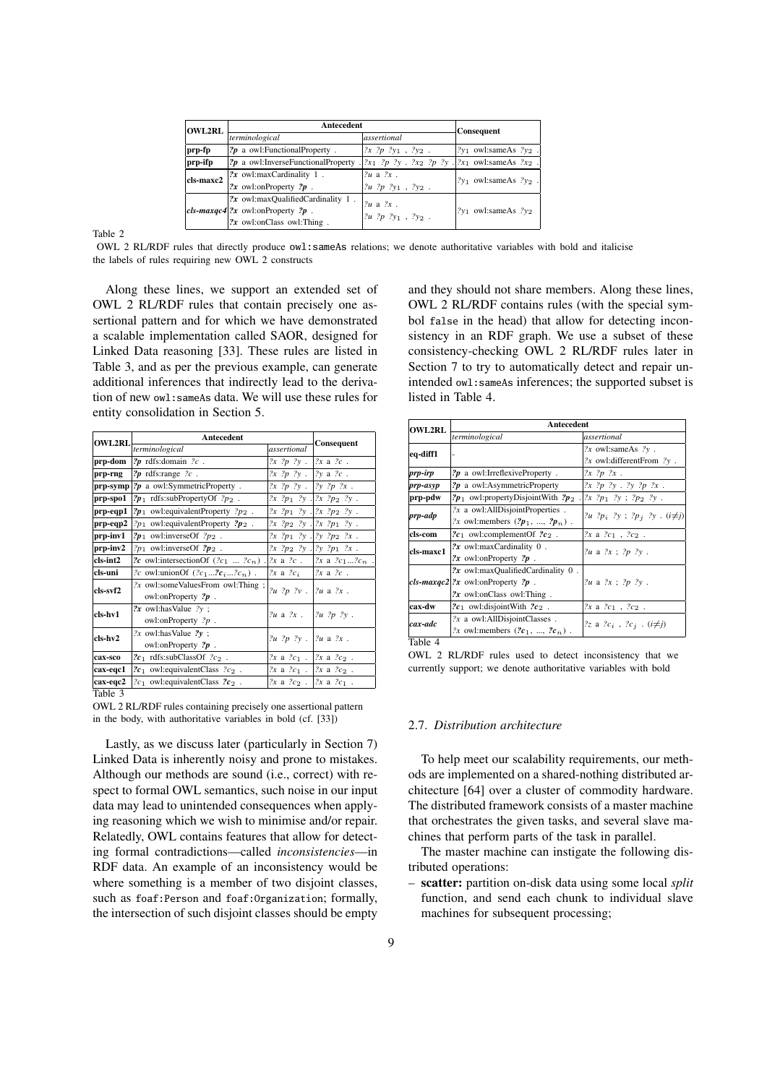| <b>OWL2RL</b> | Antecedent                                | Consequent                                                             |                             |  |
|---------------|-------------------------------------------|------------------------------------------------------------------------|-----------------------------|--|
|               | terminological                            |                                                                        |                             |  |
| prp-fp        | $2p$ a owl: Functional Property.          | $ 2x  \cdot 2p  \cdot 2y_1$ , $ 2y_2 $ .                               | $ 2y_1$ owl:sameAs $2y_2$ . |  |
| prp-ifp       | $2p$ a owl: Inverse Functional Property   | $.  2x_1 \t2p \t2y \t2x_2 \t2p \t2y \t2x_1 \t{ow1}$ : same As $2x_2$ . |                             |  |
| cls-maxc2     | $2u$ a $2x$ .<br>2x owl:maxCardinality 1. |                                                                        | $ 2y_1$ owl:sameAs $2y_2$ . |  |
|               | 2x owl:onProperty $2p$ .                  | $ ?u \; ?p \; ?y_1 \; , \; ?y_2 \; .$                                  |                             |  |
|               | 2x owl:maxQualifiedCardinality 1.         | $2u$ a $2x$ .                                                          |                             |  |
|               | cls-maxqc4 ?x owl:onProperty ?p.          | $ ?u ^2p ^2y_1$ , $?y_2$ .                                             | $2v_1$ owl:sameAs $2v_2$    |  |
|               | $2x$ owl:onClass owl:Thing.               |                                                                        |                             |  |

OWL 2 RL/RDF rules that directly produce owl:sameAs relations; we denote authoritative variables with bold and italicise the labels of rules requiring new OWL 2 constructs

Along these lines, we support an extended set of OWL 2 RL/RDF rules that contain precisely one assertional pattern and for which we have demonstrated a scalable implementation called SAOR, designed for Linked Data reasoning [33]. These rules are listed in Table 3, and as per the previous example, can generate additional inferences that indirectly lead to the derivation of new owl:sameAs data. We will use these rules for entity consolidation in Section 5.

| <b>OWL2RL</b> | Antecedent                                     | Consequent                                      |                                                              |
|---------------|------------------------------------------------|-------------------------------------------------|--------------------------------------------------------------|
|               | terminological                                 | assertional                                     |                                                              |
| prp-dom       | $ 2p \text{ rdfs:domain } 2c$ .                | $2x \; 2p \; 2y$ . $ 2x \; a \; 2c$ .           |                                                              |
| prp-rng       | $?p$ rdfs:range $?c$ .                         | $?x \; ?p \; ?y \; . \;  ?y \; a \; ?c \; .$    |                                                              |
|               | <b>prp-symp</b> $ ?p$ a owl:SymmetricProperty. | ?x ?p ?y .  ?y ?p ?x .                          |                                                              |
| prp-spo1      | $2p_1$ rdfs:subPropertyOf $2p_2$ .             |                                                 | $2x \; 2p_1 \; 2y \;  2x \; 2p_2 \; 2y \; .$                 |
| prp-eqp1      | $2p_1$ owl: equivalent Property $2p_2$ .       |                                                 | $?x ?p_1 ?y .  ?x ?p_2 ?y .$                                 |
| prp-eqp2      | $2p_1$ owl: equivalent Property $2p_2$ .       |                                                 | $?x ?p_2 ?y .  ?x ?p_1 ?y .$                                 |
| prp-inv1      | $?p_1$ owl:inverseOf $?p_2$ .                  |                                                 | $?x ?p_1 ?y . ?y ?p_2 ?x .$                                  |
| prp-inv2      | $?p_1$ owl:inverseOf $?p_2$ .                  |                                                 | $?x ?p_2 ?y .  ?y ?p_1 ?x .$                                 |
| $cls-int2$    | ?c owl:intersectionOf $(2c_1  2c_n)$ .         |                                                 | $ 2x $ a $2c$ . $ 2x $ a $2c$ <sub>1</sub> 2c <sub>n</sub> . |
| cls-uni       | ?c owl:unionOf $(2c_12c_i2c_n)$ .              | $2x$ a $2c_i$                                   | $2x$ a $2c$ .                                                |
| cls-svf2      | $?x$ owl:someValuesFrom owl:Thing ;            | $2u$ $2p$ $2v$ . $2u$ a $2x$ .                  |                                                              |
|               | owl:onProperty $?p$ .<br>?x owl:hasValue ?y ;  |                                                 |                                                              |
| cls-hv1       | owl:onProperty $?p$ .                          | $2u$ a $2x$ .                                   | $ ?u \t ?p \t ?y$ .                                          |
| cls-hv2       | $?x$ owl:has Value $?y$ ;                      | $2u$ $2p$ $2y$ . $2u$ a $2x$ .                  |                                                              |
|               | owl:onProperty $?p$ .                          |                                                 |                                                              |
| cax-sco       | $2c_1$ rdfs:subClassOf $2c_2$ .                | $2x$ a $2c_1$ . $2x$ a $2c_2$ .                 |                                                              |
| cax-eqc1      | $2c_1$ owl: equivalent Class $2c_2$ .          | ?x a ?c <sub>1</sub> .   ?x a ?c <sub>2</sub> . |                                                              |
| cax-eqc2      | $2c_1$ owl: equivalent Class $2c_2$ .          | $2x$ a $2c_2$ . $2x$ a $2c_1$ .                 |                                                              |
| Table 3       |                                                |                                                 |                                                              |

OWL 2 RL/RDF rules containing precisely one assertional pattern in the body, with authoritative variables in bold (cf. [33])

Lastly, as we discuss later (particularly in Section 7) Linked Data is inherently noisy and prone to mistakes. Although our methods are sound (i.e., correct) with respect to formal OWL semantics, such noise in our input data may lead to unintended consequences when applying reasoning which we wish to minimise and/or repair. Relatedly, OWL contains features that allow for detecting formal contradictions—called *inconsistencies*—in RDF data. An example of an inconsistency would be where something is a member of two disjoint classes, such as foaf:Person and foaf:Organization; formally, the intersection of such disjoint classes should be empty

and they should not share members. Along these lines, OWL 2 RL/RDF contains rules (with the special symbol false in the head) that allow for detecting inconsistency in an RDF graph. We use a subset of these consistency-checking OWL 2 RL/RDF rules later in Section 7 to try to automatically detect and repair unintended owl:sameAs inferences; the supported subset is listed in Table 4.

| <b>OWL2RL</b> | Antecedent                                                 |                                                       |  |  |  |  |  |
|---------------|------------------------------------------------------------|-------------------------------------------------------|--|--|--|--|--|
|               | terminological                                             | assertional                                           |  |  |  |  |  |
|               |                                                            | $?x$ owl:sameAs $?y$ .                                |  |  |  |  |  |
| eq-diff1      |                                                            | $?x$ owl:differentFrom $?y$ .                         |  |  |  |  |  |
| prp-irp       | $2p$ a owl: Irreflexive Property.                          | $?x ?p ?x$ .                                          |  |  |  |  |  |
| prp-asyp      | $2p$ a owl: Asymmetric Property                            | ?x ?p ?y . ?y ?p ?x .                                 |  |  |  |  |  |
| prp-pdw       | $2p_1$ owl:propertyDisjointWith $2p_2$                     | $?x \; ?p_1 \; ?y \; ; \; ?p_2 \; ?y \; .$            |  |  |  |  |  |
| prp-adp       | $?x$ a owl:AllDisjointProperties.                          | $2u\ 2p_i\ 2y\ ;\ 2p_i\ 2y\ .\ (i\neq j)$             |  |  |  |  |  |
|               | ?x owl:members $(2p_1, , 2p_n)$ .                          |                                                       |  |  |  |  |  |
| cls-com       | $2c_1$ owl:complement Of $2c_2$ .                          | $?x$ a $?c_1$ , $?c_2$ .                              |  |  |  |  |  |
| cls-maxc1     | $2x$ owl:maxCardinality $0$ .                              | $2u$ a $2x$ ; $2p$ $2y$ .                             |  |  |  |  |  |
|               | 2x owl:onProperty $?p$ .                                   |                                                       |  |  |  |  |  |
|               | $2x$ owl:maxQualifiedCardinality 0.                        |                                                       |  |  |  |  |  |
|               | <i>cls-maxqc2</i>   ? <i>x</i> owl:onProperty ? <i>p</i> . | $2u$ a $2x$ ; $2p$ $2y$ .                             |  |  |  |  |  |
|               | $?x$ owl:onClass owl:Thing.                                |                                                       |  |  |  |  |  |
| cax-dw        | $2c_1$ owl: disjoint With $2c_2$ .                         | $?x$ a $?c_1$ , $?c_2$ .                              |  |  |  |  |  |
| cax-adc       | ?x a owl:AllDisjointClasses.                               |                                                       |  |  |  |  |  |
|               | ?x owl:members $(2c_1, , 2c_n)$ .                          | ?z a ?c <sub>i</sub> , ?c <sub>j</sub> . $(i \neq j)$ |  |  |  |  |  |
| Table 4       |                                                            |                                                       |  |  |  |  |  |

OWL 2 RL/RDF rules used to detect inconsistency that we currently support; we denote authoritative variables with bold

# 2.7. *Distribution architecture*

To help meet our scalability requirements, our methods are implemented on a shared-nothing distributed architecture [64] over a cluster of commodity hardware. The distributed framework consists of a master machine that orchestrates the given tasks, and several slave machines that perform parts of the task in parallel.

The master machine can instigate the following distributed operations:

– scatter: partition on-disk data using some local *split* function, and send each chunk to individual slave machines for subsequent processing;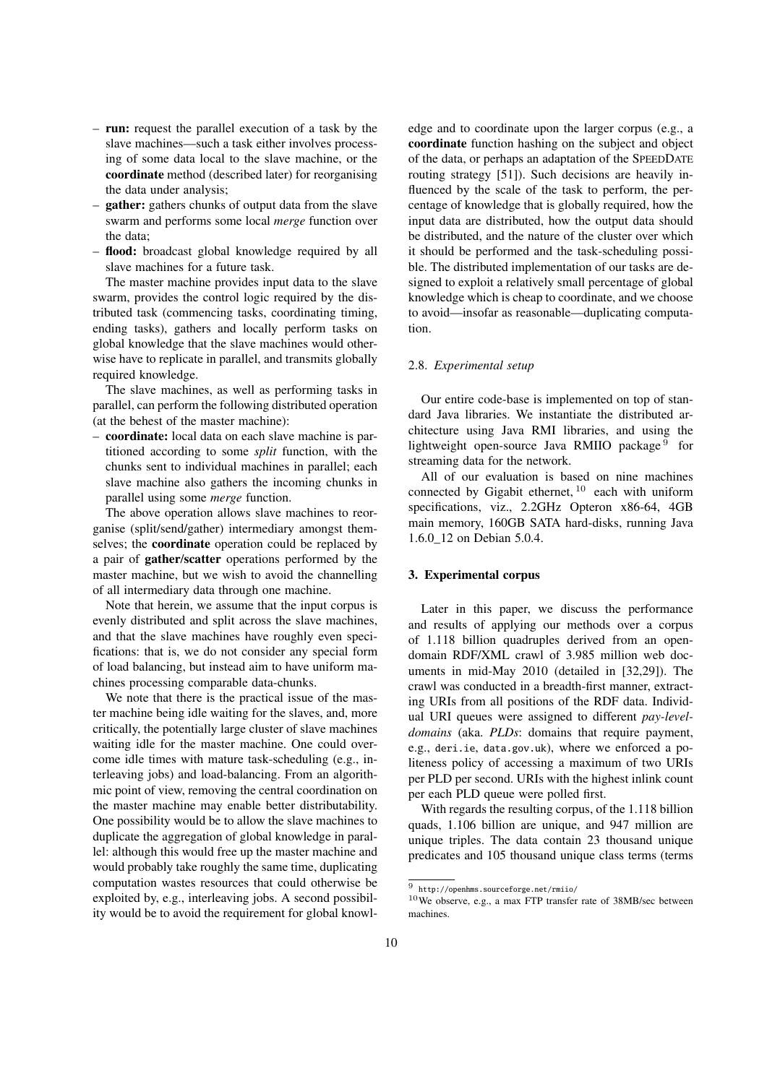- run: request the parallel execution of a task by the slave machines—such a task either involves processing of some data local to the slave machine, or the coordinate method (described later) for reorganising the data under analysis;
- gather: gathers chunks of output data from the slave swarm and performs some local *merge* function over the data;
- flood: broadcast global knowledge required by all slave machines for a future task.

The master machine provides input data to the slave swarm, provides the control logic required by the distributed task (commencing tasks, coordinating timing, ending tasks), gathers and locally perform tasks on global knowledge that the slave machines would otherwise have to replicate in parallel, and transmits globally required knowledge.

The slave machines, as well as performing tasks in parallel, can perform the following distributed operation (at the behest of the master machine):

– coordinate: local data on each slave machine is partitioned according to some *split* function, with the chunks sent to individual machines in parallel; each slave machine also gathers the incoming chunks in parallel using some *merge* function.

The above operation allows slave machines to reorganise (split/send/gather) intermediary amongst themselves; the coordinate operation could be replaced by a pair of gather/scatter operations performed by the master machine, but we wish to avoid the channelling of all intermediary data through one machine.

Note that herein, we assume that the input corpus is evenly distributed and split across the slave machines, and that the slave machines have roughly even specifications: that is, we do not consider any special form of load balancing, but instead aim to have uniform machines processing comparable data-chunks.

We note that there is the practical issue of the master machine being idle waiting for the slaves, and, more critically, the potentially large cluster of slave machines waiting idle for the master machine. One could overcome idle times with mature task-scheduling (e.g., interleaving jobs) and load-balancing. From an algorithmic point of view, removing the central coordination on the master machine may enable better distributability. One possibility would be to allow the slave machines to duplicate the aggregation of global knowledge in parallel: although this would free up the master machine and would probably take roughly the same time, duplicating computation wastes resources that could otherwise be exploited by, e.g., interleaving jobs. A second possibility would be to avoid the requirement for global knowledge and to coordinate upon the larger corpus (e.g., a coordinate function hashing on the subject and object of the data, or perhaps an adaptation of the SPEEDDATE routing strategy [51]). Such decisions are heavily influenced by the scale of the task to perform, the percentage of knowledge that is globally required, how the input data are distributed, how the output data should be distributed, and the nature of the cluster over which it should be performed and the task-scheduling possible. The distributed implementation of our tasks are designed to exploit a relatively small percentage of global knowledge which is cheap to coordinate, and we choose to avoid—insofar as reasonable—duplicating computation.

#### 2.8. *Experimental setup*

Our entire code-base is implemented on top of standard Java libraries. We instantiate the distributed architecture using Java RMI libraries, and using the lightweight open-source Java RMIIO package  $9$ for streaming data for the network.

All of our evaluation is based on nine machines connected by Gigabit ethernet,  $10$  each with uniform specifications, viz., 2.2GHz Opteron x86-64, 4GB main memory, 160GB SATA hard-disks, running Java 1.6.0\_12 on Debian 5.0.4.

#### 3. Experimental corpus

Later in this paper, we discuss the performance and results of applying our methods over a corpus of 1.118 billion quadruples derived from an opendomain RDF/XML crawl of 3.985 million web documents in mid-May 2010 (detailed in [32,29]). The crawl was conducted in a breadth-first manner, extracting URIs from all positions of the RDF data. Individual URI queues were assigned to different *pay-leveldomains* (aka. *PLDs*: domains that require payment, e.g., deri.ie, data.gov.uk), where we enforced a politeness policy of accessing a maximum of two URIs per PLD per second. URIs with the highest inlink count per each PLD queue were polled first.

With regards the resulting corpus, of the 1.118 billion quads, 1.106 billion are unique, and 947 million are unique triples. The data contain 23 thousand unique predicates and 105 thousand unique class terms (terms

<sup>9</sup> http://openhms.sourceforge.net/rmiio/

<sup>10</sup>We observe, e.g., a max FTP transfer rate of 38MB/sec between machines.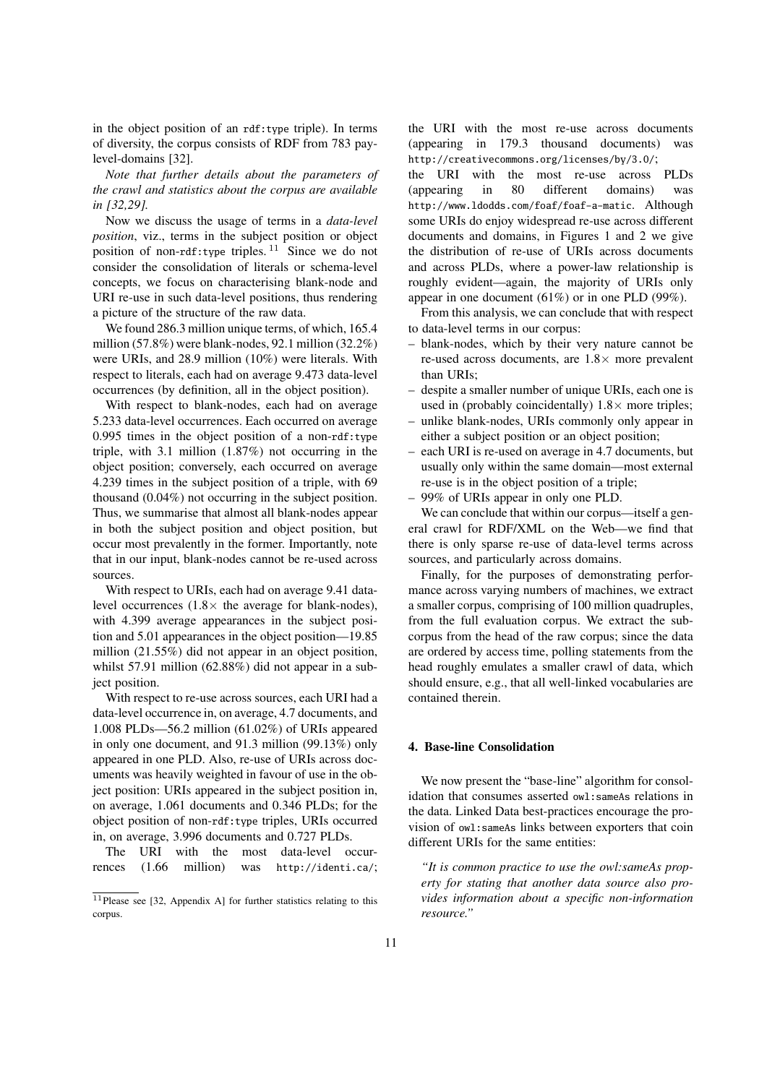in the object position of an rdf:type triple). In terms of diversity, the corpus consists of RDF from 783 paylevel-domains [32].

*Note that further details about the parameters of the crawl and statistics about the corpus are available in [32,29].*

Now we discuss the usage of terms in a *data-level position*, viz., terms in the subject position or object position of non-rdf:type triples.<sup>11</sup> Since we do not consider the consolidation of literals or schema-level concepts, we focus on characterising blank-node and URI re-use in such data-level positions, thus rendering a picture of the structure of the raw data.

We found 286.3 million unique terms, of which, 165.4 million (57.8%) were blank-nodes, 92.1 million (32.2%) were URIs, and 28.9 million (10%) were literals. With respect to literals, each had on average 9.473 data-level occurrences (by definition, all in the object position).

With respect to blank-nodes, each had on average 5.233 data-level occurrences. Each occurred on average 0.995 times in the object position of a non-rdf:type triple, with 3.1 million (1.87%) not occurring in the object position; conversely, each occurred on average 4.239 times in the subject position of a triple, with 69 thousand (0.04%) not occurring in the subject position. Thus, we summarise that almost all blank-nodes appear in both the subject position and object position, but occur most prevalently in the former. Importantly, note that in our input, blank-nodes cannot be re-used across sources.

With respect to URIs, each had on average 9.41 datalevel occurrences  $(1.8 \times$  the average for blank-nodes), with 4.399 average appearances in the subject position and 5.01 appearances in the object position—19.85 million (21.55%) did not appear in an object position, whilst 57.91 million (62.88%) did not appear in a subject position.

With respect to re-use across sources, each URI had a data-level occurrence in, on average, 4.7 documents, and 1.008 PLDs—56.2 million (61.02%) of URIs appeared in only one document, and 91.3 million (99.13%) only appeared in one PLD. Also, re-use of URIs across documents was heavily weighted in favour of use in the object position: URIs appeared in the subject position in, on average, 1.061 documents and 0.346 PLDs; for the object position of non-rdf:type triples, URIs occurred in, on average, 3.996 documents and 0.727 PLDs.

The URI with the most data-level occurrences (1.66 million) was http://identi.ca/; the URI with the most re-use across documents (appearing in 179.3 thousand documents) was http://creativecommons.org/licenses/by/3.0/;

the URI with the most re-use across PLDs (appearing in 80 different domains) was http://www.ldodds.com/foaf/foaf-a-matic. Although some URIs do enjoy widespread re-use across different documents and domains, in Figures 1 and 2 we give the distribution of re-use of URIs across documents and across PLDs, where a power-law relationship is roughly evident—again, the majority of URIs only appear in one document (61%) or in one PLD (99%).

From this analysis, we can conclude that with respect to data-level terms in our corpus:

- blank-nodes, which by their very nature cannot be re-used across documents, are 1.8× more prevalent than URIs;
- despite a smaller number of unique URIs, each one is used in (probably coincidentally)  $1.8 \times$  more triples;
- unlike blank-nodes, URIs commonly only appear in either a subject position or an object position;
- each URI is re-used on average in 4.7 documents, but usually only within the same domain—most external re-use is in the object position of a triple;
- 99% of URIs appear in only one PLD.

We can conclude that within our corpus—itself a general crawl for RDF/XML on the Web—we find that there is only sparse re-use of data-level terms across sources, and particularly across domains.

Finally, for the purposes of demonstrating performance across varying numbers of machines, we extract a smaller corpus, comprising of 100 million quadruples, from the full evaluation corpus. We extract the subcorpus from the head of the raw corpus; since the data are ordered by access time, polling statements from the head roughly emulates a smaller crawl of data, which should ensure, e.g., that all well-linked vocabularies are contained therein.

#### 4. Base-line Consolidation

We now present the "base-line" algorithm for consolidation that consumes asserted owl:sameAs relations in the data. Linked Data best-practices encourage the provision of owl:sameAs links between exporters that coin different URIs for the same entities:

*"It is common practice to use the owl:sameAs property for stating that another data source also provides information about a specific non-information resource."*

 $11$ Please see [32, Appendix A] for further statistics relating to this corpus.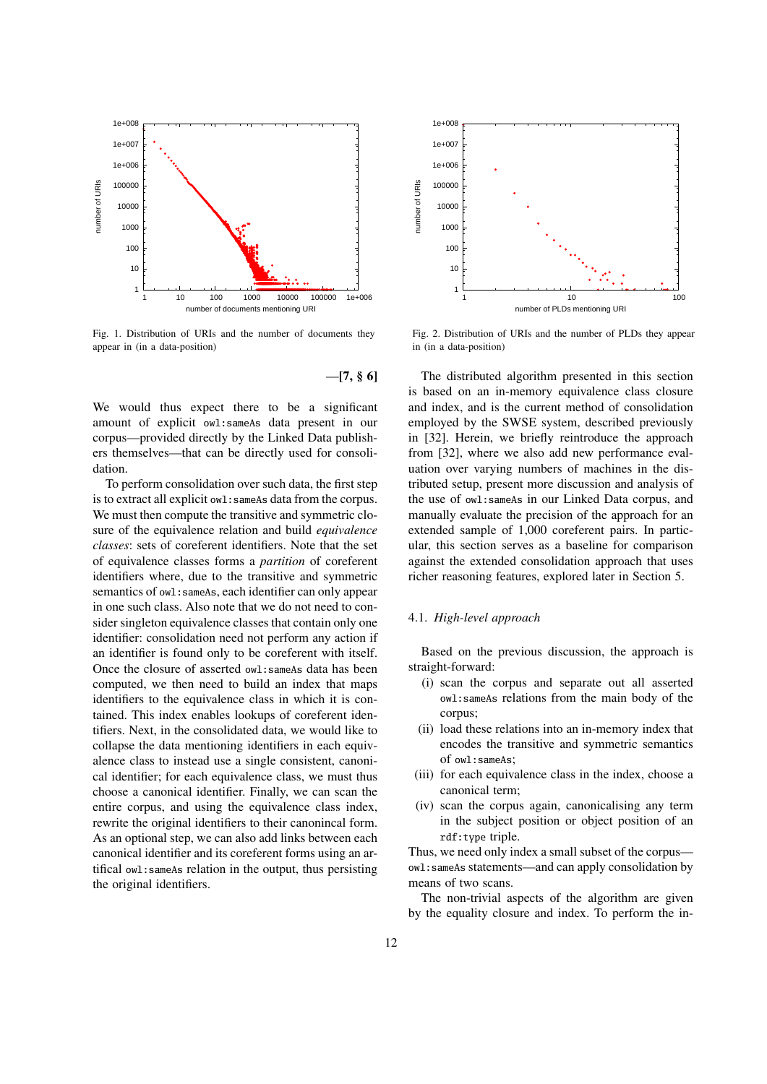

Fig. 1. Distribution of URIs and the number of documents they appear in (in a data-position)

$$
-[7, \S 6]
$$

We would thus expect there to be a significant amount of explicit owl:sameAs data present in our corpus—provided directly by the Linked Data publishers themselves—that can be directly used for consolidation.

To perform consolidation over such data, the first step is to extract all explicit owl:sameAs data from the corpus. We must then compute the transitive and symmetric closure of the equivalence relation and build *equivalence classes*: sets of coreferent identifiers. Note that the set of equivalence classes forms a *partition* of coreferent identifiers where, due to the transitive and symmetric semantics of owl: sameAs, each identifier can only appear in one such class. Also note that we do not need to consider singleton equivalence classes that contain only one identifier: consolidation need not perform any action if an identifier is found only to be coreferent with itself. Once the closure of asserted owl:sameAs data has been computed, we then need to build an index that maps identifiers to the equivalence class in which it is contained. This index enables lookups of coreferent identifiers. Next, in the consolidated data, we would like to collapse the data mentioning identifiers in each equivalence class to instead use a single consistent, canonical identifier; for each equivalence class, we must thus choose a canonical identifier. Finally, we can scan the entire corpus, and using the equivalence class index, rewrite the original identifiers to their canonincal form. As an optional step, we can also add links between each canonical identifier and its coreferent forms using an artifical owl:sameAs relation in the output, thus persisting the original identifiers.



Fig. 2. Distribution of URIs and the number of PLDs they appear in (in a data-position)

The distributed algorithm presented in this section is based on an in-memory equivalence class closure and index, and is the current method of consolidation employed by the SWSE system, described previously in [32]. Herein, we briefly reintroduce the approach from [32], where we also add new performance evaluation over varying numbers of machines in the distributed setup, present more discussion and analysis of the use of owl:sameAs in our Linked Data corpus, and manually evaluate the precision of the approach for an extended sample of 1,000 coreferent pairs. In particular, this section serves as a baseline for comparison against the extended consolidation approach that uses richer reasoning features, explored later in Section 5.

#### 4.1. *High-level approach*

Based on the previous discussion, the approach is straight-forward:

- (i) scan the corpus and separate out all asserted owl:sameAs relations from the main body of the corpus;
- (ii) load these relations into an in-memory index that encodes the transitive and symmetric semantics of owl:sameAs;
- (iii) for each equivalence class in the index, choose a canonical term;
- (iv) scan the corpus again, canonicalising any term in the subject position or object position of an rdf:type triple.

Thus, we need only index a small subset of the corpus owl:sameAs statements—and can apply consolidation by means of two scans.

The non-trivial aspects of the algorithm are given by the equality closure and index. To perform the in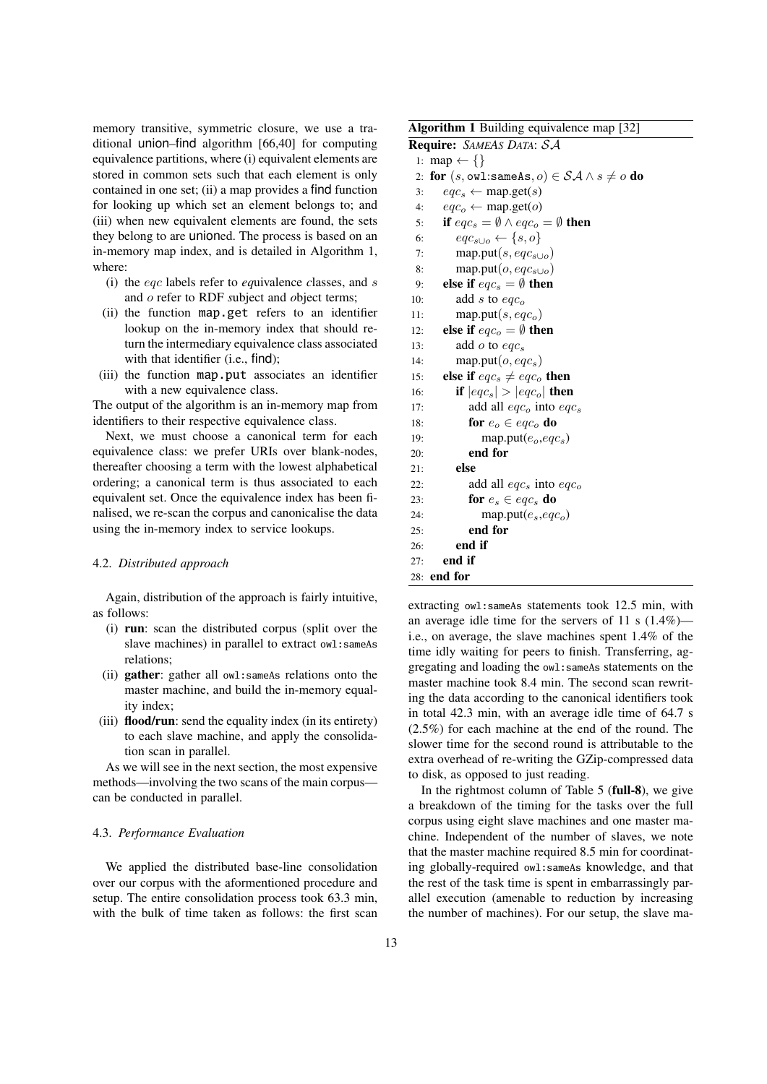memory transitive, symmetric closure, we use a traditional union–find algorithm [66,40] for computing equivalence partitions, where (i) equivalent elements are stored in common sets such that each element is only contained in one set; (ii) a map provides a find function for looking up which set an element belongs to; and (iii) when new equivalent elements are found, the sets they belong to are unioned. The process is based on an in-memory map index, and is detailed in Algorithm 1, where:

- (i) the eqc labels refer to *eq*uivalence *c*lasses, and s and o refer to RDF *s*ubject and *o*bject terms;
- (ii) the function map.get refers to an identifier lookup on the in-memory index that should return the intermediary equivalence class associated with that identifier (i.e., find);
- (iii) the function map.put associates an identifier with a new equivalence class.

The output of the algorithm is an in-memory map from identifiers to their respective equivalence class.

Next, we must choose a canonical term for each equivalence class: we prefer URIs over blank-nodes, thereafter choosing a term with the lowest alphabetical ordering; a canonical term is thus associated to each equivalent set. Once the equivalence index has been finalised, we re-scan the corpus and canonicalise the data using the in-memory index to service lookups.

#### 4.2. *Distributed approach*

Again, distribution of the approach is fairly intuitive, as follows:

- (i) run: scan the distributed corpus (split over the slave machines) in parallel to extract owl:sameAs relations;
- (ii) gather: gather all owl:sameAs relations onto the master machine, and build the in-memory equality index;
- (iii) **flood/run**: send the equality index (in its entirety) to each slave machine, and apply the consolidation scan in parallel.

As we will see in the next section, the most expensive methods—involving the two scans of the main corpus can be conducted in parallel.

#### 4.3. *Performance Evaluation*

We applied the distributed base-line consolidation over our corpus with the aformentioned procedure and setup. The entire consolidation process took 63.3 min, with the bulk of time taken as follows: the first scan Algorithm 1 Building equivalence map [32]

|     | Require: SAMEAS DATA: SA                                           |
|-----|--------------------------------------------------------------------|
| 1:  | $map \leftarrow \{\}$                                              |
| 2:  | for $(s, \text{owl:sameAs}, o) \in \mathcal{SA} \land s \neq o$ do |
| 3:  | $eqc_s \leftarrow \text{map.get}(s)$                               |
| 4:  | $eqc_o \leftarrow \text{map.get}(o)$                               |
| 5:  | if $eqc_s = \emptyset \wedge eqc_o = \emptyset$ then               |
| 6:  | $eqc_{s\cup o} \leftarrow \{s, o\}$                                |
| 7:  | map.put(s, $eqc_{s\cup o}$ )                                       |
| 8:  | map.put( $o, eqc_{s \cup o}$ )                                     |
| 9:  | else if $eqc_s = \emptyset$ then                                   |
| 10: | add s to eqc                                                       |
| 11: | map.put(s, $eqco$ )                                                |
| 12: | else if $eqc_o = \emptyset$ then                                   |
| 13: | add <i>o</i> to $eqc_s$                                            |
| 14: | map.put( $o, eqc_s$ )                                              |
| 15: | else if $eqc_s \neq eqc_o$ then                                    |
| 16: | if $ eqc_s  >  eqc_o $ then                                        |
| 17: | add all $eqco$ into $eqcs$                                         |
| 18: | for $e_o \in eqc_o$ do                                             |
| 19: | map.put( $e_o,$ eqc <sub>s</sub> )                                 |
| 20: | end for                                                            |
| 21: | else                                                               |
| 22: | add all $eqc_s$ into $eqc_o$                                       |
| 23: | for $e_s \in eqc_s$ do                                             |
| 24: | map.put( $e_s, eqc_o$ )                                            |
| 25: | end for                                                            |
| 26: | end if                                                             |
| 27: | end if                                                             |
|     | $28:$ end for                                                      |

extracting owl:sameAs statements took 12.5 min, with an average idle time for the servers of 11 s (1.4%) i.e., on average, the slave machines spent 1.4% of the time idly waiting for peers to finish. Transferring, aggregating and loading the owl:sameAs statements on the master machine took 8.4 min. The second scan rewriting the data according to the canonical identifiers took in total 42.3 min, with an average idle time of 64.7 s (2.5%) for each machine at the end of the round. The slower time for the second round is attributable to the extra overhead of re-writing the GZip-compressed data to disk, as opposed to just reading.

In the rightmost column of Table 5 (full-8), we give a breakdown of the timing for the tasks over the full corpus using eight slave machines and one master machine. Independent of the number of slaves, we note that the master machine required 8.5 min for coordinating globally-required owl:sameAs knowledge, and that the rest of the task time is spent in embarrassingly parallel execution (amenable to reduction by increasing the number of machines). For our setup, the slave ma-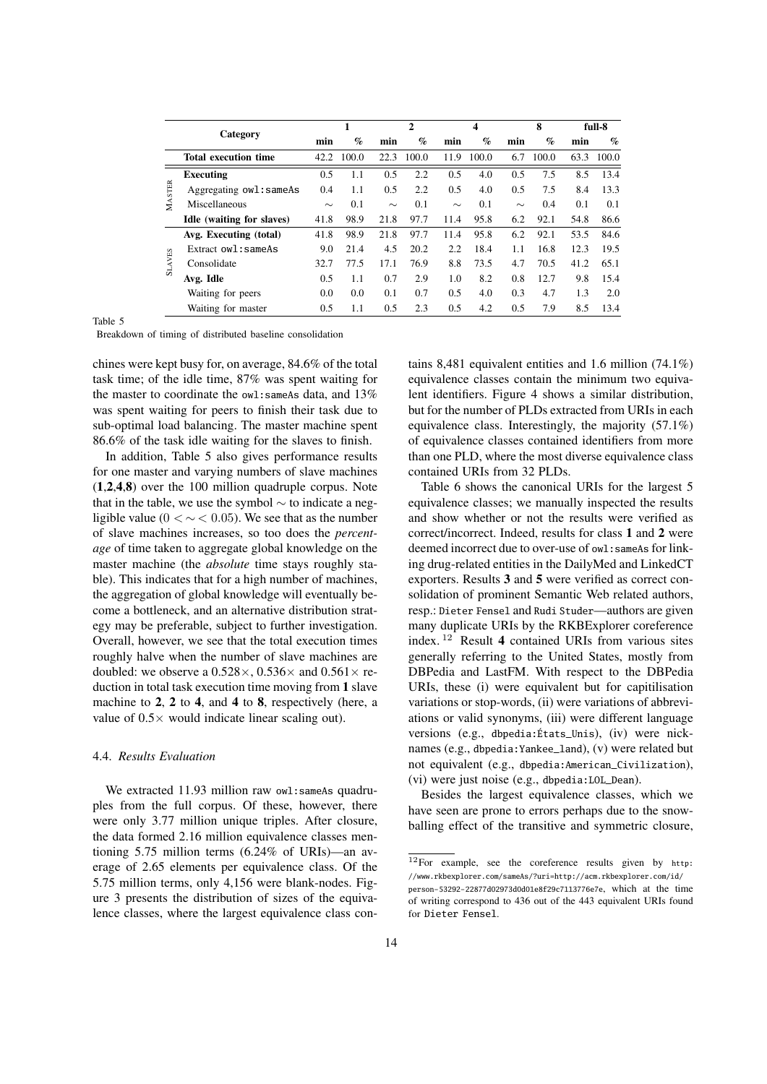|               | Category                    |        | $\mathbf{2}$ |        |       |        | 4     |        | 8               | full-8 |       |
|---------------|-----------------------------|--------|--------------|--------|-------|--------|-------|--------|-----------------|--------|-------|
|               |                             |        | $\%$         | min    | $\%$  | min    | $\%$  | min    | $\mathcal{O}_0$ | min    | $\%$  |
|               | <b>Total execution time</b> | 42.2   | 100.0        | 22.3   | 100.0 | 11.9   | 100.0 | 6.7    | 100.0           | 63.3   | 100.0 |
|               | <b>Executing</b>            | 0.5    | 1.1          | 0.5    | 2.2   | 0.5    | 4.0   | 0.5    | 7.5             | 8.5    | 13.4  |
| <b>MASTER</b> | Aggregating owl: sameAs     | 0.4    | 1.1          | 0.5    | 2.2   | 0.5    | 4.0   | 0.5    | 7.5             | 8.4    | 13.3  |
|               | Miscellaneous               | $\sim$ | 0.1          | $\sim$ | 0.1   | $\sim$ | 0.1   | $\sim$ | 0.4             | 0.1    | 0.1   |
|               | Idle (waiting for slaves)   | 41.8   | 98.9         | 21.8   | 97.7  | 11.4   | 95.8  | 6.2    | 92.1            | 54.8   | 86.6  |
|               | Avg. Executing (total)      | 41.8   | 98.9         | 21.8   | 97.7  | 11.4   | 95.8  | 6.2    | 92.1            | 53.5   | 84.6  |
|               | Extract owl: sameAs         | 9.0    | 21.4         | 4.5    | 20.2  | 2.2    | 18.4  | 1.1    | 16.8            | 12.3   | 19.5  |
| <b>SLAVES</b> | Consolidate                 | 32.7   | 77.5         | 17.1   | 76.9  | 8.8    | 73.5  | 4.7    | 70.5            | 41.2   | 65.1  |
|               | Avg. Idle                   | 0.5    | 1.1          | 0.7    | 2.9   | 1.0    | 8.2   | 0.8    | 12.7            | 9.8    | 15.4  |
|               | Waiting for peers           | 0.0    | 0.0          | 0.1    | 0.7   | 0.5    | 4.0   | 0.3    | 4.7             | 1.3    | 2.0   |
|               | Waiting for master          | 0.5    | 1.1          | 0.5    | 2.3   | 0.5    | 4.2   | 0.5    | 7.9             | 8.5    | 13.4  |

Breakdown of timing of distributed baseline consolidation

chines were kept busy for, on average, 84.6% of the total task time; of the idle time, 87% was spent waiting for the master to coordinate the owl:sameAs data, and 13% was spent waiting for peers to finish their task due to sub-optimal load balancing. The master machine spent 86.6% of the task idle waiting for the slaves to finish.

In addition, Table 5 also gives performance results for one master and varying numbers of slave machines (1,2,4,8) over the 100 million quadruple corpus. Note that in the table, we use the symbol  $\sim$  to indicate a negligible value ( $0 < \sim$  < 0.05). We see that as the number of slave machines increases, so too does the *percentage* of time taken to aggregate global knowledge on the master machine (the *absolute* time stays roughly stable). This indicates that for a high number of machines, the aggregation of global knowledge will eventually become a bottleneck, and an alternative distribution strategy may be preferable, subject to further investigation. Overall, however, we see that the total execution times roughly halve when the number of slave machines are doubled: we observe a  $0.528 \times$ ,  $0.536 \times$  and  $0.561 \times$  reduction in total task execution time moving from 1 slave machine to 2, 2 to 4, and 4 to 8, respectively (here, a value of  $0.5 \times$  would indicate linear scaling out).

#### 4.4. *Results Evaluation*

We extracted 11.93 million raw owl: sameAs quadruples from the full corpus. Of these, however, there were only 3.77 million unique triples. After closure, the data formed 2.16 million equivalence classes mentioning 5.75 million terms (6.24% of URIs)—an average of 2.65 elements per equivalence class. Of the 5.75 million terms, only 4,156 were blank-nodes. Figure 3 presents the distribution of sizes of the equivalence classes, where the largest equivalence class contains 8,481 equivalent entities and 1.6 million (74.1%) equivalence classes contain the minimum two equivalent identifiers. Figure 4 shows a similar distribution, but for the number of PLDs extracted from URIs in each equivalence class. Interestingly, the majority (57.1%) of equivalence classes contained identifiers from more than one PLD, where the most diverse equivalence class contained URIs from 32 PLDs.

Table 6 shows the canonical URIs for the largest 5 equivalence classes; we manually inspected the results and show whether or not the results were verified as correct/incorrect. Indeed, results for class 1 and 2 were deemed incorrect due to over-use of owl: sameAs for linking drug-related entities in the DailyMed and LinkedCT exporters. Results 3 and 5 were verified as correct consolidation of prominent Semantic Web related authors, resp.: Dieter Fensel and Rudi Studer—authors are given many duplicate URIs by the RKBExplorer coreference index. <sup>12</sup> Result 4 contained URIs from various sites generally referring to the United States, mostly from DBPedia and LastFM. With respect to the DBPedia URIs, these (i) were equivalent but for capitilisation variations or stop-words, (ii) were variations of abbreviations or valid synonyms, (iii) were different language versions (e.g., dbpedia:États\_Unis), (iv) were nicknames (e.g., dbpedia:Yankee\_land), (v) were related but not equivalent (e.g., dbpedia:American\_Civilization), (vi) were just noise (e.g., dbpedia:LOL\_Dean).

Besides the largest equivalence classes, which we have seen are prone to errors perhaps due to the snowballing effect of the transitive and symmetric closure,

<sup>12</sup>For example, see the coreference results given by http: //www.rkbexplorer.com/sameAs/?uri=http://acm.rkbexplorer.com/id/ person-53292-22877d02973d0d01e8f29c7113776e7e, which at the time of writing correspond to 436 out of the 443 equivalent URIs found for Dieter Fensel.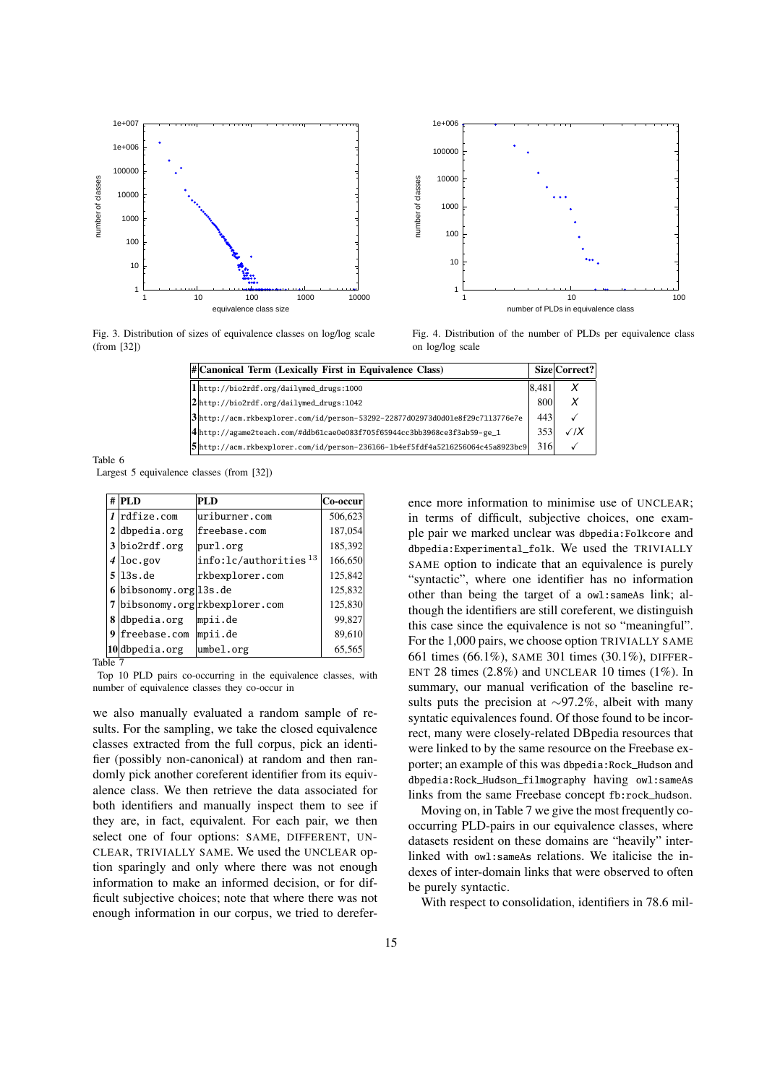

Fig. 3. Distribution of sizes of equivalence classes on log/log scale (from [32])



Fig. 4. Distribution of the number of PLDs per equivalence class on log/log scale

| # Canonical Term (Lexically First in Equivalence Class)                         |       | Size Correct? |
|---------------------------------------------------------------------------------|-------|---------------|
| 1http://bio2rdf.org/dailymed_drugs:1000                                         | 8.481 |               |
| 2http://bio2rdf.org/dailymed_drugs:1042                                         | 800   |               |
| $3$ http://acm.rkbexplorer.com/id/person-53292-22877d02973d0d01e8f29c7113776e7e | 443   |               |
| $ 4 $ http://agame2teach.com/#ddb61cae0e083f705f65944cc3bb3968ce3f3ab59-ge_1    | 353   | $\mathcal{N}$ |
| 5 http://acm.rkbexplorer.com/id/person-236166-1b4ef5fdf4a5216256064c45a8923bc9  | 316   |               |

Largest 5 equivalence classes (from [32])

| # | <b>PLD</b>                | PLD                               | Co-occur |
|---|---------------------------|-----------------------------------|----------|
| 1 | rdfize.com                | uriburner.com                     | 506,623  |
| 2 | dbpedia.org               | freebase.com                      | 187,054  |
|   | 3 bio2rdf.org             | purl.org                          | 185,392  |
|   | $4$ loc.gov               | info:lc/authorities <sup>13</sup> | 166,650  |
|   | $5 13s$ .de               | rkbexplorer.com                   | 125,842  |
|   | 6 bibsonomy.org $13s$ .de |                                   | 125,832  |
| 7 |                           | bibsonomy.org rkbexplorer.com     | 125,830  |
| 8 | dbpedia.org               | mpii.de                           | 99,827   |
| 9 | freebase.com              | mpii.de                           | 89,610   |
|   | 10dbpedia.org             | umbel.org                         | 65,565   |

Table 7

Top 10 PLD pairs co-occurring in the equivalence classes, with number of equivalence classes they co-occur in

we also manually evaluated a random sample of results. For the sampling, we take the closed equivalence classes extracted from the full corpus, pick an identifier (possibly non-canonical) at random and then randomly pick another coreferent identifier from its equivalence class. We then retrieve the data associated for both identifiers and manually inspect them to see if they are, in fact, equivalent. For each pair, we then select one of four options: SAME, DIFFERENT, UN-CLEAR, TRIVIALLY SAME. We used the UNCLEAR option sparingly and only where there was not enough information to make an informed decision, or for difficult subjective choices; note that where there was not enough information in our corpus, we tried to dereference more information to minimise use of UNCLEAR; in terms of difficult, subjective choices, one example pair we marked unclear was dbpedia:Folkcore and dbpedia:Experimental\_folk. We used the TRIVIALLY SAME option to indicate that an equivalence is purely "syntactic", where one identifier has no information other than being the target of a owl:sameAs link; although the identifiers are still coreferent, we distinguish this case since the equivalence is not so "meaningful". For the 1,000 pairs, we choose option TRIVIALLY SAME 661 times (66.1%), SAME 301 times (30.1%), DIFFER-ENT 28 times  $(2.8\%)$  and UNCLEAR 10 times  $(1\%)$ . In summary, our manual verification of the baseline results puts the precision at ∼97.2%, albeit with many syntatic equivalences found. Of those found to be incorrect, many were closely-related DBpedia resources that were linked to by the same resource on the Freebase exporter; an example of this was dbpedia:Rock\_Hudson and dbpedia:Rock\_Hudson\_filmography having owl:sameAs links from the same Freebase concept fb:rock\_hudson.

Moving on, in Table 7 we give the most frequently cooccurring PLD-pairs in our equivalence classes, where datasets resident on these domains are "heavily" interlinked with owl:sameAs relations. We italicise the indexes of inter-domain links that were observed to often be purely syntactic.

With respect to consolidation, identifiers in 78.6 mil-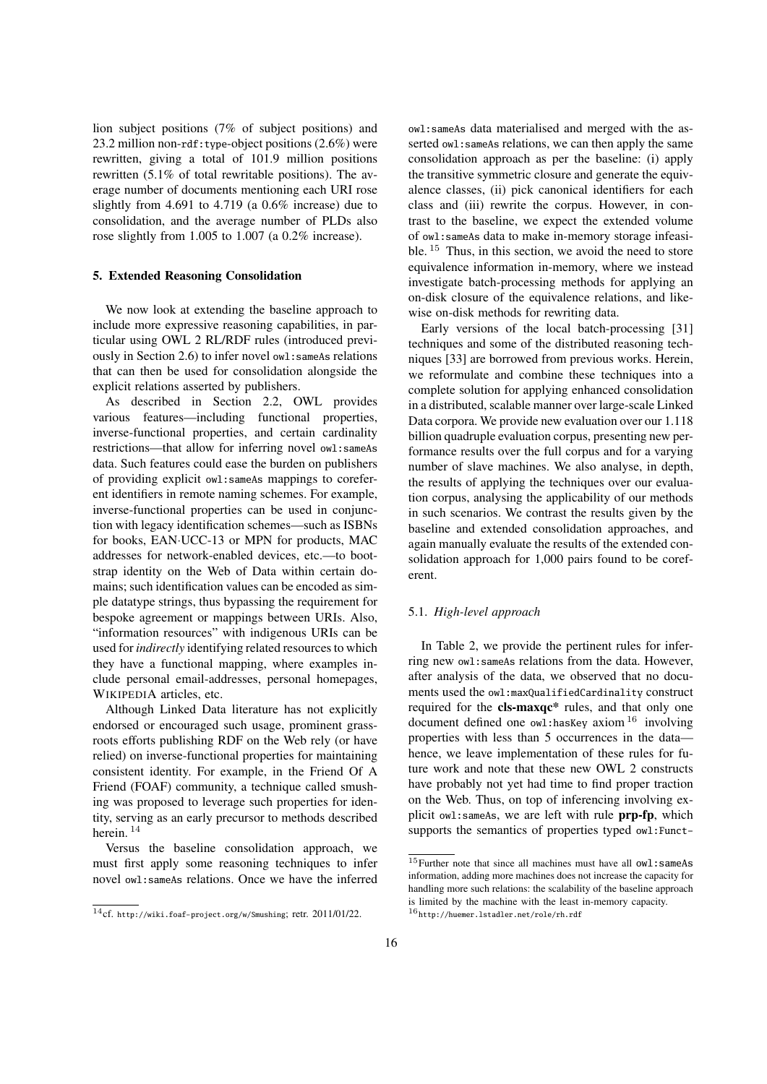lion subject positions (7% of subject positions) and 23.2 million non-rdf:type-object positions (2.6%) were rewritten, giving a total of 101.9 million positions rewritten (5.1% of total rewritable positions). The average number of documents mentioning each URI rose slightly from 4.691 to 4.719 (a 0.6% increase) due to consolidation, and the average number of PLDs also rose slightly from 1.005 to 1.007 (a 0.2% increase).

## 5. Extended Reasoning Consolidation

We now look at extending the baseline approach to include more expressive reasoning capabilities, in particular using OWL 2 RL/RDF rules (introduced previously in Section 2.6) to infer novel owl:sameAs relations that can then be used for consolidation alongside the explicit relations asserted by publishers.

As described in Section 2.2, OWL provides various features—including functional properties, inverse-functional properties, and certain cardinality restrictions—that allow for inferring novel owl:sameAs data. Such features could ease the burden on publishers of providing explicit owl:sameAs mappings to coreferent identifiers in remote naming schemes. For example, inverse-functional properties can be used in conjunction with legacy identification schemes—such as ISBNs for books, EAN·UCC-13 or MPN for products, MAC addresses for network-enabled devices, etc.—to bootstrap identity on the Web of Data within certain domains; such identification values can be encoded as simple datatype strings, thus bypassing the requirement for bespoke agreement or mappings between URIs. Also, "information resources" with indigenous URIs can be used for *indirectly* identifying related resources to which they have a functional mapping, where examples include personal email-addresses, personal homepages, WIKIPEDIA articles, etc.

Although Linked Data literature has not explicitly endorsed or encouraged such usage, prominent grassroots efforts publishing RDF on the Web rely (or have relied) on inverse-functional properties for maintaining consistent identity. For example, in the Friend Of A Friend (FOAF) community, a technique called smushing was proposed to leverage such properties for identity, serving as an early precursor to methods described herein.<sup>14</sup>

Versus the baseline consolidation approach, we must first apply some reasoning techniques to infer novel owl:sameAs relations. Once we have the inferred owl:sameAs data materialised and merged with the asserted owl: sameAs relations, we can then apply the same consolidation approach as per the baseline: (i) apply the transitive symmetric closure and generate the equivalence classes, (ii) pick canonical identifiers for each class and (iii) rewrite the corpus. However, in contrast to the baseline, we expect the extended volume of owl:sameAs data to make in-memory storage infeasible. <sup>15</sup> Thus, in this section, we avoid the need to store equivalence information in-memory, where we instead investigate batch-processing methods for applying an on-disk closure of the equivalence relations, and likewise on-disk methods for rewriting data.

Early versions of the local batch-processing [31] techniques and some of the distributed reasoning techniques [33] are borrowed from previous works. Herein, we reformulate and combine these techniques into a complete solution for applying enhanced consolidation in a distributed, scalable manner over large-scale Linked Data corpora. We provide new evaluation over our 1.118 billion quadruple evaluation corpus, presenting new performance results over the full corpus and for a varying number of slave machines. We also analyse, in depth, the results of applying the techniques over our evaluation corpus, analysing the applicability of our methods in such scenarios. We contrast the results given by the baseline and extended consolidation approaches, and again manually evaluate the results of the extended consolidation approach for 1,000 pairs found to be coreferent.

# 5.1. *High-level approach*

In Table 2, we provide the pertinent rules for inferring new owl:sameAs relations from the data. However, after analysis of the data, we observed that no documents used the owl:maxQualifiedCardinality construct required for the cls-maxqc\* rules, and that only one document defined one owl:hasKey axiom  $16$  involving properties with less than 5 occurrences in the data hence, we leave implementation of these rules for future work and note that these new OWL 2 constructs have probably not yet had time to find proper traction on the Web. Thus, on top of inferencing involving explicit owl:sameAs, we are left with rule prp-fp, which supports the semantics of properties typed owl:Funct-

16

<sup>14</sup>cf. http://wiki.foaf-project.org/w/Smushing; retr. 2011/01/22.

 $15$ Further note that since all machines must have all owl:sameAs information, adding more machines does not increase the capacity for handling more such relations: the scalability of the baseline approach is limited by the machine with the least in-memory capacity. <sup>16</sup>http://huemer.lstadler.net/role/rh.rdf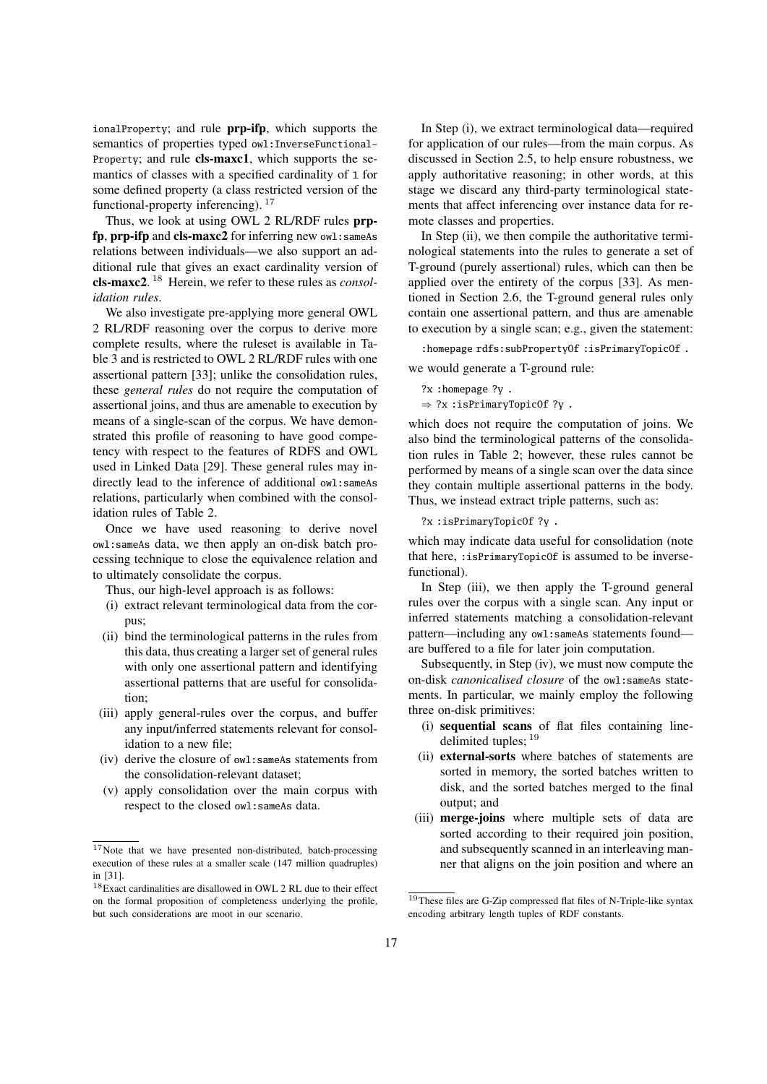ionalProperty; and rule **prp-ifp**, which supports the semantics of properties typed owl:InverseFunctional-Property; and rule **cls-maxc1**, which supports the semantics of classes with a specified cardinality of 1 for some defined property (a class restricted version of the functional-property inferencing). <sup>17</sup>

Thus, we look at using OWL 2 RL/RDF rules prpfp, prp-ifp and cls-maxc2 for inferring new owl:sameAs relations between individuals—we also support an additional rule that gives an exact cardinality version of cls-maxc2. <sup>18</sup> Herein, we refer to these rules as *consolidation rules*.

We also investigate pre-applying more general OWL 2 RL/RDF reasoning over the corpus to derive more complete results, where the ruleset is available in Table 3 and is restricted to OWL 2 RL/RDF rules with one assertional pattern [33]; unlike the consolidation rules, these *general rules* do not require the computation of assertional joins, and thus are amenable to execution by means of a single-scan of the corpus. We have demonstrated this profile of reasoning to have good competency with respect to the features of RDFS and OWL used in Linked Data [29]. These general rules may indirectly lead to the inference of additional owl:sameAs relations, particularly when combined with the consolidation rules of Table 2.

Once we have used reasoning to derive novel owl:sameAs data, we then apply an on-disk batch processing technique to close the equivalence relation and to ultimately consolidate the corpus.

Thus, our high-level approach is as follows:

- (i) extract relevant terminological data from the corpus;
- (ii) bind the terminological patterns in the rules from this data, thus creating a larger set of general rules with only one assertional pattern and identifying assertional patterns that are useful for consolidation;
- (iii) apply general-rules over the corpus, and buffer any input/inferred statements relevant for consolidation to a new file;
- (iv) derive the closure of owl:sameAs statements from the consolidation-relevant dataset;
- (v) apply consolidation over the main corpus with respect to the closed owl:sameAs data.

In Step (i), we extract terminological data—required for application of our rules—from the main corpus. As discussed in Section 2.5, to help ensure robustness, we apply authoritative reasoning; in other words, at this stage we discard any third-party terminological statements that affect inferencing over instance data for remote classes and properties.

In Step (ii), we then compile the authoritative terminological statements into the rules to generate a set of T-ground (purely assertional) rules, which can then be applied over the entirety of the corpus [33]. As mentioned in Section 2.6, the T-ground general rules only contain one assertional pattern, and thus are amenable to execution by a single scan; e.g., given the statement:

:homepage rdfs:subPropertyOf :isPrimaryTopicOf .

we would generate a T-ground rule:

?x :homepage ?y .

 $\Rightarrow$  ?x :isPrimaryTopicOf ?y.

which does not require the computation of joins. We also bind the terminological patterns of the consolidation rules in Table 2; however, these rules cannot be performed by means of a single scan over the data since they contain multiple assertional patterns in the body. Thus, we instead extract triple patterns, such as:

?x :isPrimaryTopicOf ?y .

which may indicate data useful for consolidation (note that here, :isPrimaryTopicOf is assumed to be inversefunctional).

In Step (iii), we then apply the T-ground general rules over the corpus with a single scan. Any input or inferred statements matching a consolidation-relevant pattern—including any owl:sameAs statements foundare buffered to a file for later join computation.

Subsequently, in Step (iv), we must now compute the on-disk *canonicalised closure* of the owl:sameAs statements. In particular, we mainly employ the following three on-disk primitives:

- (i) sequential scans of flat files containing linedelimited tuples; <sup>19</sup>
- (ii) external-sorts where batches of statements are sorted in memory, the sorted batches written to disk, and the sorted batches merged to the final output; and
- (iii) **merge-joins** where multiple sets of data are sorted according to their required join position, and subsequently scanned in an interleaving manner that aligns on the join position and where an

<sup>17</sup>Note that we have presented non-distributed, batch-processing execution of these rules at a smaller scale (147 million quadruples) in [31].

<sup>18</sup>Exact cardinalities are disallowed in OWL 2 RL due to their effect on the formal proposition of completeness underlying the profile, but such considerations are moot in our scenario.

 $19$ These files are G-Zip compressed flat files of N-Triple-like syntax encoding arbitrary length tuples of RDF constants.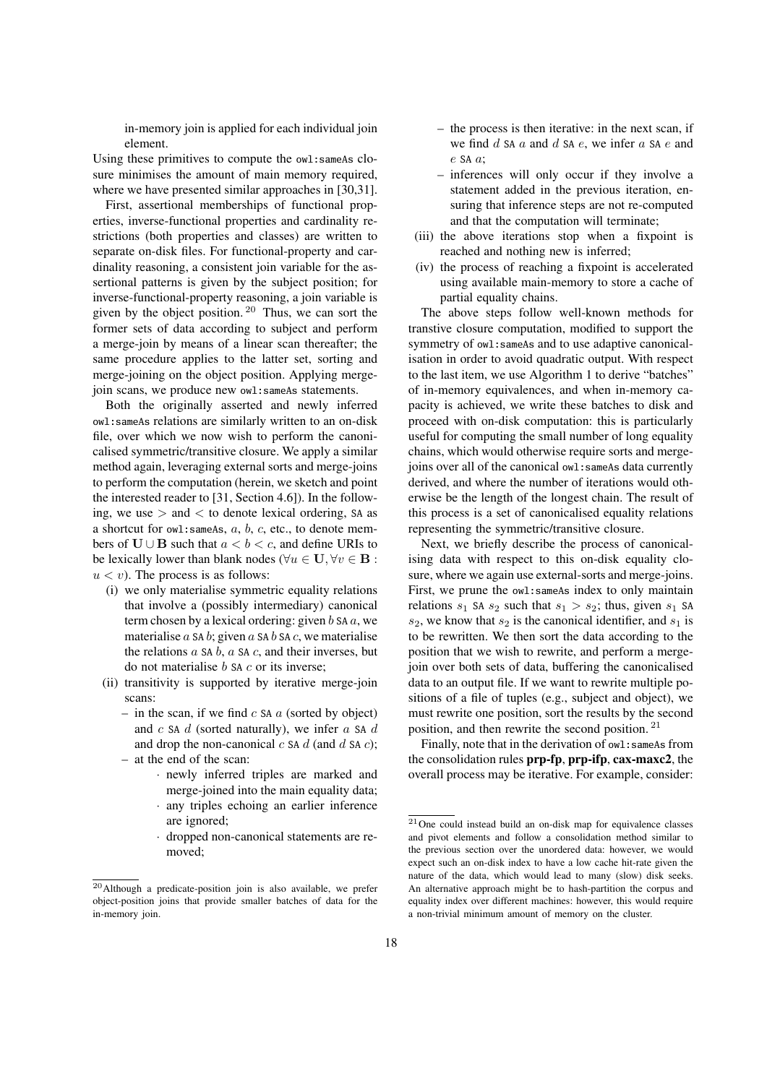in-memory join is applied for each individual join element.

Using these primitives to compute the  $ow1:sameAs$  closure minimises the amount of main memory required, where we have presented similar approaches in [30,31].

First, assertional memberships of functional properties, inverse-functional properties and cardinality restrictions (both properties and classes) are written to separate on-disk files. For functional-property and cardinality reasoning, a consistent join variable for the assertional patterns is given by the subject position; for inverse-functional-property reasoning, a join variable is given by the object position. <sup>20</sup> Thus, we can sort the former sets of data according to subject and perform a merge-join by means of a linear scan thereafter; the same procedure applies to the latter set, sorting and merge-joining on the object position. Applying mergejoin scans, we produce new owl: sameAs statements.

Both the originally asserted and newly inferred owl:sameAs relations are similarly written to an on-disk file, over which we now wish to perform the canonicalised symmetric/transitive closure. We apply a similar method again, leveraging external sorts and merge-joins to perform the computation (herein, we sketch and point the interested reader to [31, Section 4.6]). In the following, we use  $>$  and  $<$  to denote lexical ordering, SA as a shortcut for owl: sameAs,  $a, b, c$ , etc., to denote members of  $U \cup B$  such that  $a < b < c$ , and define URIs to be lexically lower than blank nodes ( $\forall u \in U, \forall v \in B$ :  $u < v$ ). The process is as follows:

- (i) we only materialise symmetric equality relations that involve a (possibly intermediary) canonical term chosen by a lexical ordering: given  $b$  SA  $a$ , we materialise  $a$  SA  $b$ ; given  $a$  SA  $b$  SA  $c$ , we materialise the relations  $a$  SA  $b$ ,  $a$  SA  $c$ , and their inverses, but do not materialise  $b$  SA  $c$  or its inverse;
- (ii) transitivity is supported by iterative merge-join scans:
	- in the scan, if we find  $c$  SA  $a$  (sorted by object) and  $c$  SA  $d$  (sorted naturally), we infer  $a$  SA  $d$ and drop the non-canonical  $c$  SA  $d$  (and  $d$  SA  $c$ ); – at the end of the scan:
		- · newly inferred triples are marked and merge-joined into the main equality data;
		- · any triples echoing an earlier inference are ignored;
		- · dropped non-canonical statements are removed;
- the process is then iterative: in the next scan, if we find  $d$  SA  $a$  and  $d$  SA  $e$ , we infer  $a$  SA  $e$  and  $e$  SA  $a$ ;
- inferences will only occur if they involve a statement added in the previous iteration, ensuring that inference steps are not re-computed and that the computation will terminate;
- (iii) the above iterations stop when a fixpoint is reached and nothing new is inferred;
- (iv) the process of reaching a fixpoint is accelerated using available main-memory to store a cache of partial equality chains.

The above steps follow well-known methods for transtive closure computation, modified to support the symmetry of owl: sameAs and to use adaptive canonicalisation in order to avoid quadratic output. With respect to the last item, we use Algorithm 1 to derive "batches" of in-memory equivalences, and when in-memory capacity is achieved, we write these batches to disk and proceed with on-disk computation: this is particularly useful for computing the small number of long equality chains, which would otherwise require sorts and mergejoins over all of the canonical owl:sameAs data currently derived, and where the number of iterations would otherwise be the length of the longest chain. The result of this process is a set of canonicalised equality relations representing the symmetric/transitive closure.

Next, we briefly describe the process of canonicalising data with respect to this on-disk equality closure, where we again use external-sorts and merge-joins. First, we prune the owl:sameAs index to only maintain relations  $s_1$  SA  $s_2$  such that  $s_1 > s_2$ ; thus, given  $s_1$  SA  $s_2$ , we know that  $s_2$  is the canonical identifier, and  $s_1$  is to be rewritten. We then sort the data according to the position that we wish to rewrite, and perform a mergejoin over both sets of data, buffering the canonicalised data to an output file. If we want to rewrite multiple positions of a file of tuples (e.g., subject and object), we must rewrite one position, sort the results by the second position, and then rewrite the second position. <sup>21</sup>

Finally, note that in the derivation of owl: sameAs from the consolidation rules prp-fp, prp-ifp, cax-maxc2, the overall process may be iterative. For example, consider:

<sup>20</sup>Although a predicate-position join is also available, we prefer object-position joins that provide smaller batches of data for the in-memory join.

 $21$ One could instead build an on-disk map for equivalence classes and pivot elements and follow a consolidation method similar to the previous section over the unordered data: however, we would expect such an on-disk index to have a low cache hit-rate given the nature of the data, which would lead to many (slow) disk seeks. An alternative approach might be to hash-partition the corpus and equality index over different machines: however, this would require a non-trivial minimum amount of memory on the cluster.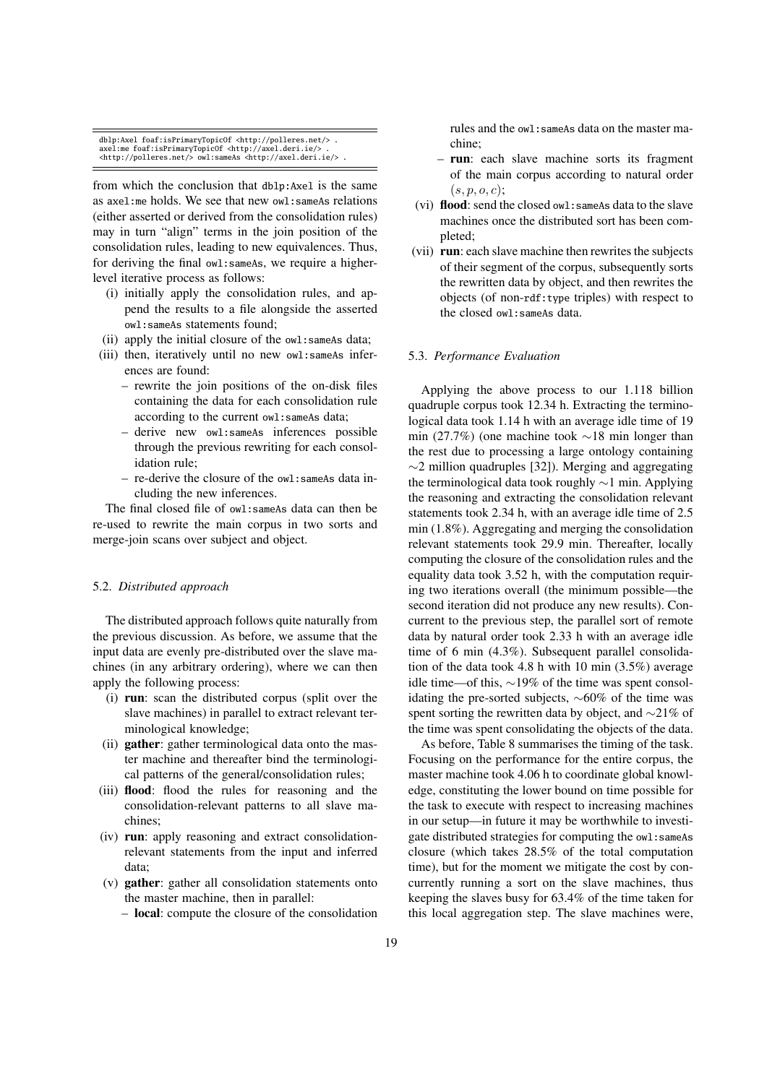dblp:Axel foaf:isPrimaryTopicOf <http://polleres.net/> .<br>axel:me foaf:isPrimaryTopicOf <http://axel.deri.ie/> .<br><http://polleres.net/> owl:sameAs <http://axel.deri.ie/> .

from which the conclusion that dblp:Axel is the same as axel:me holds. We see that new owl:sameAs relations (either asserted or derived from the consolidation rules) may in turn "align" terms in the join position of the consolidation rules, leading to new equivalences. Thus, for deriving the final owl: sameAs, we require a higherlevel iterative process as follows:

- (i) initially apply the consolidation rules, and append the results to a file alongside the asserted owl:sameAs statements found;
- (ii) apply the initial closure of the owl:sameAs data;
- (iii) then, iteratively until no new owl:sameAs inferences are found:
	- rewrite the join positions of the on-disk files containing the data for each consolidation rule according to the current owl:sameAs data;
	- derive new owl:sameAs inferences possible through the previous rewriting for each consolidation rule;
	- re-derive the closure of the owl:sameAs data including the new inferences.

The final closed file of owl:sameAs data can then be re-used to rewrite the main corpus in two sorts and merge-join scans over subject and object.

# 5.2. *Distributed approach*

The distributed approach follows quite naturally from the previous discussion. As before, we assume that the input data are evenly pre-distributed over the slave machines (in any arbitrary ordering), where we can then apply the following process:

- (i) run: scan the distributed corpus (split over the slave machines) in parallel to extract relevant terminological knowledge;
- (ii) **gather**: gather terminological data onto the master machine and thereafter bind the terminological patterns of the general/consolidation rules;
- (iii) flood: flood the rules for reasoning and the consolidation-relevant patterns to all slave machines;
- (iv) run: apply reasoning and extract consolidationrelevant statements from the input and inferred data;
- (v) gather: gather all consolidation statements onto the master machine, then in parallel:
	- local: compute the closure of the consolidation

rules and the owl:sameAs data on the master machine;

- run: each slave machine sorts its fragment of the main corpus according to natural order  $(s, p, o, c);$
- (vi) flood: send the closed owl:sameAs data to the slave machines once the distributed sort has been completed;
- (vii) run: each slave machine then rewrites the subjects of their segment of the corpus, subsequently sorts the rewritten data by object, and then rewrites the objects (of non-rdf:type triples) with respect to the closed owl:sameAs data.

#### 5.3. *Performance Evaluation*

Applying the above process to our 1.118 billion quadruple corpus took 12.34 h. Extracting the terminological data took 1.14 h with an average idle time of 19 min (27.7%) (one machine took ∼18 min longer than the rest due to processing a large ontology containing  $\sim$ 2 million quadruples [32]). Merging and aggregating the terminological data took roughly ∼1 min. Applying the reasoning and extracting the consolidation relevant statements took 2.34 h, with an average idle time of 2.5 min (1.8%). Aggregating and merging the consolidation relevant statements took 29.9 min. Thereafter, locally computing the closure of the consolidation rules and the equality data took 3.52 h, with the computation requiring two iterations overall (the minimum possible—the second iteration did not produce any new results). Concurrent to the previous step, the parallel sort of remote data by natural order took 2.33 h with an average idle time of 6 min (4.3%). Subsequent parallel consolidation of the data took 4.8 h with 10 min (3.5%) average idle time—of this, ∼19% of the time was spent consolidating the pre-sorted subjects, ∼60% of the time was spent sorting the rewritten data by object, and ∼21% of the time was spent consolidating the objects of the data.

As before, Table 8 summarises the timing of the task. Focusing on the performance for the entire corpus, the master machine took 4.06 h to coordinate global knowledge, constituting the lower bound on time possible for the task to execute with respect to increasing machines in our setup—in future it may be worthwhile to investigate distributed strategies for computing the owl:sameAs closure (which takes 28.5% of the total computation time), but for the moment we mitigate the cost by concurrently running a sort on the slave machines, thus keeping the slaves busy for 63.4% of the time taken for this local aggregation step. The slave machines were,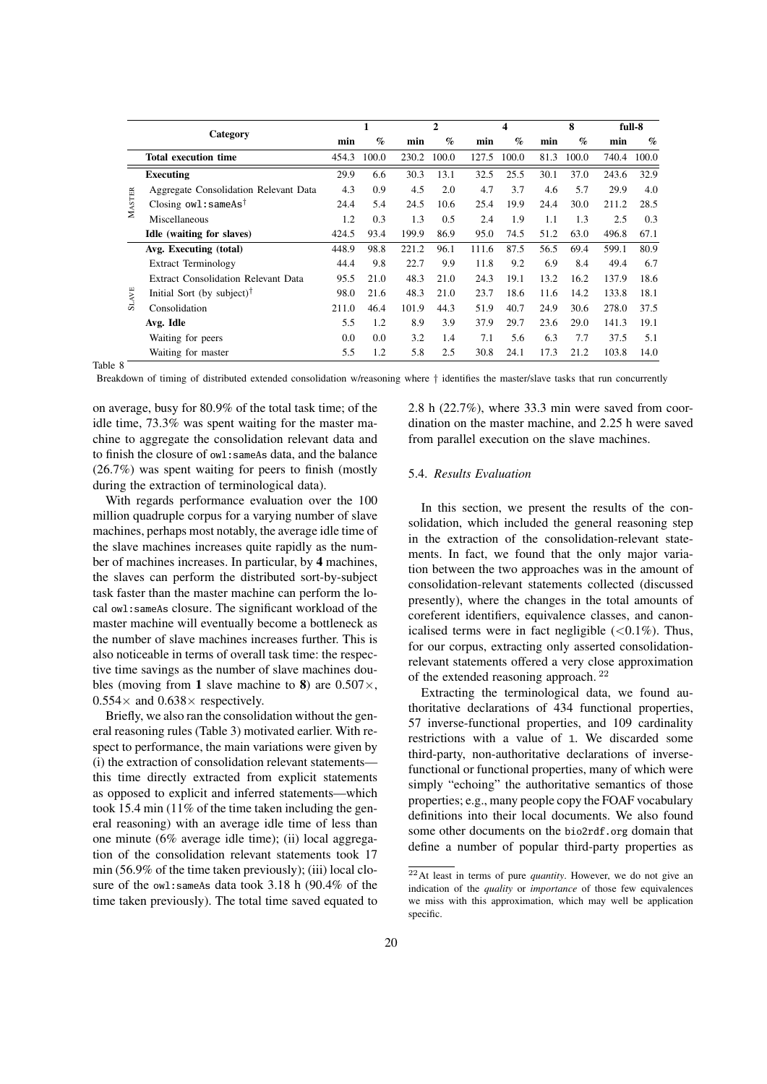|               |                                                            | $\mathbf{2}$<br>1 |                 |       | 4               |       | 8               |      | full-8          |       |       |
|---------------|------------------------------------------------------------|-------------------|-----------------|-------|-----------------|-------|-----------------|------|-----------------|-------|-------|
|               | Category                                                   |                   | $\mathcal{O}_0$ | min   | $\mathcal{O}_0$ | min   | $\mathcal{O}_0$ | min  | $\mathcal{O}_0$ | min   | $\%$  |
|               | <b>Total execution time</b>                                | 454.3             | 100.0           | 230.2 | 100.0           | 127.5 | 100.0           | 81.3 | 100.0           | 740.4 | 100.0 |
|               | <b>Executing</b>                                           | 29.9              | 6.6             | 30.3  | 13.1            | 32.5  | 25.5            | 30.1 | 37.0            | 243.6 | 32.9  |
|               | Aggregate Consolidation Relevant Data                      | 4.3               | 0.9             | 4.5   | 2.0             | 4.7   | 3.7             | 4.6  | 5.7             | 29.9  | 4.0   |
| <b>MASTER</b> | Closing $owl:sameAs^{\dagger}$                             | 24.4              | 5.4             | 24.5  | 10.6            | 25.4  | 19.9            | 24.4 | 30.0            | 211.2 | 28.5  |
|               | Miscellaneous                                              | 1.2               | 0.3             | 1.3   | 0.5             | 2.4   | 1.9             | 1.1  | 1.3             | 2.5   | 0.3   |
|               | Idle (waiting for slaves)                                  | 424.5             | 93.4            | 199.9 | 86.9            | 95.0  | 74.5            | 51.2 | 63.0            | 496.8 | 67.1  |
|               | Avg. Executing (total)                                     | 448.9             | 98.8            | 221.2 | 96.1            | 111.6 | 87.5            | 56.5 | 69.4            | 599.1 | 80.9  |
|               | <b>Extract Terminology</b>                                 | 44.4              | 9.8             | 22.7  | 9.9             | 11.8  | 9.2             | 6.9  | 8.4             | 49.4  | 6.7   |
|               | <b>Extract Consolidation Relevant Data</b>                 | 95.5              | 21.0            | 48.3  | 21.0            | 24.3  | 19.1            | 13.2 | 16.2            | 137.9 | 18.6  |
| <b>SLAVE</b>  | Initial Sort (by subject) <sup><math>\uparrow</math></sup> | 98.0              | 21.6            | 48.3  | 21.0            | 23.7  | 18.6            | 11.6 | 14.2            | 133.8 | 18.1  |
|               | Consolidation                                              | 211.0             | 46.4            | 101.9 | 44.3            | 51.9  | 40.7            | 24.9 | 30.6            | 278.0 | 37.5  |
|               | Avg. Idle                                                  | 5.5               | 1.2             | 8.9   | 3.9             | 37.9  | 29.7            | 23.6 | 29.0            | 141.3 | 19.1  |
|               | Waiting for peers                                          | 0.0               | 0.0             | 3.2   | 1.4             | 7.1   | 5.6             | 6.3  | 7.7             | 37.5  | 5.1   |
|               | Waiting for master                                         | 5.5               | 1.2             | 5.8   | 2.5             | 30.8  | 24.1            | 17.3 | 21.2            | 103.8 | 14.0  |

Breakdown of timing of distributed extended consolidation w/reasoning where † identifies the master/slave tasks that run concurrently

on average, busy for 80.9% of the total task time; of the idle time, 73.3% was spent waiting for the master machine to aggregate the consolidation relevant data and to finish the closure of owl:sameAs data, and the balance (26.7%) was spent waiting for peers to finish (mostly during the extraction of terminological data).

With regards performance evaluation over the 100 million quadruple corpus for a varying number of slave machines, perhaps most notably, the average idle time of the slave machines increases quite rapidly as the number of machines increases. In particular, by 4 machines, the slaves can perform the distributed sort-by-subject task faster than the master machine can perform the local owl:sameAs closure. The significant workload of the master machine will eventually become a bottleneck as the number of slave machines increases further. This is also noticeable in terms of overall task time: the respective time savings as the number of slave machines doubles (moving from 1 slave machine to 8) are  $0.507 \times$ ,  $0.554 \times$  and  $0.638 \times$  respectively.

Briefly, we also ran the consolidation without the general reasoning rules (Table 3) motivated earlier. With respect to performance, the main variations were given by (i) the extraction of consolidation relevant statements this time directly extracted from explicit statements as opposed to explicit and inferred statements—which took 15.4 min (11% of the time taken including the general reasoning) with an average idle time of less than one minute (6% average idle time); (ii) local aggregation of the consolidation relevant statements took 17 min (56.9% of the time taken previously); (iii) local closure of the owl:sameAs data took 3.18 h (90.4% of the time taken previously). The total time saved equated to 2.8 h (22.7%), where 33.3 min were saved from coordination on the master machine, and 2.25 h were saved from parallel execution on the slave machines.

# 5.4. *Results Evaluation*

In this section, we present the results of the consolidation, which included the general reasoning step in the extraction of the consolidation-relevant statements. In fact, we found that the only major variation between the two approaches was in the amount of consolidation-relevant statements collected (discussed presently), where the changes in the total amounts of coreferent identifiers, equivalence classes, and canonicalised terms were in fact negligible  $(<0.1\%)$ . Thus, for our corpus, extracting only asserted consolidationrelevant statements offered a very close approximation of the extended reasoning approach.<sup>22</sup>

Extracting the terminological data, we found authoritative declarations of 434 functional properties, 57 inverse-functional properties, and 109 cardinality restrictions with a value of 1. We discarded some third-party, non-authoritative declarations of inversefunctional or functional properties, many of which were simply "echoing" the authoritative semantics of those properties; e.g., many people copy the FOAF vocabulary definitions into their local documents. We also found some other documents on the bio2rdf.org domain that define a number of popular third-party properties as

<sup>22</sup>At least in terms of pure *quantity*. However, we do not give an indication of the *quality* or *importance* of those few equivalences we miss with this approximation, which may well be application specific.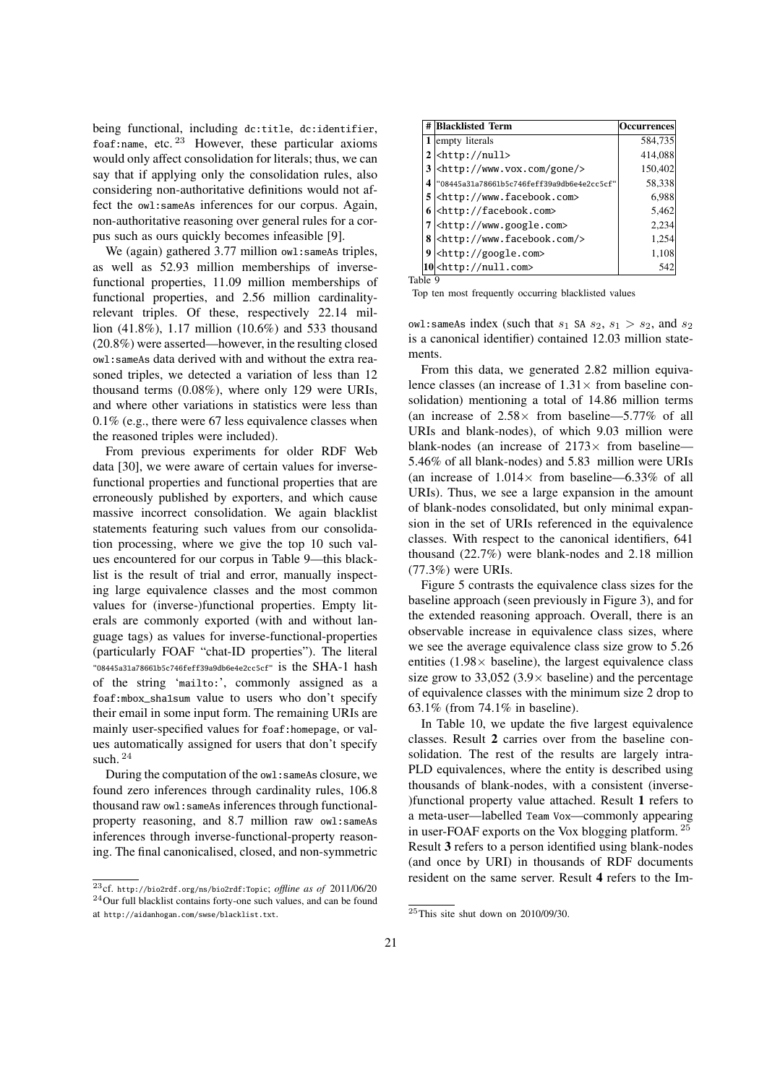being functional, including dc:title, dc:identifier, foaf:name, etc. <sup>23</sup> However, these particular axioms would only affect consolidation for literals; thus, we can say that if applying only the consolidation rules, also considering non-authoritative definitions would not affect the owl:sameAs inferences for our corpus. Again, non-authoritative reasoning over general rules for a corpus such as ours quickly becomes infeasible [9].

We (again) gathered 3.77 million owl: sameAs triples, as well as 52.93 million memberships of inversefunctional properties, 11.09 million memberships of functional properties, and 2.56 million cardinalityrelevant triples. Of these, respectively 22.14 million (41.8%), 1.17 million (10.6%) and 533 thousand (20.8%) were asserted—however, in the resulting closed owl:sameAs data derived with and without the extra reasoned triples, we detected a variation of less than 12 thousand terms (0.08%), where only 129 were URIs, and where other variations in statistics were less than 0.1% (e.g., there were 67 less equivalence classes when the reasoned triples were included).

From previous experiments for older RDF Web data [30], we were aware of certain values for inversefunctional properties and functional properties that are erroneously published by exporters, and which cause massive incorrect consolidation. We again blacklist statements featuring such values from our consolidation processing, where we give the top 10 such values encountered for our corpus in Table 9—this blacklist is the result of trial and error, manually inspecting large equivalence classes and the most common values for (inverse-)functional properties. Empty literals are commonly exported (with and without language tags) as values for inverse-functional-properties (particularly FOAF "chat-ID properties"). The literal "08445a31a78661b5c746feff39a9db6e4e2cc5cf" is the SHA-1 hash of the string 'mailto:', commonly assigned as a foaf:mbox\_sha1sum value to users who don't specify their email in some input form. The remaining URIs are mainly user-specified values for foaf:homepage, or values automatically assigned for users that don't specify such.<sup>24</sup>

During the computation of the owl:sameAs closure, we found zero inferences through cardinality rules, 106.8 thousand raw owl:sameAs inferences through functionalproperty reasoning, and 8.7 million raw owl:sameAs inferences through inverse-functional-property reasoning. The final canonicalised, closed, and non-symmetric

| # | <b>Blacklisted Term</b>                    | ccurrences |
|---|--------------------------------------------|------------|
| 1 | empty literals                             | 584,735    |
|   | <http: null=""></http:>                    | 414,088    |
| 3 | <http: gone="" www.vox.com=""></http:>     | 150,402    |
| 4 | "08445a31a78661b5c746feff39a9db6e4e2cc5cf" | 58,338     |
|   | <http: www.facebook.com=""></http:>        | 6,988      |
|   | <http: facebook.com=""></http:>            | 5,462      |
|   | <http: www.google.com=""></http:>          | 2,234      |
| 8 | <http: www.facebook.com=""></http:>        | 1,254      |
| 9 | <http: google.com=""></http:>              | 1,108      |
|   | $10$ <http: null.com=""></http:>           | 542        |

Table 9

Top ten most frequently occurring blacklisted values

owl: same As index (such that  $s_1$  SA  $s_2$ ,  $s_1 > s_2$ , and  $s_2$ is a canonical identifier) contained 12.03 million statements.

From this data, we generated 2.82 million equivalence classes (an increase of  $1.31\times$  from baseline consolidation) mentioning a total of 14.86 million terms (an increase of  $2.58 \times$  from baseline—5.77% of all URIs and blank-nodes), of which 9.03 million were blank-nodes (an increase of  $2173\times$  from baseline– 5.46% of all blank-nodes) and 5.83 million were URIs (an increase of  $1.014 \times$  from baseline—6.33% of all URIs). Thus, we see a large expansion in the amount of blank-nodes consolidated, but only minimal expansion in the set of URIs referenced in the equivalence classes. With respect to the canonical identifiers, 641 thousand (22.7%) were blank-nodes and 2.18 million (77.3%) were URIs.

Figure 5 contrasts the equivalence class sizes for the baseline approach (seen previously in Figure 3), and for the extended reasoning approach. Overall, there is an observable increase in equivalence class sizes, where we see the average equivalence class size grow to 5.26 entities (1.98 $\times$  baseline), the largest equivalence class size grow to 33,052 (3.9 $\times$  baseline) and the percentage of equivalence classes with the minimum size 2 drop to 63.1% (from 74.1% in baseline).

In Table 10, we update the five largest equivalence classes. Result 2 carries over from the baseline consolidation. The rest of the results are largely intra-PLD equivalences, where the entity is described using thousands of blank-nodes, with a consistent (inverse- )functional property value attached. Result 1 refers to a meta-user—labelled Team Vox—commonly appearing in user-FOAF exports on the Vox blogging platform. <sup>25</sup> Result 3 refers to a person identified using blank-nodes (and once by URI) in thousands of RDF documents resident on the same server. Result 4 refers to the Im-

<sup>23</sup>cf. http://bio2rdf.org/ns/bio2rdf:Topic; *offline as of* 2011/06/20 <sup>24</sup>Our full blacklist contains forty-one such values, and can be found at http://aidanhogan.com/swse/blacklist.txt.

 $25$ This site shut down on 2010/09/30.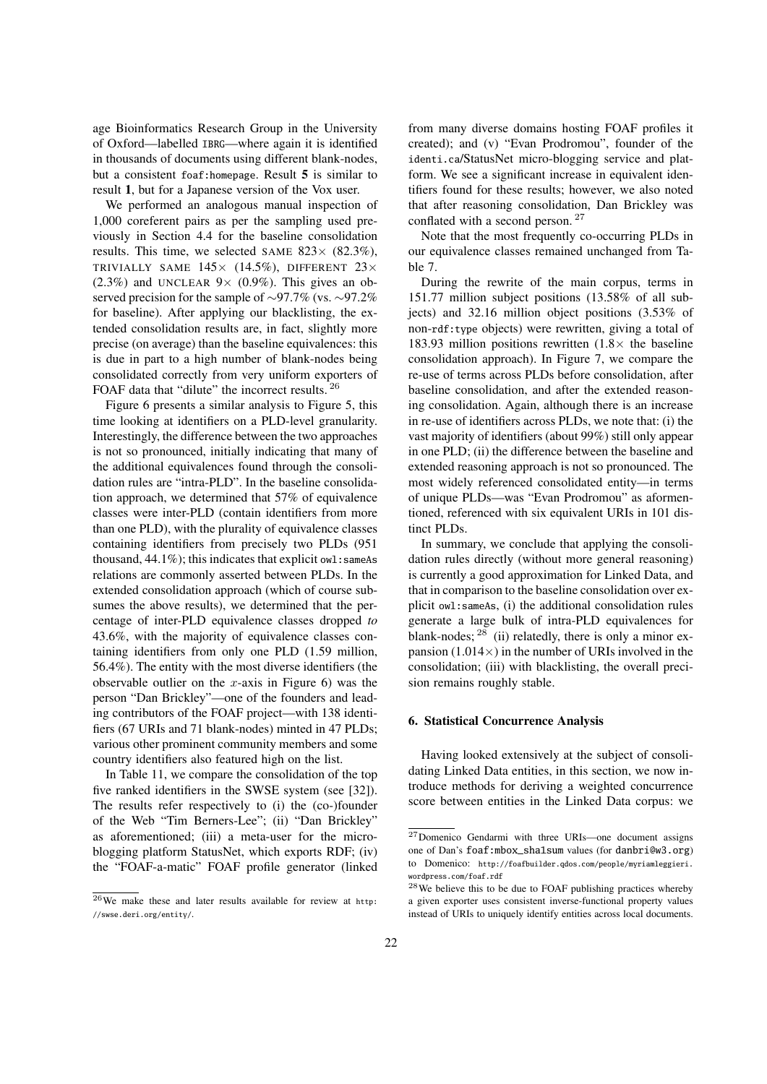age Bioinformatics Research Group in the University of Oxford—labelled IBRG—where again it is identified in thousands of documents using different blank-nodes, but a consistent foaf:homepage. Result 5 is similar to result 1, but for a Japanese version of the Vox user.

We performed an analogous manual inspection of 1,000 coreferent pairs as per the sampling used previously in Section 4.4 for the baseline consolidation results. This time, we selected SAME  $823 \times (82.3\%)$ , TRIVIALLY SAME  $145\times$  (14.5%), DIFFERENT  $23\times$  $(2.3\%)$  and UNCLEAR  $9 \times (0.9\%)$ . This gives an observed precision for the sample of ∼97.7% (vs. ∼97.2% for baseline). After applying our blacklisting, the extended consolidation results are, in fact, slightly more precise (on average) than the baseline equivalences: this is due in part to a high number of blank-nodes being consolidated correctly from very uniform exporters of FOAF data that "dilute" the incorrect results. <sup>26</sup>

Figure 6 presents a similar analysis to Figure 5, this time looking at identifiers on a PLD-level granularity. Interestingly, the difference between the two approaches is not so pronounced, initially indicating that many of the additional equivalences found through the consolidation rules are "intra-PLD". In the baseline consolidation approach, we determined that 57% of equivalence classes were inter-PLD (contain identifiers from more than one PLD), with the plurality of equivalence classes containing identifiers from precisely two PLDs (951 thousand,  $44.1\%$ ); this indicates that explicit owl: sameAs relations are commonly asserted between PLDs. In the extended consolidation approach (which of course subsumes the above results), we determined that the percentage of inter-PLD equivalence classes dropped *to* 43.6%, with the majority of equivalence classes containing identifiers from only one PLD (1.59 million, 56.4%). The entity with the most diverse identifiers (the observable outlier on the  $x$ -axis in Figure 6) was the person "Dan Brickley"—one of the founders and leading contributors of the FOAF project—with 138 identifiers (67 URIs and 71 blank-nodes) minted in 47 PLDs; various other prominent community members and some country identifiers also featured high on the list.

In Table 11, we compare the consolidation of the top five ranked identifiers in the SWSE system (see [32]). The results refer respectively to (i) the (co-)founder of the Web "Tim Berners-Lee"; (ii) "Dan Brickley" as aforementioned; (iii) a meta-user for the microblogging platform StatusNet, which exports RDF; (iv) the "FOAF-a-matic" FOAF profile generator (linked from many diverse domains hosting FOAF profiles it created); and (v) "Evan Prodromou", founder of the identi.ca/StatusNet micro-blogging service and platform. We see a significant increase in equivalent identifiers found for these results; however, we also noted that after reasoning consolidation, Dan Brickley was conflated with a second person.<sup>27</sup>

Note that the most frequently co-occurring PLDs in our equivalence classes remained unchanged from Table 7.

During the rewrite of the main corpus, terms in 151.77 million subject positions (13.58% of all subjects) and 32.16 million object positions (3.53% of non-rdf:type objects) were rewritten, giving a total of 183.93 million positions rewritten  $(1.8 \times$  the baseline consolidation approach). In Figure 7, we compare the re-use of terms across PLDs before consolidation, after baseline consolidation, and after the extended reasoning consolidation. Again, although there is an increase in re-use of identifiers across PLDs, we note that: (i) the vast majority of identifiers (about 99%) still only appear in one PLD; (ii) the difference between the baseline and extended reasoning approach is not so pronounced. The most widely referenced consolidated entity—in terms of unique PLDs—was "Evan Prodromou" as aformentioned, referenced with six equivalent URIs in 101 distinct PLDs.

In summary, we conclude that applying the consolidation rules directly (without more general reasoning) is currently a good approximation for Linked Data, and that in comparison to the baseline consolidation over explicit owl:sameAs, (i) the additional consolidation rules generate a large bulk of intra-PLD equivalences for blank-nodes;  $^{28}$  (ii) relatedly, there is only a minor expansion  $(1.014 \times)$  in the number of URIs involved in the consolidation; (iii) with blacklisting, the overall precision remains roughly stable.

#### 6. Statistical Concurrence Analysis

Having looked extensively at the subject of consolidating Linked Data entities, in this section, we now introduce methods for deriving a weighted concurrence score between entities in the Linked Data corpus: we

 $26$ We make these and later results available for review at http: //swse.deri.org/entity/.

<sup>27</sup>Domenico Gendarmi with three URIs—one document assigns one of Dan's foaf:mbox\_sha1sum values (for danbri@w3.org) to Domenico: http://foafbuilder.qdos.com/people/myriamleggieri. wordpress.com/foaf.rdf

 $28$ We believe this to be due to FOAF publishing practices whereby a given exporter uses consistent inverse-functional property values instead of URIs to uniquely identify entities across local documents.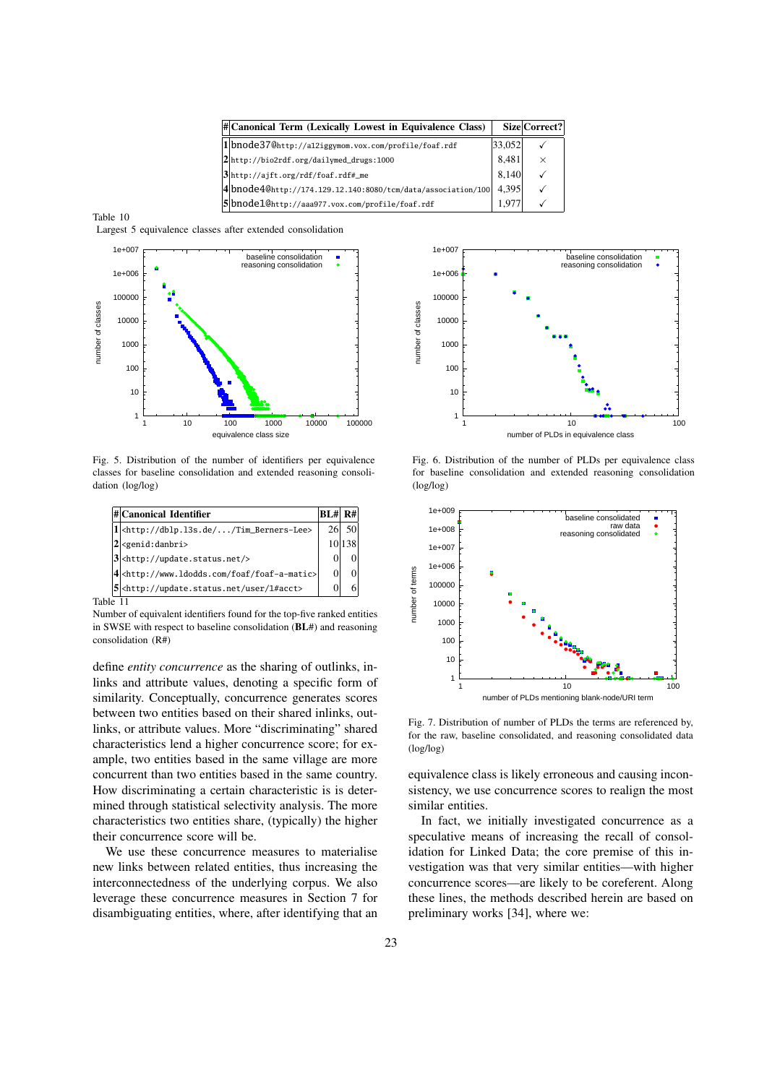| $\#$ Canonical Term (Lexically Lowest in Equivalence Class)  |        | Size Correct? |
|--------------------------------------------------------------|--------|---------------|
| 1 bnode37@http://a12iggymom.vox.com/profile/foaf.rdf         | 33.052 |               |
| 2http://bio2rdf.org/dailymed_drugs:1000                      | 8.481  | $\times$      |
| $ 3 $ http://ajft.org/rdf/foaf.rdf#_me                       | 8.140  |               |
| 4 bnode4@http://174.129.12.140:8080/tcm/data/association/100 | 4.395  |               |
| 5 bnode1@http://aaa977.vox.com/profile/foaf.rdf              | 1.977. |               |

Largest 5 equivalence classes after extended consolidation



Fig. 5. Distribution of the number of identifiers per equivalence classes for baseline consolidation and extended reasoning consolidation (log/log)

| # Canonical Identifier                                      | BL# | R#     |
|-------------------------------------------------------------|-----|--------|
| 1 <http: dblp.l3s.de="" tim_berners-lee=""></http:>         |     | 50     |
| $2$ <genid: danbri=""></genid:>                             |     | 10 138 |
| $3$ <http: update.status.net=""></http:>                    |     |        |
| 4 <http: foaf="" foaf-a-matic="" www.ldodds.com=""></http:> |     | 0      |
| 5  <http: 1#acct="" update.status.net="" user=""></http:>   |     |        |

Table 11

Number of equivalent identifiers found for the top-five ranked entities in SWSE with respect to baseline consolidation (BL#) and reasoning consolidation (R#)

define *entity concurrence* as the sharing of outlinks, inlinks and attribute values, denoting a specific form of similarity. Conceptually, concurrence generates scores between two entities based on their shared inlinks, outlinks, or attribute values. More "discriminating" shared characteristics lend a higher concurrence score; for example, two entities based in the same village are more concurrent than two entities based in the same country. How discriminating a certain characteristic is is determined through statistical selectivity analysis. The more characteristics two entities share, (typically) the higher their concurrence score will be.

We use these concurrence measures to materialise new links between related entities, thus increasing the interconnectedness of the underlying corpus. We also leverage these concurrence measures in Section 7 for disambiguating entities, where, after identifying that an



Fig. 6. Distribution of the number of PLDs per equivalence class for baseline consolidation and extended reasoning consolidation (log/log)



Fig. 7. Distribution of number of PLDs the terms are referenced by, for the raw, baseline consolidated, and reasoning consolidated data (log/log)

equivalence class is likely erroneous and causing inconsistency, we use concurrence scores to realign the most similar entities.

In fact, we initially investigated concurrence as a speculative means of increasing the recall of consolidation for Linked Data; the core premise of this investigation was that very similar entities—with higher concurrence scores—are likely to be coreferent. Along these lines, the methods described herein are based on preliminary works [34], where we: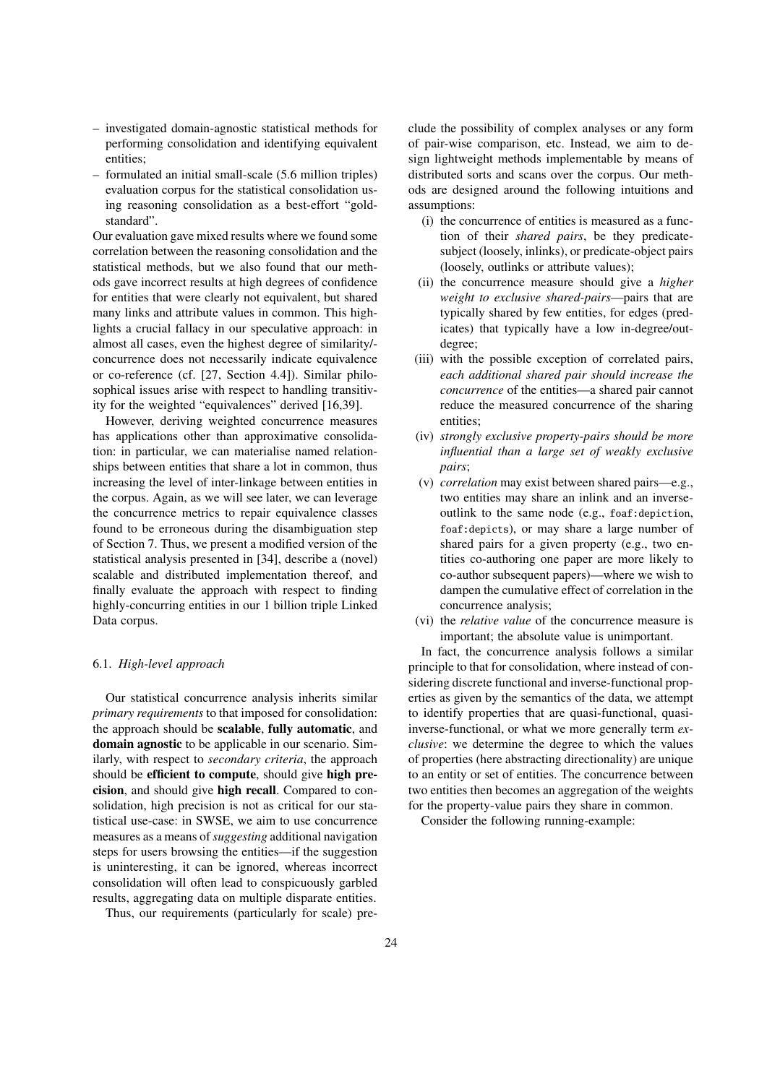- investigated domain-agnostic statistical methods for performing consolidation and identifying equivalent entities;
- formulated an initial small-scale (5.6 million triples) evaluation corpus for the statistical consolidation using reasoning consolidation as a best-effort "goldstandard".

Our evaluation gave mixed results where we found some correlation between the reasoning consolidation and the statistical methods, but we also found that our methods gave incorrect results at high degrees of confidence for entities that were clearly not equivalent, but shared many links and attribute values in common. This highlights a crucial fallacy in our speculative approach: in almost all cases, even the highest degree of similarity/ concurrence does not necessarily indicate equivalence or co-reference (cf. [27, Section 4.4]). Similar philosophical issues arise with respect to handling transitivity for the weighted "equivalences" derived [16,39].

However, deriving weighted concurrence measures has applications other than approximative consolidation: in particular, we can materialise named relationships between entities that share a lot in common, thus increasing the level of inter-linkage between entities in the corpus. Again, as we will see later, we can leverage the concurrence metrics to repair equivalence classes found to be erroneous during the disambiguation step of Section 7. Thus, we present a modified version of the statistical analysis presented in [34], describe a (novel) scalable and distributed implementation thereof, and finally evaluate the approach with respect to finding highly-concurring entities in our 1 billion triple Linked Data corpus.

#### 6.1. *High-level approach*

Our statistical concurrence analysis inherits similar *primary requirements* to that imposed for consolidation: the approach should be scalable, fully automatic, and domain agnostic to be applicable in our scenario. Similarly, with respect to *secondary criteria*, the approach should be efficient to compute, should give high precision, and should give high recall. Compared to consolidation, high precision is not as critical for our statistical use-case: in SWSE, we aim to use concurrence measures as a means of*suggesting* additional navigation steps for users browsing the entities—if the suggestion is uninteresting, it can be ignored, whereas incorrect consolidation will often lead to conspicuously garbled results, aggregating data on multiple disparate entities.

Thus, our requirements (particularly for scale) pre-

clude the possibility of complex analyses or any form of pair-wise comparison, etc. Instead, we aim to design lightweight methods implementable by means of distributed sorts and scans over the corpus. Our methods are designed around the following intuitions and assumptions:

- (i) the concurrence of entities is measured as a function of their *shared pairs*, be they predicatesubject (loosely, inlinks), or predicate-object pairs (loosely, outlinks or attribute values);
- (ii) the concurrence measure should give a *higher weight to exclusive shared-pairs*—pairs that are typically shared by few entities, for edges (predicates) that typically have a low in-degree/outdegree;
- (iii) with the possible exception of correlated pairs, *each additional shared pair should increase the concurrence* of the entities—a shared pair cannot reduce the measured concurrence of the sharing entities;
- (iv) *strongly exclusive property-pairs should be more influential than a large set of weakly exclusive pairs*;
- (v) *correlation* may exist between shared pairs—e.g., two entities may share an inlink and an inverseoutlink to the same node (e.g., foaf:depiction, foaf:depicts), or may share a large number of shared pairs for a given property (e.g., two entities co-authoring one paper are more likely to co-author subsequent papers)—where we wish to dampen the cumulative effect of correlation in the concurrence analysis;
- (vi) the *relative value* of the concurrence measure is important; the absolute value is unimportant.

In fact, the concurrence analysis follows a similar principle to that for consolidation, where instead of considering discrete functional and inverse-functional properties as given by the semantics of the data, we attempt to identify properties that are quasi-functional, quasiinverse-functional, or what we more generally term *exclusive*: we determine the degree to which the values of properties (here abstracting directionality) are unique to an entity or set of entities. The concurrence between two entities then becomes an aggregation of the weights for the property-value pairs they share in common.

Consider the following running-example: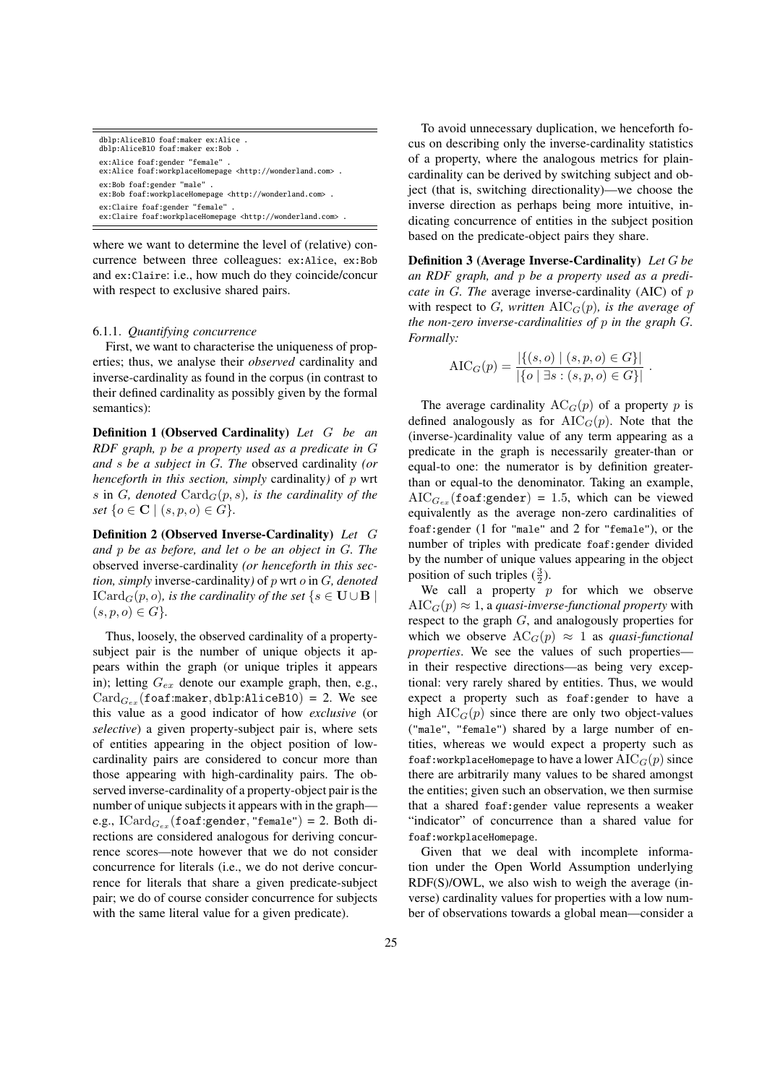| dblp:AliceB10 foaf:maker ex:Alice.<br>dblp:AliceB10 foaf:maker ex:Bob.                                  |
|---------------------------------------------------------------------------------------------------------|
| ex:Alice foaf:gender "female".<br>ex:Alice foaf:workplaceHomepage <http: wonderland.com="">.</http:>    |
| ex:Bob foaf:gender "male".<br>ex:Bob foaf:workplaceHomepage <http: wonderland.com="">.</http:>          |
| ex:Claire foaf:gender "female".<br>ex:Claire foaf:workplaceHomepage <http: wonderland.com=""> .</http:> |

where we want to determine the level of (relative) concurrence between three colleagues: ex:Alice, ex:Bob and ex:Claire: i.e., how much do they coincide/concur with respect to exclusive shared pairs.

# 6.1.1. *Quantifying concurrence*

First, we want to characterise the uniqueness of properties; thus, we analyse their *observed* cardinality and inverse-cardinality as found in the corpus (in contrast to their defined cardinality as possibly given by the formal semantics):

Definition 1 (Observed Cardinality) *Let* G *be an RDF graph,* p *be a property used as a predicate in* G *and* s *be a subject in* G*. The* observed cardinality *(or henceforth in this section, simply* cardinality*)* of p wrt s in G, denoted  $\text{Card}_G(p, s)$ , is the cardinality of the *set*  $\{o \in \mathbf{C} \mid (s, p, o) \in G\}.$ 

Definition 2 (Observed Inverse-Cardinality) *Let* G *and* p *be as before, and let* o *be an object in* G*. The* observed inverse-cardinality *(or henceforth in this section, simply* inverse-cardinality*)* of p wrt o in G*, denoted*  $\text{ICard}_G(p, o)$ *, is the cardinality of the set*  $\{s \in \mathbf{U} \cup \mathbf{B} \mid \}$  $(s, p, o) \in G$ .

Thus, loosely, the observed cardinality of a propertysubject pair is the number of unique objects it appears within the graph (or unique triples it appears in); letting  $G_{ex}$  denote our example graph, then, e.g.,  $Card_{G_{ex}}(\texttt{foaf}:\texttt{maker},\texttt{dblp}: \texttt{AliceB10}) = 2.$  We see this value as a good indicator of how *exclusive* (or *selective*) a given property-subject pair is, where sets of entities appearing in the object position of lowcardinality pairs are considered to concur more than those appearing with high-cardinality pairs. The observed inverse-cardinality of a property-object pair is the number of unique subjects it appears with in the graph e.g.,  $\text{ICard}_{G_{ex}}(\texttt{foaf:gender},\texttt{"female"})=2.$  Both directions are considered analogous for deriving concurrence scores—note however that we do not consider concurrence for literals (i.e., we do not derive concurrence for literals that share a given predicate-subject pair; we do of course consider concurrence for subjects with the same literal value for a given predicate).

To avoid unnecessary duplication, we henceforth focus on describing only the inverse-cardinality statistics of a property, where the analogous metrics for plaincardinality can be derived by switching subject and object (that is, switching directionality)—we choose the inverse direction as perhaps being more intuitive, indicating concurrence of entities in the subject position based on the predicate-object pairs they share.

Definition 3 (Average Inverse-Cardinality) *Let* G *be an RDF graph, and* p *be a property used as a predicate in* G*. The* average inverse-cardinality (AIC) of p with respect to G, written  $AIC_G(p)$ *, is the average of the non-zero inverse-cardinalities of* p *in the graph* G*. Formally:*

$$
AIC_G(p) = \frac{|\{(s, o) \mid (s, p, o) \in G\}|}{|\{o \mid \exists s : (s, p, o) \in G\}|}.
$$

The average cardinality  $AC_G(p)$  of a property p is defined analogously as for  $AIC<sub>G</sub>(p)$ . Note that the (inverse-)cardinality value of any term appearing as a predicate in the graph is necessarily greater-than or equal-to one: the numerator is by definition greaterthan or equal-to the denominator. Taking an example,  $\text{AIC}_{G_{ex}}(\texttt{foaf:gender}) = 1.5$ , which can be viewed equivalently as the average non-zero cardinalities of foaf:gender (1 for "male" and 2 for "female"), or the number of triples with predicate foaf:gender divided by the number of unique values appearing in the object position of such triples  $(\frac{3}{2})$ .

We call a property  $p$  for which we observe  $AIC<sub>G</sub>(p) \approx 1$ , a *quasi-inverse-functional property* with respect to the graph G, and analogously properties for which we observe  $AC_G(p) \approx 1$  as *quasi-functional properties*. We see the values of such properties in their respective directions—as being very exceptional: very rarely shared by entities. Thus, we would expect a property such as foaf:gender to have a high  $AIC_G(p)$  since there are only two object-values ("male", "female") shared by a large number of entities, whereas we would expect a property such as foaf:workplaceHomepage to have a lower  $AIC_G(p)$  since there are arbitrarily many values to be shared amongst the entities; given such an observation, we then surmise that a shared foaf:gender value represents a weaker "indicator" of concurrence than a shared value for foaf:workplaceHomepage.

Given that we deal with incomplete information under the Open World Assumption underlying RDF(S)/OWL, we also wish to weigh the average (inverse) cardinality values for properties with a low number of observations towards a global mean—consider a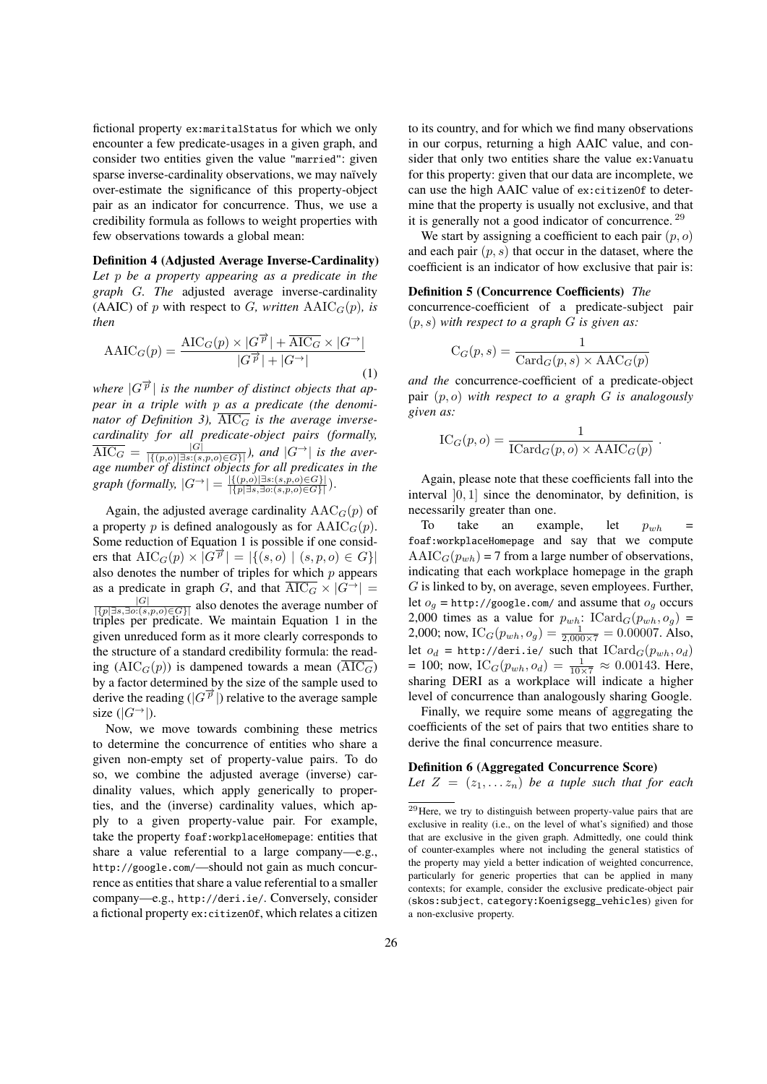fictional property ex:maritalStatus for which we only encounter a few predicate-usages in a given graph, and consider two entities given the value "married": given sparse inverse-cardinality observations, we may naïvely over-estimate the significance of this property-object pair as an indicator for concurrence. Thus, we use a credibility formula as follows to weight properties with few observations towards a global mean:

Definition 4 (Adjusted Average Inverse-Cardinality) *Let* p *be a property appearing as a predicate in the graph* G*. The* adjusted average inverse-cardinality (AAIC) of p with respect to G, written  $\text{AAIC}_G(p)$ , is *then*

$$
AAIC_G(p) = \frac{AIC_G(p) \times |G^{\overrightarrow{p}}| + \overline{AIC_G} \times |G^{\rightarrow}|}{|G^{\overrightarrow{p}}| + |G^{\rightarrow}|}
$$
(1)

where  $|G^{\vec{p}}|$  is the number of distinct objects that ap*pear in a triple with* p *as a predicate (the denominator of Definition 3),*  $\overline{\text{AIC}_G}$  *is the average inversecardinality for all predicate-object pairs (formally,*  $\overline{\text{AIC}_G} = \frac{|G|}{|\{(p,o)|\exists s:(s,p,o)\in G\}|}$ , and  $|G^{\rightarrow}|$  is the aver*age number of distinct objects for all predicates in the*  $graph (formally, |G^{\rightarrow}| = \frac{|\{(p,o)| \exists s:(s,p,o) \in G\}|}{|\{p| \exists s, \exists o:(s,p,o) \in G\}|}).$ 

Again, the adjusted average cardinality  $\text{AAC}_G(p)$  of a property p is defined analogously as for  $\text{AAIC}_G(p)$ . Some reduction of Equation 1 is possible if one considers that  $AIC_G(p) \times |G^{\vec{p}}| = |\{(s, o) | (s, p, o) \in G\}|$ also denotes the number of triples for which  $p$  appears as a predicate in graph G, and that  $AIC_G \times |G^{-1}| =$  $\frac{|G|}{|\{p|\exists s,\exists o:(s,p,o)\in G\}|}$  also denotes the average number of triples per predicate. We maintain Equation 1 in the given unreduced form as it more clearly corresponds to the structure of a standard credibility formula: the reading  $(AIC_G(p))$  is dampened towards a mean  $(\overline{AIC_G})$ by a factor determined by the size of the sample used to derive the reading  $(|G^{\vec{p}}|)$  relative to the average sample size  $(|G^{\rightarrow}|)$ .

Now, we move towards combining these metrics to determine the concurrence of entities who share a given non-empty set of property-value pairs. To do so, we combine the adjusted average (inverse) cardinality values, which apply generically to properties, and the (inverse) cardinality values, which apply to a given property-value pair. For example, take the property foaf:workplaceHomepage: entities that share a value referential to a large company—e.g., http://google.com/—should not gain as much concurrence as entities that share a value referential to a smaller company—e.g., http://deri.ie/. Conversely, consider a fictional property ex:citizenOf, which relates a citizen to its country, and for which we find many observations in our corpus, returning a high AAIC value, and consider that only two entities share the value ex:Vanuatu for this property: given that our data are incomplete, we can use the high AAIC value of ex:citizenOf to determine that the property is usually not exclusive, and that it is generally not a good indicator of concurrence.  $29$ 

We start by assigning a coefficient to each pair  $(p, o)$ and each pair  $(p, s)$  that occur in the dataset, where the coefficient is an indicator of how exclusive that pair is:

#### Definition 5 (Concurrence Coefficients) *The*

concurrence-coefficient of a predicate-subject pair (p, s) *with respect to a graph* G *is given as:*

$$
C_G(p, s) = \frac{1}{Card_G(p, s) \times AAC_G(p)}
$$

*and the* concurrence-coefficient of a predicate-object pair (p, o) *with respect to a graph* G *is analogously given as:*

$$
IC_G(p, o) = \frac{1}{ICard_G(p, o) \times AAIC_G(p)}.
$$

Again, please note that these coefficients fall into the interval  $[0, 1]$  since the denominator, by definition, is necessarily greater than one.

To take an example, let  $p_{wh}$ foaf:workplaceHomepage and say that we compute  $AAIC<sub>G</sub>(p<sub>wh</sub>) = 7$  from a large number of observations, indicating that each workplace homepage in the graph  $G$  is linked to by, on average, seven employees. Further, let  $o<sub>a</sub>$  = http://google.com/ and assume that  $o<sub>a</sub>$  occurs 2,000 times as a value for  $p_{wh}$ : ICard $_G(p_{wh}, o_g)$  = 2,000; now,  $IC_G(p_{wh}, o_g) = \frac{1}{2,000 \times 7} = 0.00007$ . Also, let  $o_d = \text{http://deri.ie/ such that } ICard_G(p_{wh}, o_d)$ = 100; now,  $IC_G(p_{wh}, o_d) = \frac{1}{10 \times 7} \approx 0.00143$ . Here, sharing DERI as a workplace will indicate a higher level of concurrence than analogously sharing Google.

Finally, we require some means of aggregating the coefficients of the set of pairs that two entities share to derive the final concurrence measure.

# Definition 6 (Aggregated Concurrence Score)

Let  $Z = (z_1, \ldots z_n)$  be a tuple such that for each

 $29$  Here, we try to distinguish between property-value pairs that are exclusive in reality (i.e., on the level of what's signified) and those that are exclusive in the given graph. Admittedly, one could think of counter-examples where not including the general statistics of the property may yield a better indication of weighted concurrence, particularly for generic properties that can be applied in many contexts; for example, consider the exclusive predicate-object pair (skos:subject, category:Koenigsegg\_vehicles) given for a non-exclusive property.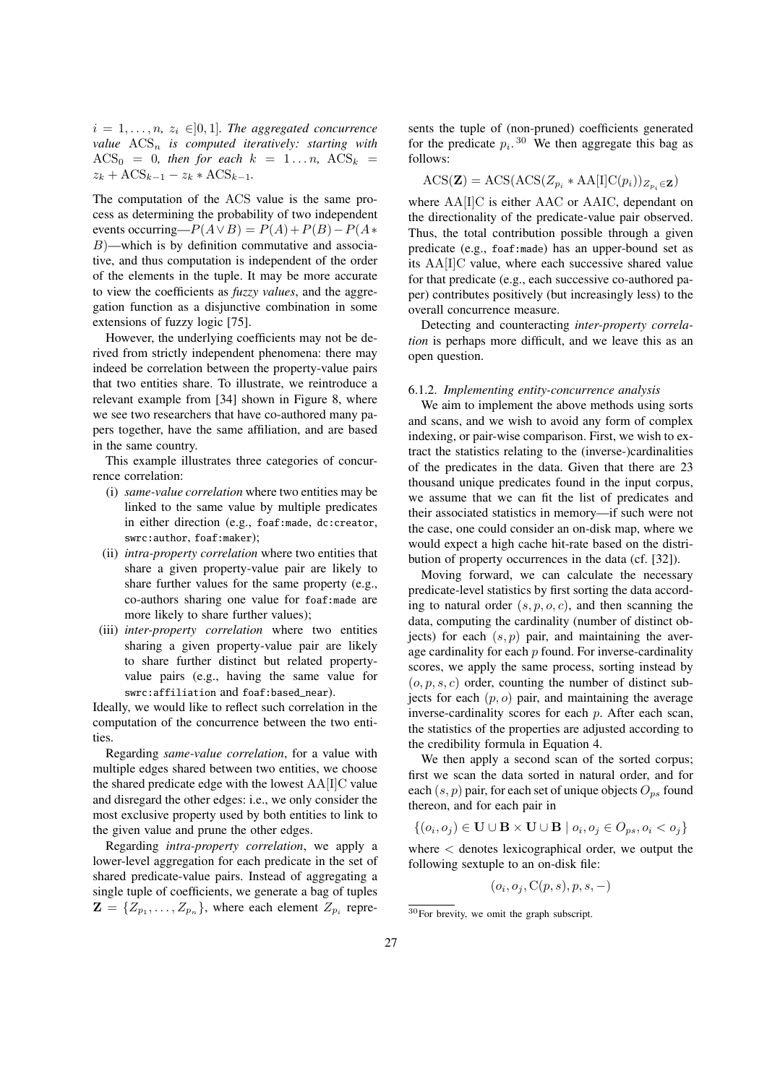$i = 1, \ldots, n, z_i \in ]0,1]$ *. The aggregated concurrence value*  $ACS_n$  *is computed iteratively: starting with*  $\text{ACS}_0 = 0$ *, then for each*  $k = 1...n$ ,  $\text{ACS}_k =$  $z_k + \text{ACS}_{k-1} - z_k * \text{ACS}_{k-1}.$ 

The computation of the ACS value is the same process as determining the probability of two independent events occurring— $P(A \lor B) = P(A) + P(B) - P(A \ast B)$  $B$ )—which is by definition commutative and associative, and thus computation is independent of the order of the elements in the tuple. It may be more accurate to view the coefficients as *fuzzy values*, and the aggregation function as a disjunctive combination in some extensions of fuzzy logic [75].

However, the underlying coefficients may not be derived from strictly independent phenomena: there may indeed be correlation between the property-value pairs that two entities share. To illustrate, we reintroduce a relevant example from [34] shown in Figure 8, where we see two researchers that have co-authored many papers together, have the same affiliation, and are based in the same country.

This example illustrates three categories of concurrence correlation:

- (i) *same-value correlation* where two entities may be linked to the same value by multiple predicates in either direction (e.g., foaf:made, dc:creator, swrc:author, foaf:maker);
- (ii) *intra-property correlation* where two entities that share a given property-value pair are likely to share further values for the same property (e.g., co-authors sharing one value for foaf:made are more likely to share further values);
- (iii) *inter-property correlation* where two entities sharing a given property-value pair are likely to share further distinct but related propertyvalue pairs (e.g., having the same value for swrc:affiliation and foaf:based\_near).

Ideally, we would like to reflect such correlation in the computation of the concurrence between the two entities.

Regarding *same-value correlation*, for a value with multiple edges shared between two entities, we choose the shared predicate edge with the lowest AA[I]C value and disregard the other edges: i.e., we only consider the most exclusive property used by both entities to link to the given value and prune the other edges.

Regarding *intra-property correlation*, we apply a lower-level aggregation for each predicate in the set of shared predicate-value pairs. Instead of aggregating a single tuple of coefficients, we generate a bag of tuples  $\mathbf{Z} = \{Z_{p_1}, \ldots, Z_{p_n}\},\$  where each element  $Z_{p_i}$  represents the tuple of (non-pruned) coefficients generated for the predicate  $p_i$ . <sup>30</sup> We then aggregate this bag as follows:

$$
ACS(\mathbf{Z}) = ACS(ACS(Z_{p_i} * AA[I]C(p_i))_{Z_{p_i} \in \mathbf{Z}})
$$

where AA[I]C is either AAC or AAIC, dependant on the directionality of the predicate-value pair observed. Thus, the total contribution possible through a given predicate (e.g., foaf:made) has an upper-bound set as its AA[I]C value, where each successive shared value for that predicate (e.g., each successive co-authored paper) contributes positively (but increasingly less) to the overall concurrence measure.

Detecting and counteracting *inter-property correlation* is perhaps more difficult, and we leave this as an open question.

#### 6.1.2. *Implementing entity-concurrence analysis*

We aim to implement the above methods using sorts and scans, and we wish to avoid any form of complex indexing, or pair-wise comparison. First, we wish to extract the statistics relating to the (inverse-)cardinalities of the predicates in the data. Given that there are 23 thousand unique predicates found in the input corpus, we assume that we can fit the list of predicates and their associated statistics in memory—if such were not the case, one could consider an on-disk map, where we would expect a high cache hit-rate based on the distribution of property occurrences in the data (cf. [32]).

Moving forward, we can calculate the necessary predicate-level statistics by first sorting the data according to natural order  $(s, p, o, c)$ , and then scanning the data, computing the cardinality (number of distinct objects) for each  $(s, p)$  pair, and maintaining the average cardinality for each  $p$  found. For inverse-cardinality scores, we apply the same process, sorting instead by  $(o, p, s, c)$  order, counting the number of distinct subjects for each  $(p, o)$  pair, and maintaining the average inverse-cardinality scores for each p. After each scan, the statistics of the properties are adjusted according to the credibility formula in Equation 4.

We then apply a second scan of the sorted corpus; first we scan the data sorted in natural order, and for each  $(s, p)$  pair, for each set of unique objects  $O_{ps}$  found thereon, and for each pair in

$$
\{(o_i, o_j) \in \mathbf{U} \cup \mathbf{B} \times \mathbf{U} \cup \mathbf{B} \mid o_i, o_j \in O_{ps}, o_i < o_j\}
$$

where < denotes lexicographical order, we output the following sextuple to an on-disk file:

$$
(o_i, o_j, C(p, s), p, s, -)
$$

 $30$  For brevity, we omit the graph subscript.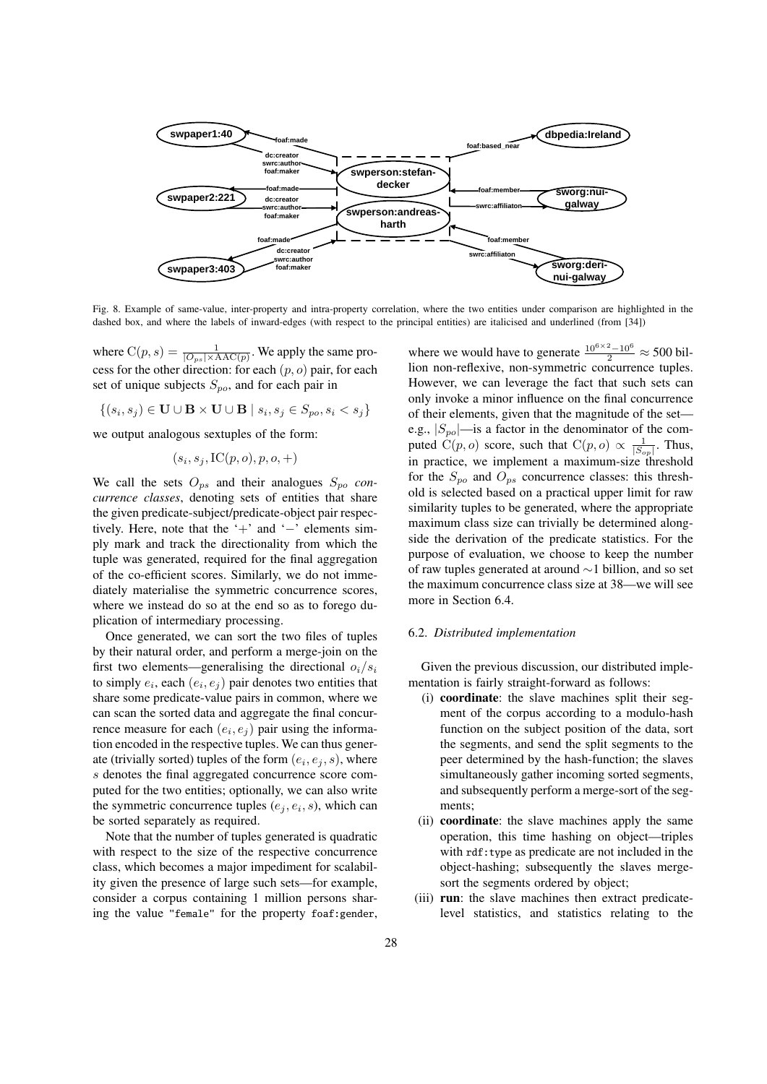

Fig. 8. Example of same-value, inter-property and intra-property correlation, where the two entities under comparison are highlighted in the dashed box, and where the labels of inward-edges (with respect to the principal entities) are italicised and underlined (from [34])

where  $C(p, s) = \frac{1}{|O_{ps}| \times \text{AAC}(p)}$ . We apply the same process for the other direction: for each  $(p, o)$  pair, for each set of unique subjects  $S_{po}$ , and for each pair in

$$
\{(s_i, s_j) \in \mathbf{U} \cup \mathbf{B} \times \mathbf{U} \cup \mathbf{B} \mid s_i, s_j \in S_{po}, s_i < s_j\}
$$

we output analogous sextuples of the form:

$$
(s_i, s_j, \mathcal{IC}(p, o), p, o, +)
$$

We call the sets  $O_{ps}$  and their analogues  $S_{po}$  *concurrence classes*, denoting sets of entities that share the given predicate-subject/predicate-object pair respectively. Here, note that the '+' and ' $-$ ' elements simply mark and track the directionality from which the tuple was generated, required for the final aggregation of the co-efficient scores. Similarly, we do not immediately materialise the symmetric concurrence scores, where we instead do so at the end so as to forego duplication of intermediary processing.

Once generated, we can sort the two files of tuples by their natural order, and perform a merge-join on the first two elements—generalising the directional  $o_i/s_i$ to simply  $e_i$ , each  $(e_i, e_j)$  pair denotes two entities that share some predicate-value pairs in common, where we can scan the sorted data and aggregate the final concurrence measure for each  $(e_i, e_j)$  pair using the information encoded in the respective tuples. We can thus generate (trivially sorted) tuples of the form  $(e_i, e_j, s)$ , where s denotes the final aggregated concurrence score computed for the two entities; optionally, we can also write the symmetric concurrence tuples  $(e_j, e_i, s)$ , which can be sorted separately as required.

Note that the number of tuples generated is quadratic with respect to the size of the respective concurrence class, which becomes a major impediment for scalability given the presence of large such sets—for example, consider a corpus containing 1 million persons sharing the value "female" for the property foaf:gender,

where we would have to generate  $\frac{10^{6 \times 2} - 10^{6}}{2} \approx 500$  billion non-reflexive, non-symmetric concurrence tuples. However, we can leverage the fact that such sets can only invoke a minor influence on the final concurrence of their elements, given that the magnitude of the set e.g.,  $|S_{po}$ —is a factor in the denominator of the computed  $\tilde{C}(p, o)$  score, such that  $C(p, o) \propto \frac{1}{|S_{op}|}$ . Thus, in practice, we implement a maximum-size threshold for the  $S_{po}$  and  $O_{ps}$  concurrence classes: this threshold is selected based on a practical upper limit for raw similarity tuples to be generated, where the appropriate maximum class size can trivially be determined alongside the derivation of the predicate statistics. For the purpose of evaluation, we choose to keep the number of raw tuples generated at around ∼1 billion, and so set the maximum concurrence class size at 38—we will see more in Section 6.4.

#### 6.2. *Distributed implementation*

Given the previous discussion, our distributed implementation is fairly straight-forward as follows:

- (i) coordinate: the slave machines split their segment of the corpus according to a modulo-hash function on the subject position of the data, sort the segments, and send the split segments to the peer determined by the hash-function; the slaves simultaneously gather incoming sorted segments, and subsequently perform a merge-sort of the segments;
- (ii) coordinate: the slave machines apply the same operation, this time hashing on object—triples with rdf:type as predicate are not included in the object-hashing; subsequently the slaves mergesort the segments ordered by object;
- (iii) run: the slave machines then extract predicatelevel statistics, and statistics relating to the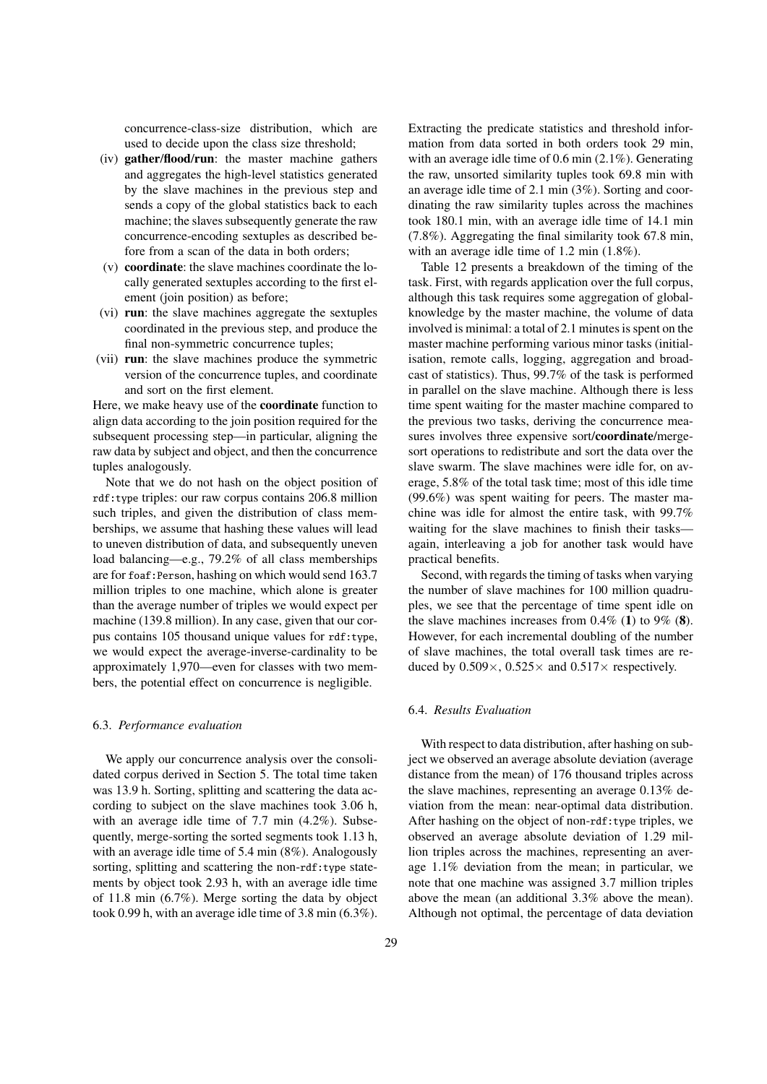concurrence-class-size distribution, which are used to decide upon the class size threshold;

- (iv) gather/flood/run: the master machine gathers and aggregates the high-level statistics generated by the slave machines in the previous step and sends a copy of the global statistics back to each machine; the slaves subsequently generate the raw concurrence-encoding sextuples as described before from a scan of the data in both orders;
- (v) coordinate: the slave machines coordinate the locally generated sextuples according to the first element (join position) as before;
- (vi) run: the slave machines aggregate the sextuples coordinated in the previous step, and produce the final non-symmetric concurrence tuples;
- (vii) run: the slave machines produce the symmetric version of the concurrence tuples, and coordinate and sort on the first element.

Here, we make heavy use of the coordinate function to align data according to the join position required for the subsequent processing step—in particular, aligning the raw data by subject and object, and then the concurrence tuples analogously.

Note that we do not hash on the object position of rdf:type triples: our raw corpus contains 206.8 million such triples, and given the distribution of class memberships, we assume that hashing these values will lead to uneven distribution of data, and subsequently uneven load balancing—e.g., 79.2% of all class memberships are for foaf:Person, hashing on which would send 163.7 million triples to one machine, which alone is greater than the average number of triples we would expect per machine (139.8 million). In any case, given that our corpus contains 105 thousand unique values for rdf:type, we would expect the average-inverse-cardinality to be approximately 1,970—even for classes with two members, the potential effect on concurrence is negligible.

#### 6.3. *Performance evaluation*

We apply our concurrence analysis over the consolidated corpus derived in Section 5. The total time taken was 13.9 h. Sorting, splitting and scattering the data according to subject on the slave machines took 3.06 h, with an average idle time of 7.7 min (4.2%). Subsequently, merge-sorting the sorted segments took 1.13 h, with an average idle time of 5.4 min (8%). Analogously sorting, splitting and scattering the non-rdf:type statements by object took 2.93 h, with an average idle time of 11.8 min (6.7%). Merge sorting the data by object took 0.99 h, with an average idle time of 3.8 min (6.3%). Extracting the predicate statistics and threshold information from data sorted in both orders took 29 min, with an average idle time of 0.6 min (2.1%). Generating the raw, unsorted similarity tuples took 69.8 min with an average idle time of 2.1 min (3%). Sorting and coordinating the raw similarity tuples across the machines took 180.1 min, with an average idle time of 14.1 min (7.8%). Aggregating the final similarity took 67.8 min, with an average idle time of 1.2 min (1.8%).

Table 12 presents a breakdown of the timing of the task. First, with regards application over the full corpus, although this task requires some aggregation of globalknowledge by the master machine, the volume of data involved is minimal: a total of 2.1 minutes is spent on the master machine performing various minor tasks (initialisation, remote calls, logging, aggregation and broadcast of statistics). Thus, 99.7% of the task is performed in parallel on the slave machine. Although there is less time spent waiting for the master machine compared to the previous two tasks, deriving the concurrence measures involves three expensive sort/coordinate/mergesort operations to redistribute and sort the data over the slave swarm. The slave machines were idle for, on average, 5.8% of the total task time; most of this idle time (99.6%) was spent waiting for peers. The master machine was idle for almost the entire task, with 99.7% waiting for the slave machines to finish their tasks again, interleaving a job for another task would have practical benefits.

Second, with regards the timing of tasks when varying the number of slave machines for 100 million quadruples, we see that the percentage of time spent idle on the slave machines increases from  $0.4\%$  (1) to 9% (8). However, for each incremental doubling of the number of slave machines, the total overall task times are reduced by  $0.509 \times$ ,  $0.525 \times$  and  $0.517 \times$  respectively.

#### 6.4. *Results Evaluation*

With respect to data distribution, after hashing on subject we observed an average absolute deviation (average distance from the mean) of 176 thousand triples across the slave machines, representing an average 0.13% deviation from the mean: near-optimal data distribution. After hashing on the object of non-rdf:type triples, we observed an average absolute deviation of 1.29 million triples across the machines, representing an average 1.1% deviation from the mean; in particular, we note that one machine was assigned 3.7 million triples above the mean (an additional 3.3% above the mean). Although not optimal, the percentage of data deviation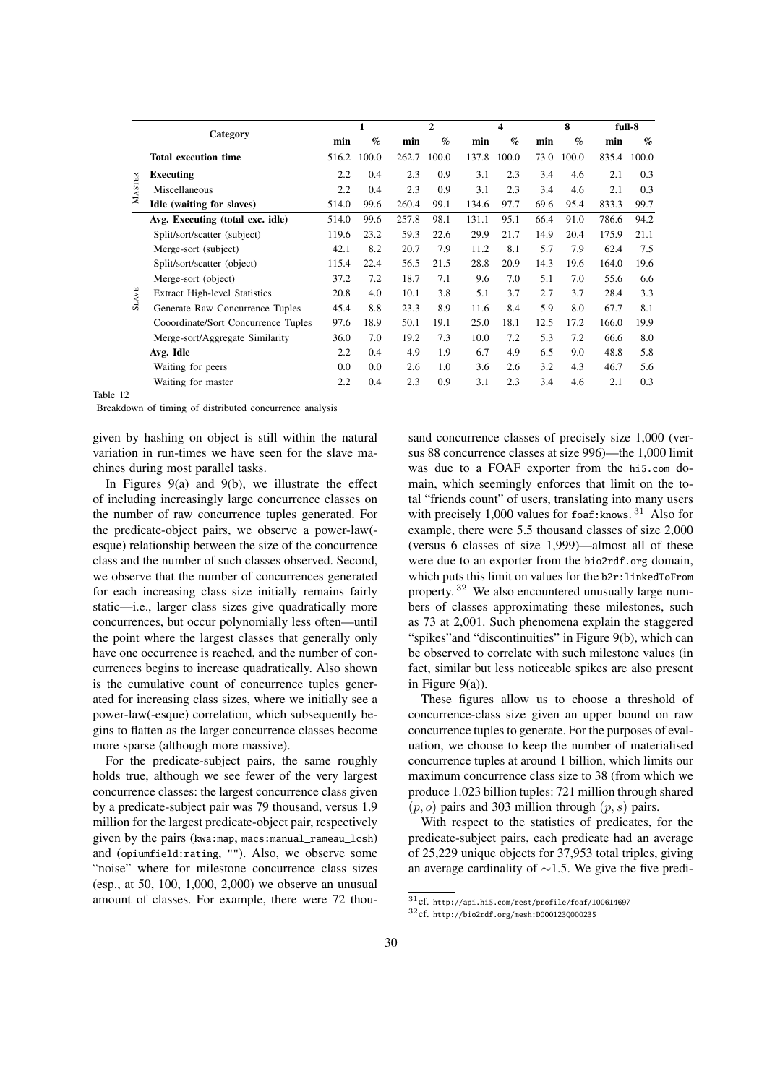|               | Category                             |         | 1               |       | $\mathbf{2}$    |       | 4     |      | 8               |       | full-8 |
|---------------|--------------------------------------|---------|-----------------|-------|-----------------|-------|-------|------|-----------------|-------|--------|
|               |                                      |         | $\mathcal{O}_0$ | min   | $\mathcal{O}_0$ | min   | $\%$  | min  | $\mathcal{O}_0$ | min   | $\%$   |
|               | <b>Total execution time</b>          | 516.2   | 100.0           | 262.7 | 100.0           | 137.8 | 100.0 | 73.0 | 100.0           | 835.4 | 100.0  |
|               | <b>Executing</b>                     | 2.2     | 0.4             | 2.3   | 0.9             | 3.1   | 2.3   | 3.4  | 4.6             | 2.1   | 0.3    |
| <b>MASTER</b> | Miscellaneous                        | 2.2     | 0.4             | 2.3   | 0.9             | 3.1   | 2.3   | 3.4  | 4.6             | 2.1   | 0.3    |
|               | Idle (waiting for slaves)            | 514.0   | 99.6            | 260.4 | 99.1            | 134.6 | 97.7  | 69.6 | 95.4            | 833.3 | 99.7   |
|               | Avg. Executing (total exc. idle)     | 514.0   | 99.6            | 257.8 | 98.1            | 131.1 | 95.1  | 66.4 | 91.0            | 786.6 | 94.2   |
|               | Split/sort/scatter (subject)         | 119.6   | 23.2            | 59.3  | 22.6            | 29.9  | 21.7  | 14.9 | 20.4            | 175.9 | 21.1   |
|               | Merge-sort (subject)                 | 42.1    | 8.2             | 20.7  | 7.9             | 11.2  | 8.1   | 5.7  | 7.9             | 62.4  | 7.5    |
|               | Split/sort/scatter (object)          | 115.4   | 22.4            | 56.5  | 21.5            | 28.8  | 20.9  | 14.3 | 19.6            | 164.0 | 19.6   |
|               | Merge-sort (object)                  | 37.2    | 7.2             | 18.7  | 7.1             | 9.6   | 7.0   | 5.1  | 7.0             | 55.6  | 6.6    |
| <b>SLAVE</b>  | <b>Extract High-level Statistics</b> | 20.8    | 4.0             | 10.1  | 3.8             | 5.1   | 3.7   | 2.7  | 3.7             | 28.4  | 3.3    |
|               | Generate Raw Concurrence Tuples      | 45.4    | 8.8             | 23.3  | 8.9             | 11.6  | 8.4   | 5.9  | 8.0             | 67.7  | 8.1    |
|               | Cooordinate/Sort Concurrence Tuples  | 97.6    | 18.9            | 50.1  | 19.1            | 25.0  | 18.1  | 12.5 | 17.2            | 166.0 | 19.9   |
|               | Merge-sort/Aggregate Similarity      | 36.0    | 7.0             | 19.2  | 7.3             | 10.0  | 7.2   | 5.3  | 7.2             | 66.6  | 8.0    |
|               | Avg. Idle                            | $2.2\,$ | 0.4             | 4.9   | 1.9             | 6.7   | 4.9   | 6.5  | 9.0             | 48.8  | 5.8    |
|               | Waiting for peers                    | 0.0     | 0.0             | 2.6   | 1.0             | 3.6   | 2.6   | 3.2  | 4.3             | 46.7  | 5.6    |
|               | Waiting for master                   | 2.2     | 0.4             | 2.3   | 0.9             | 3.1   | 2.3   | 3.4  | 4.6             | 2.1   | 0.3    |

Breakdown of timing of distributed concurrence analysis

given by hashing on object is still within the natural variation in run-times we have seen for the slave machines during most parallel tasks.

In Figures  $9(a)$  and  $9(b)$ , we illustrate the effect of including increasingly large concurrence classes on the number of raw concurrence tuples generated. For the predicate-object pairs, we observe a power-law( esque) relationship between the size of the concurrence class and the number of such classes observed. Second, we observe that the number of concurrences generated for each increasing class size initially remains fairly static—i.e., larger class sizes give quadratically more concurrences, but occur polynomially less often—until the point where the largest classes that generally only have one occurrence is reached, and the number of concurrences begins to increase quadratically. Also shown is the cumulative count of concurrence tuples generated for increasing class sizes, where we initially see a power-law(-esque) correlation, which subsequently begins to flatten as the larger concurrence classes become more sparse (although more massive).

For the predicate-subject pairs, the same roughly holds true, although we see fewer of the very largest concurrence classes: the largest concurrence class given by a predicate-subject pair was 79 thousand, versus 1.9 million for the largest predicate-object pair, respectively given by the pairs (kwa:map, macs:manual\_rameau\_lcsh) and (opiumfield:rating, ""). Also, we observe some "noise" where for milestone concurrence class sizes (esp., at 50, 100, 1,000, 2,000) we observe an unusual amount of classes. For example, there were 72 thousand concurrence classes of precisely size 1,000 (versus 88 concurrence classes at size 996)—the 1,000 limit was due to a FOAF exporter from the hi5.com domain, which seemingly enforces that limit on the total "friends count" of users, translating into many users with precisely 1,000 values for foaf: knows.<sup>31</sup> Also for example, there were 5.5 thousand classes of size 2,000 (versus 6 classes of size 1,999)—almost all of these were due to an exporter from the bio2rdf.org domain, which puts this limit on values for the b2r:linkedToFrom property. <sup>32</sup> We also encountered unusually large numbers of classes approximating these milestones, such as 73 at 2,001. Such phenomena explain the staggered "spikes"and "discontinuities" in Figure 9(b), which can be observed to correlate with such milestone values (in fact, similar but less noticeable spikes are also present in Figure 9(a)).

These figures allow us to choose a threshold of concurrence-class size given an upper bound on raw concurrence tuples to generate. For the purposes of evaluation, we choose to keep the number of materialised concurrence tuples at around 1 billion, which limits our maximum concurrence class size to 38 (from which we produce 1.023 billion tuples: 721 million through shared  $(p, o)$  pairs and 303 million through  $(p, s)$  pairs.

With respect to the statistics of predicates, for the predicate-subject pairs, each predicate had an average of 25,229 unique objects for 37,953 total triples, giving an average cardinality of ∼1.5. We give the five predi-

 $\rm{^{31}cr.}$ http://api.hi5.com/rest/profile/foaf/100614697

<sup>32</sup>cf. http://bio2rdf.org/mesh:D000123Q000235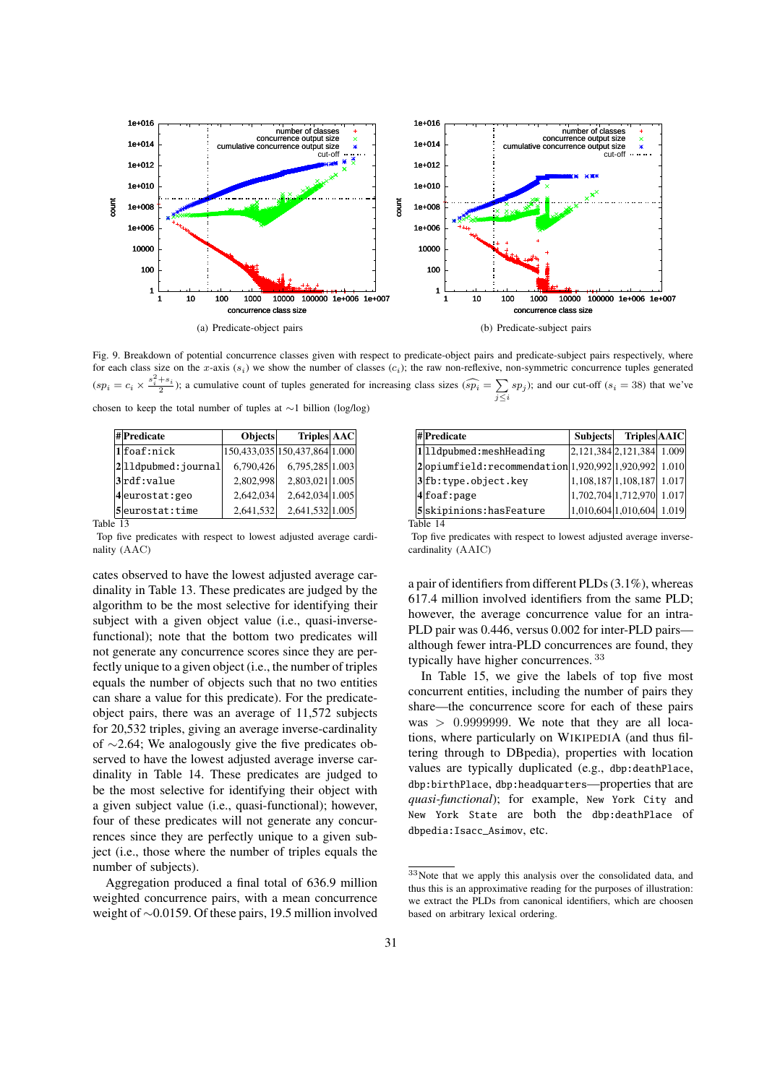

Fig. 9. Breakdown of potential concurrence classes given with respect to predicate-object pairs and predicate-subject pairs respectively, where for each class size on the x-axis  $(s_i)$  we show the number of classes  $(c_i)$ ; the raw non-reflexive, non-symmetric concurrence tuples generated  $(sp_i = c_i \times \frac{s_i^2 + s_i}{2})$ ; a cumulative count of tuples generated for increasing class sizes  $(\widehat{sp_i} = \sum_{j \leq i} sp_j)$ ; and our cut-off  $(s_i = 38)$  that we've chosen to keep the total number of tuples at ∼1 billion (log/log)

| #Predicate              | <b>Objects</b> | Triples AAC                   |  |
|-------------------------|----------------|-------------------------------|--|
| 1 foaf:nick             |                | 150,433,035 150,437,864 1.000 |  |
| $2$  lldpubmed: journal | 6,790,426      | 6,795,285 1.003               |  |
| $3$ $rdf$ : value       | 2,802,998      | 2,803,021 1.005               |  |
| 4 eurostat: geo         | 2,642,034      | 2,642,034 1.005               |  |
| 5eurostat:time          | 2,641,532      | 2,641,532 1.005               |  |

Top five predicates with respect to lowest adjusted average cardinality (AAC)

cates observed to have the lowest adjusted average cardinality in Table 13. These predicates are judged by the algorithm to be the most selective for identifying their subject with a given object value (i.e., quasi-inversefunctional); note that the bottom two predicates will not generate any concurrence scores since they are perfectly unique to a given object (i.e., the number of triples equals the number of objects such that no two entities can share a value for this predicate). For the predicateobject pairs, there was an average of 11,572 subjects for 20,532 triples, giving an average inverse-cardinality of ∼2.64; We analogously give the five predicates observed to have the lowest adjusted average inverse cardinality in Table 14. These predicates are judged to be the most selective for identifying their object with a given subject value (i.e., quasi-functional); however, four of these predicates will not generate any concurrences since they are perfectly unique to a given subject (i.e., those where the number of triples equals the number of subjects).

Aggregation produced a final total of 636.9 million weighted concurrence pairs, with a mean concurrence weight of ∼0.0159. Of these pairs, 19.5 million involved

|      | #Predicate                                                | <b>Subjects</b>           | Triples AAIC              |       |
|------|-----------------------------------------------------------|---------------------------|---------------------------|-------|
|      | $1 11$ dpubmed: meshHeading                               | 2,121,384 2,121,384 1.009 |                           |       |
|      | $2$  opiumfield:recommendation 1,920,992 1,920,992  1.010 |                           |                           |       |
|      | $ 3 $ fb:type.object.key                                  |                           | 1,108,187 1,108,187 1.017 |       |
|      | 4 foaf: page                                              |                           | 1,702,704 1,712,970 1.017 |       |
|      | Sskipinions: has Feature                                  |                           | 1,010,604 1,010,604       | 1.019 |
| Tabl |                                                           |                           |                           |       |

Top five predicates with respect to lowest adjusted average inversecardinality (AAIC)

a pair of identifiers from different PLDs (3.1%), whereas 617.4 million involved identifiers from the same PLD; however, the average concurrence value for an intra-PLD pair was 0.446, versus 0.002 for inter-PLD pairs although fewer intra-PLD concurrences are found, they typically have higher concurrences. <sup>33</sup>

In Table 15, we give the labels of top five most concurrent entities, including the number of pairs they share—the concurrence score for each of these pairs was  $> 0.9999999$ . We note that they are all locations, where particularly on WIKIPEDIA (and thus filtering through to DBpedia), properties with location values are typically duplicated (e.g., dbp:deathPlace, dbp:birthPlace, dbp:headquarters—properties that are *quasi-functional*); for example, New York City and New York State are both the dbp:deathPlace of dbpedia:Isacc\_Asimov, etc.

<sup>33</sup>Note that we apply this analysis over the consolidated data, and thus this is an approximative reading for the purposes of illustration: we extract the PLDs from canonical identifiers, which are choosen based on arbitrary lexical ordering.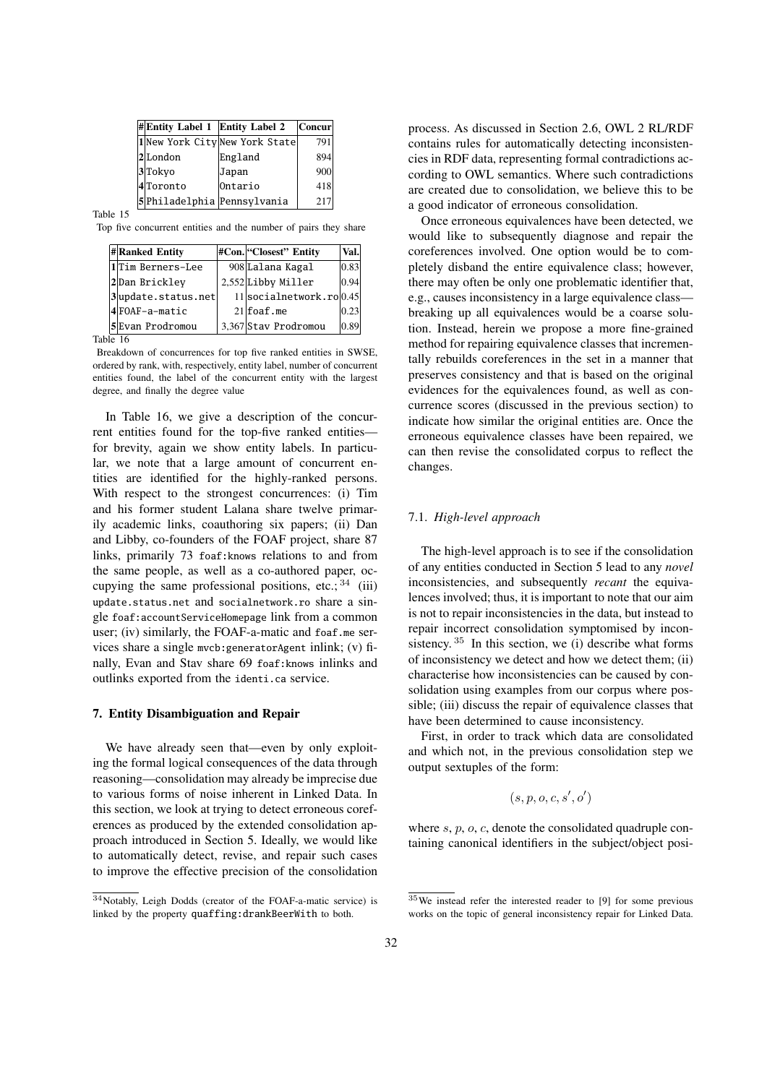| #Entity Label 1 Entity Label 2 |                                | Concur |
|--------------------------------|--------------------------------|--------|
|                                | 1 New York City New York State | 791    |
| 2London                        | England                        | 894    |
| 3Tokyo                         | Japan                          | 900    |
| 4 Toronto                      | Ontario                        | 418    |
| 5 Philadelphia Pennsylvania    |                                | 217    |

Top five concurrent entities and the number of pairs they share

| #Ranked Entity        | #Con. "Closest" Entity            | Val. |
|-----------------------|-----------------------------------|------|
| llTim Berners-Lee     | 908 Lalana Kagal                  | 0.83 |
| 2Dan Bricklev         | 2,552 Libby Miller                | 0.94 |
| $3$ update.status.net | $11 {\rm social network.ro} 0.45$ |      |
| 4FOAF-a-matic         | $21$ foaf.me                      | 0.23 |
| 5 Evan Prodromou      | 3,367 Stav Prodromou              | 0.89 |

Table 16

Breakdown of concurrences for top five ranked entities in SWSE, ordered by rank, with, respectively, entity label, number of concurrent entities found, the label of the concurrent entity with the largest degree, and finally the degree value

In Table 16, we give a description of the concurrent entities found for the top-five ranked entities for brevity, again we show entity labels. In particular, we note that a large amount of concurrent entities are identified for the highly-ranked persons. With respect to the strongest concurrences: (i) Tim and his former student Lalana share twelve primarily academic links, coauthoring six papers; (ii) Dan and Libby, co-founders of the FOAF project, share 87 links, primarily 73 foaf:knows relations to and from the same people, as well as a co-authored paper, occupying the same professional positions, etc.;  $34$  (iii) update.status.net and socialnetwork.ro share a single foaf:accountServiceHomepage link from a common user; (iv) similarly, the FOAF-a-matic and foaf.me services share a single mvcb:generatorAgent inlink; (v) finally, Evan and Stav share 69 foaf:knows inlinks and outlinks exported from the identi.ca service.

#### 7. Entity Disambiguation and Repair

We have already seen that—even by only exploiting the formal logical consequences of the data through reasoning—consolidation may already be imprecise due to various forms of noise inherent in Linked Data. In this section, we look at trying to detect erroneous coreferences as produced by the extended consolidation approach introduced in Section 5. Ideally, we would like to automatically detect, revise, and repair such cases to improve the effective precision of the consolidation process. As discussed in Section 2.6, OWL 2 RL/RDF contains rules for automatically detecting inconsistencies in RDF data, representing formal contradictions according to OWL semantics. Where such contradictions are created due to consolidation, we believe this to be a good indicator of erroneous consolidation.

Once erroneous equivalences have been detected, we would like to subsequently diagnose and repair the coreferences involved. One option would be to completely disband the entire equivalence class; however, there may often be only one problematic identifier that, e.g., causes inconsistency in a large equivalence class breaking up all equivalences would be a coarse solution. Instead, herein we propose a more fine-grained method for repairing equivalence classes that incrementally rebuilds coreferences in the set in a manner that preserves consistency and that is based on the original evidences for the equivalences found, as well as concurrence scores (discussed in the previous section) to indicate how similar the original entities are. Once the erroneous equivalence classes have been repaired, we can then revise the consolidated corpus to reflect the changes.

#### 7.1. *High-level approach*

The high-level approach is to see if the consolidation of any entities conducted in Section 5 lead to any *novel* inconsistencies, and subsequently *recant* the equivalences involved; thus, it is important to note that our aim is not to repair inconsistencies in the data, but instead to repair incorrect consolidation symptomised by inconsistency.  $35$  In this section, we (i) describe what forms of inconsistency we detect and how we detect them; (ii) characterise how inconsistencies can be caused by consolidation using examples from our corpus where possible; (iii) discuss the repair of equivalence classes that have been determined to cause inconsistency.

First, in order to track which data are consolidated and which not, in the previous consolidation step we output sextuples of the form:

$$
(s, p, o, c, s', o')
$$

where  $s, p, o, c$ , denote the consolidated quadruple containing canonical identifiers in the subject/object posi-

 $34$ Notably, Leigh Dodds (creator of the FOAF-a-matic service) is linked by the property quaffing:drankBeerWith to both.

 $35$ We instead refer the interested reader to [9] for some previous works on the topic of general inconsistency repair for Linked Data.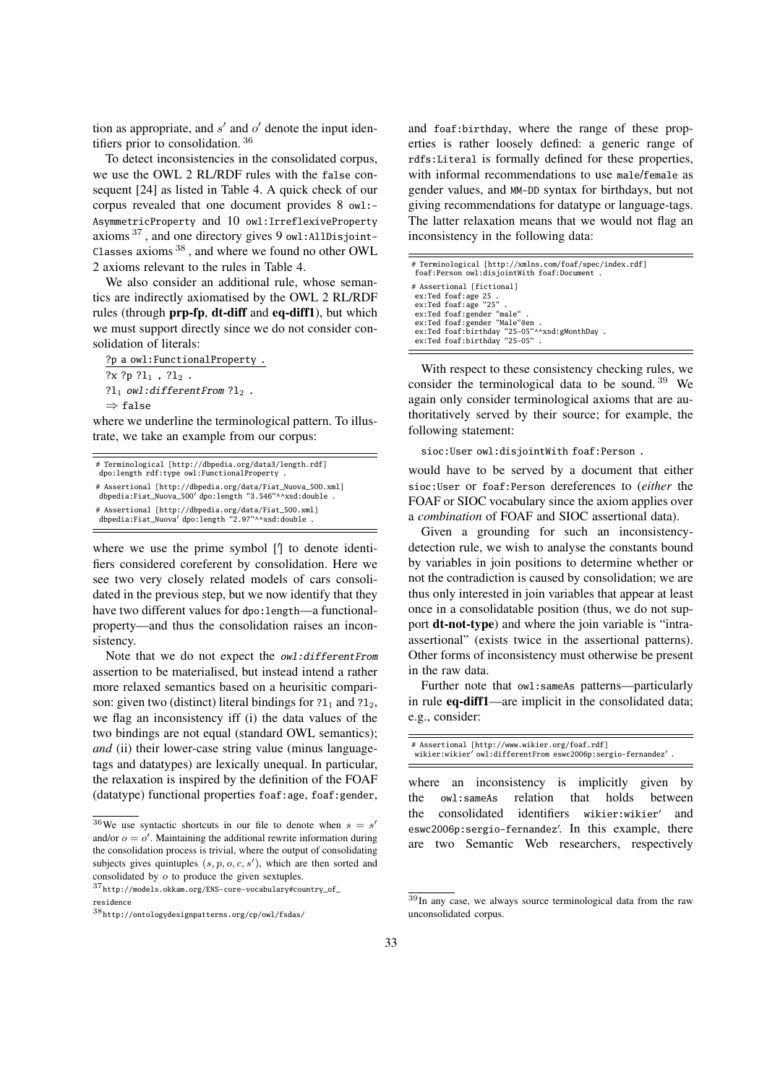tion as appropriate, and  $s'$  and  $o'$  denote the input identifiers prior to consolidation. <sup>36</sup>

To detect inconsistencies in the consolidated corpus, we use the OWL 2 RL/RDF rules with the false consequent [24] as listed in Table 4. A quick check of our corpus revealed that one document provides 8 owl:- AsymmetricProperty and 10 owl:IrreflexiveProperty axioms <sup>37</sup> , and one directory gives 9 owl:AllDisjoint-Classes axioms <sup>38</sup> , and where we found no other OWL 2 axioms relevant to the rules in Table 4.

We also consider an additional rule, whose semantics are indirectly axiomatised by the OWL 2 RL/RDF rules (through prp-fp, dt-diff and eq-diff1), but which we must support directly since we do not consider consolidation of literals:

?p a owl:FunctionalProperty . ?x ?p  $?l_1$  ,  $?l_2$  .  $?l_1$  owl:differentFrom  $?l_2$ . ⇒ false

where we underline the terminological pattern. To illustrate, we take an example from our corpus:

| # Terminological [http://dbpedia.org/data3/length.rdf]<br>dpo:length rdf:type owl:FunctionalProperty.                 |  |
|-----------------------------------------------------------------------------------------------------------------------|--|
| # Assertional [http://dbpedia.org/data/Fiat_Nuova_500.xml]<br>dbpedia:Fiat_Nuova_500' dpo:length "3.546"^^xsd:double. |  |
| # Assertional [http://dbpedia.org/data/Fiat_500.xml]<br>dbpedia:Fiat_Nuova'dpo:length "2.97"^^xsd:double.             |  |
|                                                                                                                       |  |

where we use the prime symbol ['] to denote identifiers considered coreferent by consolidation. Here we see two very closely related models of cars consolidated in the previous step, but we now identify that they have two different values for dpo: length—a functionalproperty—and thus the consolidation raises an inconsistency.

Note that we do not expect the owl:differentFrom assertion to be materialised, but instead intend a rather more relaxed semantics based on a heurisitic comparison: given two (distinct) literal bindings for  $21_1$  and  $21_2$ , we flag an inconsistency iff (i) the data values of the two bindings are not equal (standard OWL semantics); *and* (ii) their lower-case string value (minus languagetags and datatypes) are lexically unequal. In particular, the relaxation is inspired by the definition of the FOAF (datatype) functional properties foaf:age, foaf:gender, and foaf:birthday, where the range of these properties is rather loosely defined: a generic range of rdfs:Literal is formally defined for these properties, with informal recommendations to use male/female as gender values, and MM-DD syntax for birthdays, but not giving recommendations for datatype or language-tags. The latter relaxation means that we would not flag an inconsistency in the following data:

| # Terminological [http://xmlns.com/foaf/spec/index.rdf]<br>foaf: Person owl: disjoint With foaf: Document .    |  |
|----------------------------------------------------------------------------------------------------------------|--|
| # Assertional [fictional]<br>ex:Ted foaf:age 25.<br>ex:Ted foaf:age "25".<br>ex:Ted foaf:gender "male".        |  |
| ex:Ted foaf:gender "Male"@en.<br>ex:Ted foaf:birthday "25-05"^^xsd:gMonthDay.<br>ex:Ted foaf:birthday "25-05". |  |

With respect to these consistency checking rules, we consider the terminological data to be sound. <sup>39</sup> We again only consider terminological axioms that are authoritatively served by their source; for example, the following statement:

sioc:User owl:disjointWith foaf:Person .

would have to be served by a document that either sioc:User or foaf:Person dereferences to (*either* the FOAF or SIOC vocabulary since the axiom applies over a *combination* of FOAF and SIOC assertional data).

Given a grounding for such an inconsistencydetection rule, we wish to analyse the constants bound by variables in join positions to determine whether or not the contradiction is caused by consolidation; we are thus only interested in join variables that appear at least once in a consolidatable position (thus, we do not support dt-not-type) and where the join variable is "intraassertional" (exists twice in the assertional patterns). Other forms of inconsistency must otherwise be present in the raw data.

Further note that owl: sameAs patterns—particularly in rule eq-diff1—are implicit in the consolidated data; e.g., consider:

| wikier:wikier'owl:differentFrom eswc2006p:sergio-fernandez'. |                                                |
|--------------------------------------------------------------|------------------------------------------------|
|                                                              | # Assertional [http://www.wikier.org/foaf.rdf] |

where an inconsistency is implicitly given by the owl:sameAs relation that holds between the consolidated identifiers wikier:wikier' and eswc2006p: sergio-fernandez'. In this example, there are two Semantic Web researchers, respectively

<sup>&</sup>lt;sup>36</sup>We use syntactic shortcuts in our file to denote when  $s = s'$ and/or  $o = o'$ . Maintaining the additional rewrite information during the consolidation process is trivial, where the output of consolidating subjects gives quintuples  $(s, p, o, c, s')$ , which are then sorted and consolidated by o to produce the given sextuples.

 $37$ http://models.okkam.org/ENS-core-vocabulary#country\_of\_ residence

 $^{38}\mathrm{http://ontologydesign patterns.org/cp/owl/fsdas/}$ 

 $39$ In any case, we always source terminological data from the raw unconsolidated corpus.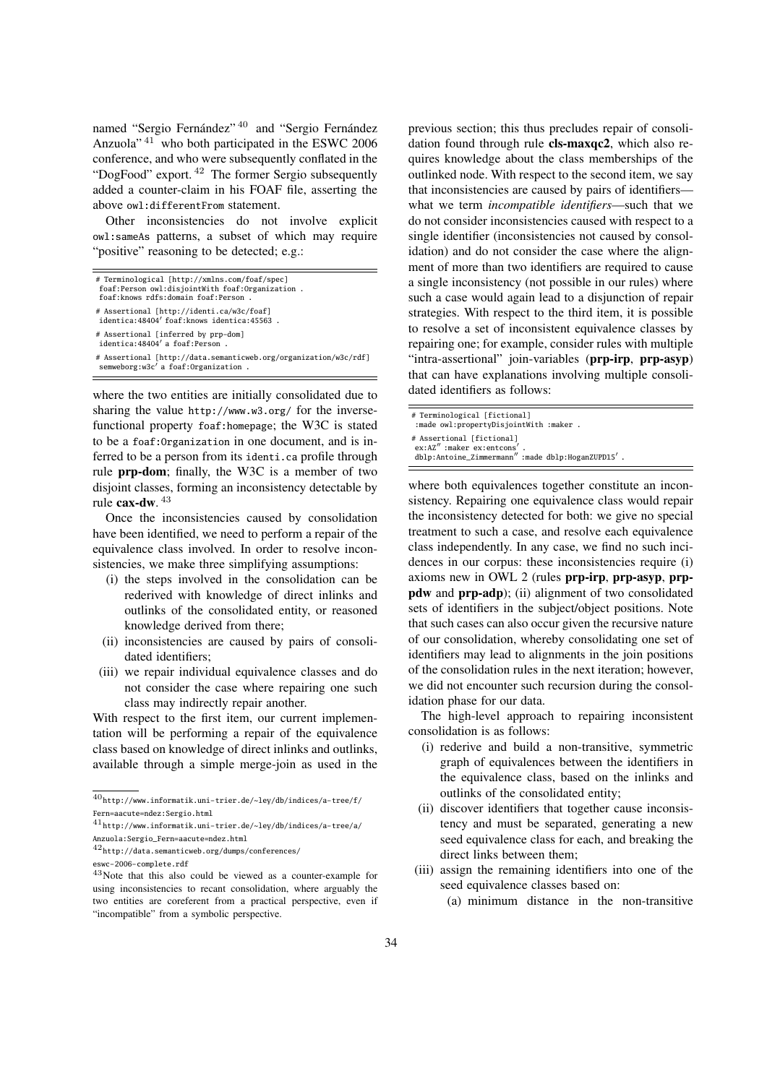named "Sergio Fernández" <sup>40</sup> and "Sergio Fernández Anzuola" <sup>41</sup> who both participated in the ESWC 2006 conference, and who were subsequently conflated in the "DogFood" export.<sup>42</sup> The former Sergio subsequently added a counter-claim in his FOAF file, asserting the above owl:differentFrom statement.

Other inconsistencies do not involve explicit owl:sameAs patterns, a subset of which may require "positive" reasoning to be detected; e.g.:

| # Terminological [http://xmlns.com/foaf/spec]<br>foaf: Person owl: disjointWith foaf: Organization.<br>foaf:knows rdfs:domain foaf:Person |
|-------------------------------------------------------------------------------------------------------------------------------------------|
| # Assertional [http://identi.ca/w3c/foaf]<br>identica: 48404' foaf: knows identica: 45563.                                                |
| # Assertional [inferred by prp-dom]<br>identica: 48404' a foaf: Person.                                                                   |
| # Assertional [http://data.semanticweb.org/organization/w3c/rdf]<br>semweborg:w3c'a foaf:Organization.                                    |
|                                                                                                                                           |

where the two entities are initially consolidated due to sharing the value http://www.w3.org/ for the inversefunctional property foaf:homepage; the W3C is stated to be a foaf:Organization in one document, and is inferred to be a person from its identi.ca profile through rule prp-dom; finally, the W3C is a member of two disjoint classes, forming an inconsistency detectable by rule  $\,$ cax-dw.  $^{43}$ 

Once the inconsistencies caused by consolidation have been identified, we need to perform a repair of the equivalence class involved. In order to resolve inconsistencies, we make three simplifying assumptions:

- (i) the steps involved in the consolidation can be rederived with knowledge of direct inlinks and outlinks of the consolidated entity, or reasoned knowledge derived from there;
- (ii) inconsistencies are caused by pairs of consolidated identifiers;
- (iii) we repair individual equivalence classes and do not consider the case where repairing one such class may indirectly repair another.

With respect to the first item, our current implementation will be performing a repair of the equivalence class based on knowledge of direct inlinks and outlinks, available through a simple merge-join as used in the previous section; this thus precludes repair of consolidation found through rule cls-maxqc2, which also requires knowledge about the class memberships of the outlinked node. With respect to the second item, we say that inconsistencies are caused by pairs of identifiers what we term *incompatible identifiers*—such that we do not consider inconsistencies caused with respect to a single identifier (inconsistencies not caused by consolidation) and do not consider the case where the alignment of more than two identifiers are required to cause a single inconsistency (not possible in our rules) where such a case would again lead to a disjunction of repair strategies. With respect to the third item, it is possible to resolve a set of inconsistent equivalence classes by repairing one; for example, consider rules with multiple "intra-assertional" join-variables (prp-irp, prp-asyp) that can have explanations involving multiple consolidated identifiers as follows:

| # Terminological [fictional]<br>: made owl: propertyDisjointWith : maker.                                   |  |
|-------------------------------------------------------------------------------------------------------------|--|
| # Assertional [fictional]<br>ex:AZ":maker.ex:entcons'.<br>dblp:Antoine Zimmermann" :made dblp:HoganZUPD15', |  |

where both equivalences together constitute an inconsistency. Repairing one equivalence class would repair the inconsistency detected for both: we give no special treatment to such a case, and resolve each equivalence class independently. In any case, we find no such incidences in our corpus: these inconsistencies require (i) axioms new in OWL 2 (rules prp-irp, prp-asyp, prppdw and prp-adp); (ii) alignment of two consolidated sets of identifiers in the subject/object positions. Note that such cases can also occur given the recursive nature of our consolidation, whereby consolidating one set of identifiers may lead to alignments in the join positions of the consolidation rules in the next iteration; however, we did not encounter such recursion during the consolidation phase for our data.

The high-level approach to repairing inconsistent consolidation is as follows:

- (i) rederive and build a non-transitive, symmetric graph of equivalences between the identifiers in the equivalence class, based on the inlinks and outlinks of the consolidated entity;
- (ii) discover identifiers that together cause inconsistency and must be separated, generating a new seed equivalence class for each, and breaking the direct links between them;
- (iii) assign the remaining identifiers into one of the seed equivalence classes based on:

(a) minimum distance in the non-transitive

 $\overline{{}^{40}\rm{http://www.informatik.uni-trier.de/~ley/db/indices/a-tree/f/}}$ Fern=aacute=ndez:Sergio.html

<sup>41</sup>http://www.informatik.uni-trier.de/~ley/db/indices/a-tree/a/ Anzuola:Sergio\_Fern=aacute=ndez.html

 $^{42}\mathrm{http://data.semanticweb.org/dumps/conferences/}$ 

eswc-2006-complete.rdf

<sup>43</sup>Note that this also could be viewed as a counter-example for using inconsistencies to recant consolidation, where arguably the two entities are coreferent from a practical perspective, even if "incompatible" from a symbolic perspective.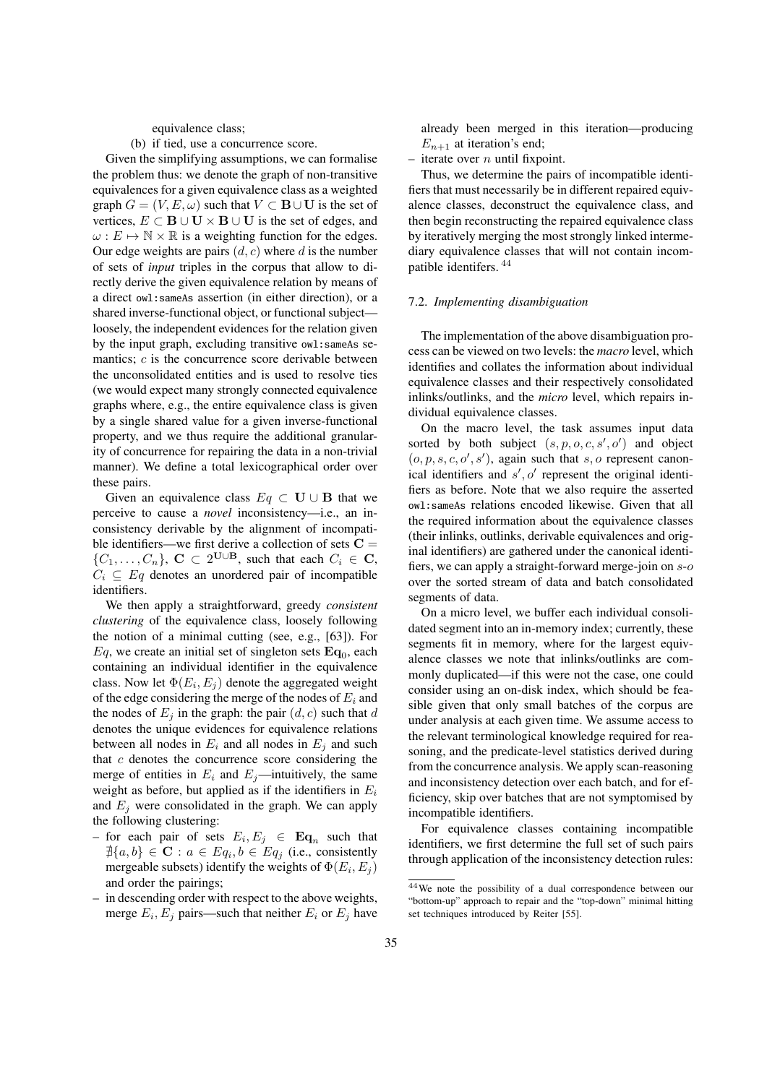equivalence class;

(b) if tied, use a concurrence score.

Given the simplifying assumptions, we can formalise the problem thus: we denote the graph of non-transitive equivalences for a given equivalence class as a weighted graph  $G = (V, E, \omega)$  such that  $V \subset \mathbf{B} \cup \mathbf{U}$  is the set of vertices,  $E \subset \mathbf{B} \cup \mathbf{U} \times \mathbf{B} \cup \mathbf{U}$  is the set of edges, and  $\omega : E \mapsto \mathbb{N} \times \mathbb{R}$  is a weighting function for the edges. Our edge weights are pairs  $(d, c)$  where d is the number of sets of *input* triples in the corpus that allow to directly derive the given equivalence relation by means of a direct owl:sameAs assertion (in either direction), or a shared inverse-functional object, or functional subject loosely, the independent evidences for the relation given by the input graph, excluding transitive owl:sameAs semantics;  $c$  is the concurrence score derivable between the unconsolidated entities and is used to resolve ties (we would expect many strongly connected equivalence graphs where, e.g., the entire equivalence class is given by a single shared value for a given inverse-functional property, and we thus require the additional granularity of concurrence for repairing the data in a non-trivial manner). We define a total lexicographical order over these pairs.

Given an equivalence class  $Eq \subset U \cup B$  that we perceive to cause a *novel* inconsistency—i.e., an inconsistency derivable by the alignment of incompatible identifiers—we first derive a collection of sets  $C =$  $\{C_1, \ldots, C_n\}, \mathbf{C} \subset 2^{\mathbf{U} \cup \mathbf{B}}$ , such that each  $C_i \in \mathbf{C}$ ,  $C_i \subseteq Eq$  denotes an unordered pair of incompatible identifiers.

We then apply a straightforward, greedy *consistent clustering* of the equivalence class, loosely following the notion of a minimal cutting (see, e.g., [63]). For  $Eq$ , we create an initial set of singleton sets  $\mathbf{Eq}_0$ , each containing an individual identifier in the equivalence class. Now let  $\Phi(E_i, E_j)$  denote the aggregated weight of the edge considering the merge of the nodes of  $E_i$  and the nodes of  $E_i$  in the graph: the pair  $(d, c)$  such that d denotes the unique evidences for equivalence relations between all nodes in  $E_i$  and all nodes in  $E_j$  and such that  $c$  denotes the concurrence score considering the merge of entities in  $E_i$  and  $E_j$ —intuitively, the same weight as before, but applied as if the identifiers in  $E_i$ and  $E_i$  were consolidated in the graph. We can apply the following clustering:

- for each pair of sets  $E_i, E_j \in \mathbf{Eq}_n$  such that  $\exists \{a, b\} \in \mathbf{C} : a \in Eq_i, b \in Eq_j \text{ (i.e., consistently)}$ mergeable subsets) identify the weights of  $\Phi(E_i, E_j)$ and order the pairings;
- in descending order with respect to the above weights, merge  $E_i, E_j$  pairs—such that neither  $E_i$  or  $E_j$  have

already been merged in this iteration—producing  $E_{n+1}$  at iteration's end;

– iterate over  $n$  until fixpoint.

Thus, we determine the pairs of incompatible identifiers that must necessarily be in different repaired equivalence classes, deconstruct the equivalence class, and then begin reconstructing the repaired equivalence class by iteratively merging the most strongly linked intermediary equivalence classes that will not contain incompatible identifers. <sup>44</sup>

#### 7.2. *Implementing disambiguation*

The implementation of the above disambiguation process can be viewed on two levels: the *macro* level, which identifies and collates the information about individual equivalence classes and their respectively consolidated inlinks/outlinks, and the *micro* level, which repairs individual equivalence classes.

On the macro level, the task assumes input data sorted by both subject  $(s, p, o, c, s', o')$  and object  $(o, p, s, c, o', s')$ , again such that s, o represent canonical identifiers and  $s'$ ,  $o'$  represent the original identifiers as before. Note that we also require the asserted owl:sameAs relations encoded likewise. Given that all the required information about the equivalence classes (their inlinks, outlinks, derivable equivalences and original identifiers) are gathered under the canonical identifiers, we can apply a straight-forward merge-join on s-o over the sorted stream of data and batch consolidated segments of data.

On a micro level, we buffer each individual consolidated segment into an in-memory index; currently, these segments fit in memory, where for the largest equivalence classes we note that inlinks/outlinks are commonly duplicated—if this were not the case, one could consider using an on-disk index, which should be feasible given that only small batches of the corpus are under analysis at each given time. We assume access to the relevant terminological knowledge required for reasoning, and the predicate-level statistics derived during from the concurrence analysis. We apply scan-reasoning and inconsistency detection over each batch, and for efficiency, skip over batches that are not symptomised by incompatible identifiers.

For equivalence classes containing incompatible identifiers, we first determine the full set of such pairs through application of the inconsistency detection rules:

<sup>44</sup>We note the possibility of a dual correspondence between our "bottom-up" approach to repair and the "top-down" minimal hitting set techniques introduced by Reiter [55].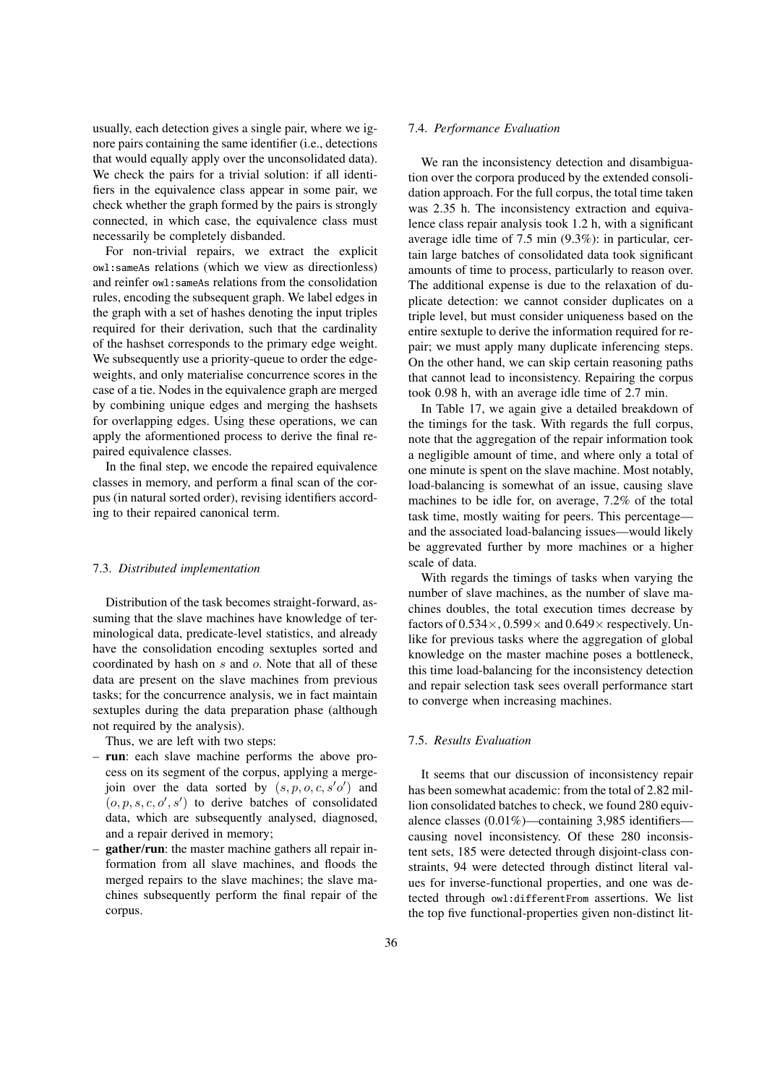usually, each detection gives a single pair, where we ignore pairs containing the same identifier (i.e., detections that would equally apply over the unconsolidated data). We check the pairs for a trivial solution: if all identifiers in the equivalence class appear in some pair, we check whether the graph formed by the pairs is strongly connected, in which case, the equivalence class must necessarily be completely disbanded.

For non-trivial repairs, we extract the explicit owl:sameAs relations (which we view as directionless) and reinfer owl:sameAs relations from the consolidation rules, encoding the subsequent graph. We label edges in the graph with a set of hashes denoting the input triples required for their derivation, such that the cardinality of the hashset corresponds to the primary edge weight. We subsequently use a priority-queue to order the edgeweights, and only materialise concurrence scores in the case of a tie. Nodes in the equivalence graph are merged by combining unique edges and merging the hashsets for overlapping edges. Using these operations, we can apply the aformentioned process to derive the final repaired equivalence classes.

In the final step, we encode the repaired equivalence classes in memory, and perform a final scan of the corpus (in natural sorted order), revising identifiers according to their repaired canonical term.

#### 7.3. *Distributed implementation*

Distribution of the task becomes straight-forward, assuming that the slave machines have knowledge of terminological data, predicate-level statistics, and already have the consolidation encoding sextuples sorted and coordinated by hash on s and o. Note that all of these data are present on the slave machines from previous tasks; for the concurrence analysis, we in fact maintain sextuples during the data preparation phase (although not required by the analysis).

Thus, we are left with two steps:

- run: each slave machine performs the above process on its segment of the corpus, applying a mergejoin over the data sorted by  $(s, p, o, c, s'o')$  and  $(o, p, s, c, o', s')$  to derive batches of consolidated data, which are subsequently analysed, diagnosed, and a repair derived in memory;
- gather/run: the master machine gathers all repair information from all slave machines, and floods the merged repairs to the slave machines; the slave machines subsequently perform the final repair of the corpus.

#### 7.4. *Performance Evaluation*

We ran the inconsistency detection and disambiguation over the corpora produced by the extended consolidation approach. For the full corpus, the total time taken was 2.35 h. The inconsistency extraction and equivalence class repair analysis took 1.2 h, with a significant average idle time of 7.5 min (9.3%): in particular, certain large batches of consolidated data took significant amounts of time to process, particularly to reason over. The additional expense is due to the relaxation of duplicate detection: we cannot consider duplicates on a triple level, but must consider uniqueness based on the entire sextuple to derive the information required for repair; we must apply many duplicate inferencing steps. On the other hand, we can skip certain reasoning paths that cannot lead to inconsistency. Repairing the corpus took 0.98 h, with an average idle time of 2.7 min.

In Table 17, we again give a detailed breakdown of the timings for the task. With regards the full corpus, note that the aggregation of the repair information took a negligible amount of time, and where only a total of one minute is spent on the slave machine. Most notably, load-balancing is somewhat of an issue, causing slave machines to be idle for, on average, 7.2% of the total task time, mostly waiting for peers. This percentage and the associated load-balancing issues—would likely be aggrevated further by more machines or a higher scale of data.

With regards the timings of tasks when varying the number of slave machines, as the number of slave machines doubles, the total execution times decrease by factors of  $0.534 \times$ ,  $0.599 \times$  and  $0.649 \times$  respectively. Unlike for previous tasks where the aggregation of global knowledge on the master machine poses a bottleneck, this time load-balancing for the inconsistency detection and repair selection task sees overall performance start to converge when increasing machines.

## 7.5. *Results Evaluation*

It seems that our discussion of inconsistency repair has been somewhat academic: from the total of 2.82 million consolidated batches to check, we found 280 equivalence classes (0.01%)—containing 3,985 identifiers causing novel inconsistency. Of these 280 inconsistent sets, 185 were detected through disjoint-class constraints, 94 were detected through distinct literal values for inverse-functional properties, and one was detected through owl:differentFrom assertions. We list the top five functional-properties given non-distinct lit-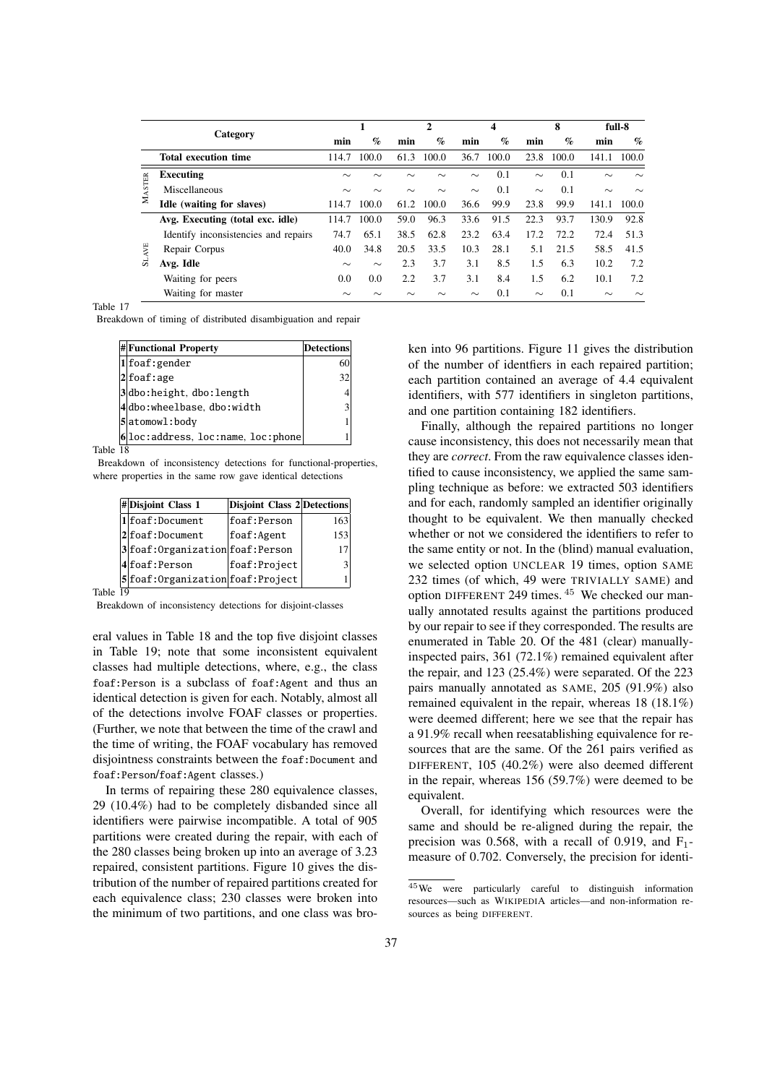|                      |                                      |        |        |        | 2               |        | 4     |        | 8                      |        | full-8          |
|----------------------|--------------------------------------|--------|--------|--------|-----------------|--------|-------|--------|------------------------|--------|-----------------|
|                      | Category                             |        | $\%$   | min    | $\mathcal{O}_0$ | min    | $\%$  | min    | $\mathcal{G}_{\Omega}$ | min    | $\mathcal{O}_0$ |
|                      | <b>Total execution time</b>          | 114.7  | 100.0  | 61.3   | 100.0           | 36.7   | 100.0 | 23.8   | 100.0                  | 141.1  | 100.0           |
| <b>ASTER</b><br>z    | Executing                            | $\sim$ | $\sim$ | $\sim$ | $\sim$          | $\sim$ | 0.1   | $\sim$ | 0.1                    | $\sim$ | $\sim$          |
|                      | Miscellaneous                        | $\sim$ | $\sim$ | $\sim$ | $\sim$          | $\sim$ | 0.1   | $\sim$ | 0.1                    | $\sim$ | $\sim$          |
|                      | Idle (waiting for slaves)            | 114.7  | 100.0  | 61.2   | 100.0           | 36.6   | 99.9  | 23.8   | 99.9                   | 141.1  | 100.0           |
| <b>AVE</b><br>$_{5}$ | Avg. Executing (total exc. idle)     | 114.7  | 100.0  | 59.0   | 96.3            | 33.6   | 91.5  | 22.3   | 93.7                   | 130.9  | 92.8            |
|                      | Identify inconsistencies and repairs | 74.7   | 65.1   | 38.5   | 62.8            | 23.2   | 63.4  | 17.2   | 72.2                   | 72.4   | 51.3            |
|                      | Repair Corpus                        | 40.0   | 34.8   | 20.5   | 33.5            | 10.3   | 28.1  | 5.1    | 21.5                   | 58.5   | 41.5            |
|                      | Avg. Idle                            | $\sim$ | $\sim$ | 2.3    | 3.7             | 3.1    | 8.5   | 1.5    | 6.3                    | 10.2   | 7.2             |
|                      | Waiting for peers                    | 0.0    | 0.0    | 2.2    | 3.7             | 3.1    | 8.4   | 1.5    | 6.2                    | 10.1   | 7.2             |
|                      | Waiting for master                   | $\sim$ | $\sim$ | $\sim$ | $\sim$          | $\sim$ | 0.1   | $\sim$ | 0.1                    | $\sim$ | $\sim$          |

Breakdown of timing of distributed disambiguation and repair

| #Functional Property                   | <b>Detections</b> |
|----------------------------------------|-------------------|
| 1 foaf:gender                          | 60                |
| $2$ foaf: age                          | 32                |
| $3$ dbo:height, dbo:length             |                   |
| 4dbo:wheelbase, dbo:width              | 3                 |
| 5 atomowl:body                         |                   |
| $ 6 $ loc:address, loc:name, loc:phone |                   |

Table 18

Breakdown of inconsistency detections for functional-properties, where properties in the same row gave identical detections

|        | #Disjoint Class 1                 | Disjoint Class 2 Detections |     |
|--------|-----------------------------------|-----------------------------|-----|
|        | 1 foaf: Document                  | foaf:Person                 | 163 |
|        | 2 foaf: Document                  | foaf: Agent                 | 153 |
|        | 3 foaf: Organization foaf: Person |                             |     |
|        | 4 foaf: Person                    | foaf:Project                |     |
| $\sim$ | 5 foaf:Organization foaf:Project  |                             |     |

Table 19

Breakdown of inconsistency detections for disjoint-classes

eral values in Table 18 and the top five disjoint classes in Table 19; note that some inconsistent equivalent classes had multiple detections, where, e.g., the class foaf:Person is a subclass of foaf:Agent and thus an identical detection is given for each. Notably, almost all of the detections involve FOAF classes or properties. (Further, we note that between the time of the crawl and the time of writing, the FOAF vocabulary has removed disjointness constraints between the foaf:Document and foaf:Person/foaf:Agent classes.)

In terms of repairing these 280 equivalence classes, 29 (10.4%) had to be completely disbanded since all identifiers were pairwise incompatible. A total of 905 partitions were created during the repair, with each of the 280 classes being broken up into an average of 3.23 repaired, consistent partitions. Figure 10 gives the distribution of the number of repaired partitions created for each equivalence class; 230 classes were broken into the minimum of two partitions, and one class was broken into 96 partitions. Figure 11 gives the distribution of the number of identfiers in each repaired partition; each partition contained an average of 4.4 equivalent identifiers, with 577 identifiers in singleton partitions, and one partition containing 182 identifiers.

Finally, although the repaired partitions no longer cause inconsistency, this does not necessarily mean that they are *correct*. From the raw equivalence classes identified to cause inconsistency, we applied the same sampling technique as before: we extracted 503 identifiers and for each, randomly sampled an identifier originally thought to be equivalent. We then manually checked whether or not we considered the identifiers to refer to the same entity or not. In the (blind) manual evaluation, we selected option UNCLEAR 19 times, option SAME 232 times (of which, 49 were TRIVIALLY SAME) and option DIFFERENT 249 times. <sup>45</sup> We checked our manually annotated results against the partitions produced by our repair to see if they corresponded. The results are enumerated in Table 20. Of the 481 (clear) manuallyinspected pairs, 361 (72.1%) remained equivalent after the repair, and 123 (25.4%) were separated. Of the 223 pairs manually annotated as SAME, 205 (91.9%) also remained equivalent in the repair, whereas 18 (18.1%) were deemed different; here we see that the repair has a 91.9% recall when reesatablishing equivalence for resources that are the same. Of the 261 pairs verified as DIFFERENT, 105 (40.2%) were also deemed different in the repair, whereas 156 (59.7%) were deemed to be equivalent.

Overall, for identifying which resources were the same and should be re-aligned during the repair, the precision was 0.568, with a recall of 0.919, and  $F_1$ measure of 0.702. Conversely, the precision for identi-

<sup>45</sup>We were particularly careful to distinguish information resources—such as WIKIPEDIA articles—and non-information resources as being DIFFERENT.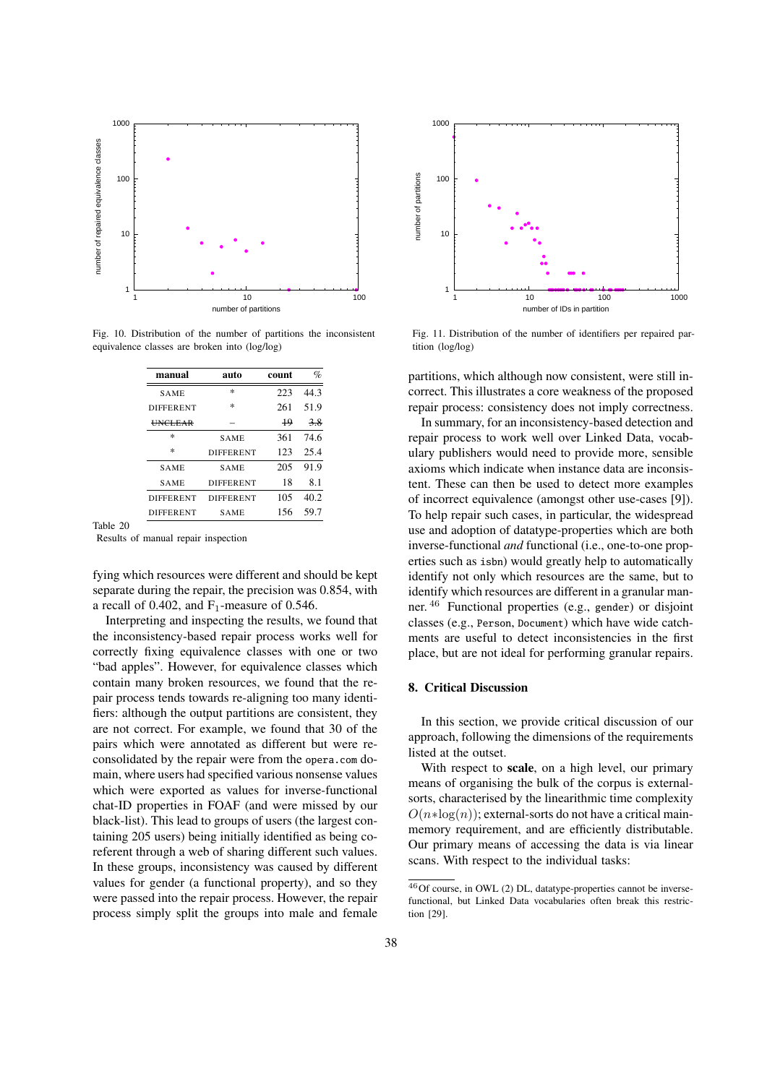

Fig. 10. Distribution of the number of partitions the inconsistent equivalence classes are broken into (log/log)

| manual           | auto             | count   | $\%$   |
|------------------|------------------|---------|--------|
| <b>SAME</b>      | $\frac{1}{2}$    | 223     | 44.3   |
| <b>DIFFERENT</b> | 宋                | 261     | 51.9   |
| <b>UNCLEAR</b>   |                  | $^{19}$ | $-3.8$ |
| 冰                | <b>SAME</b>      | 361     | 74.6   |
| 冰                | <b>DIFFERENT</b> | 123     | 25.4   |
| SAME             | <b>SAME</b>      | 205     | 91.9   |
| SAME             | <b>DIFFERENT</b> | 18      | 8.1    |
| <b>DIFFERENT</b> | <b>DIFFERENT</b> | 105     | 40.2   |
| <b>DIFFERENT</b> | <b>SAME</b>      | 156     | 59.7   |

Results of manual repair inspection

fying which resources were different and should be kept separate during the repair, the precision was 0.854, with a recall of 0.402, and  $F_1$ -measure of 0.546.

Interpreting and inspecting the results, we found that the inconsistency-based repair process works well for correctly fixing equivalence classes with one or two "bad apples". However, for equivalence classes which contain many broken resources, we found that the repair process tends towards re-aligning too many identifiers: although the output partitions are consistent, they are not correct. For example, we found that 30 of the pairs which were annotated as different but were reconsolidated by the repair were from the opera.com domain, where users had specified various nonsense values which were exported as values for inverse-functional chat-ID properties in FOAF (and were missed by our black-list). This lead to groups of users (the largest containing 205 users) being initially identified as being coreferent through a web of sharing different such values. In these groups, inconsistency was caused by different values for gender (a functional property), and so they were passed into the repair process. However, the repair process simply split the groups into male and female



Fig. 11. Distribution of the number of identifiers per repaired partition (log/log)

partitions, which although now consistent, were still incorrect. This illustrates a core weakness of the proposed repair process: consistency does not imply correctness.

In summary, for an inconsistency-based detection and repair process to work well over Linked Data, vocabulary publishers would need to provide more, sensible axioms which indicate when instance data are inconsistent. These can then be used to detect more examples of incorrect equivalence (amongst other use-cases [9]). To help repair such cases, in particular, the widespread use and adoption of datatype-properties which are both inverse-functional *and* functional (i.e., one-to-one properties such as isbn) would greatly help to automatically identify not only which resources are the same, but to identify which resources are different in a granular manner. <sup>46</sup> Functional properties (e.g., gender) or disjoint classes (e.g., Person, Document) which have wide catchments are useful to detect inconsistencies in the first place, but are not ideal for performing granular repairs.

#### 8. Critical Discussion

In this section, we provide critical discussion of our approach, following the dimensions of the requirements listed at the outset.

With respect to scale, on a high level, our primary means of organising the bulk of the corpus is externalsorts, characterised by the linearithmic time complexity  $O(n * log(n))$ ; external-sorts do not have a critical mainmemory requirement, and are efficiently distributable. Our primary means of accessing the data is via linear scans. With respect to the individual tasks:

 $46$ Of course, in OWL (2) DL, datatype-properties cannot be inversefunctional, but Linked Data vocabularies often break this restriction [29].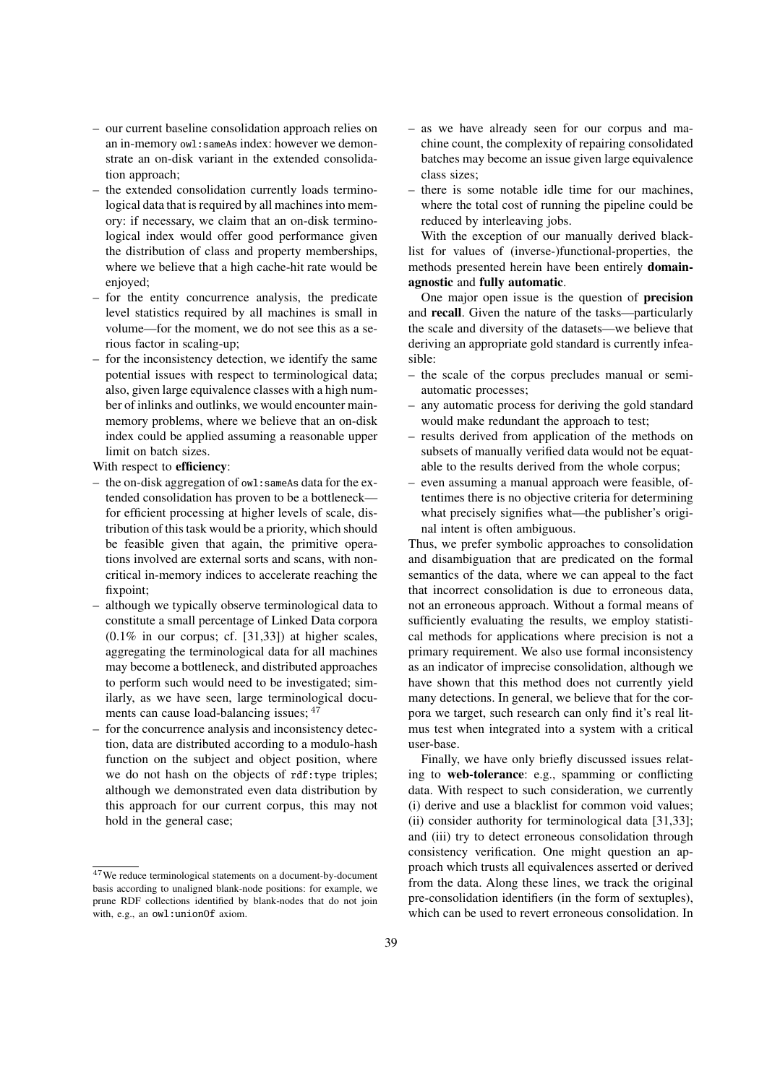- our current baseline consolidation approach relies on an in-memory owl:sameAs index: however we demonstrate an on-disk variant in the extended consolidation approach;
- the extended consolidation currently loads terminological data that is required by all machines into memory: if necessary, we claim that an on-disk terminological index would offer good performance given the distribution of class and property memberships, where we believe that a high cache-hit rate would be enjoyed;
- for the entity concurrence analysis, the predicate level statistics required by all machines is small in volume—for the moment, we do not see this as a serious factor in scaling-up;
- for the inconsistency detection, we identify the same potential issues with respect to terminological data; also, given large equivalence classes with a high number of inlinks and outlinks, we would encounter mainmemory problems, where we believe that an on-disk index could be applied assuming a reasonable upper limit on batch sizes.

With respect to **efficiency**:

- the on-disk aggregation of owl:sameAs data for the extended consolidation has proven to be a bottleneck for efficient processing at higher levels of scale, distribution of this task would be a priority, which should be feasible given that again, the primitive operations involved are external sorts and scans, with noncritical in-memory indices to accelerate reaching the fixpoint;
- although we typically observe terminological data to constitute a small percentage of Linked Data corpora (0.1% in our corpus; cf. [31,33]) at higher scales, aggregating the terminological data for all machines may become a bottleneck, and distributed approaches to perform such would need to be investigated; similarly, as we have seen, large terminological documents can cause load-balancing issues;  $47$
- for the concurrence analysis and inconsistency detection, data are distributed according to a modulo-hash function on the subject and object position, where we do not hash on the objects of rdf:type triples; although we demonstrated even data distribution by this approach for our current corpus, this may not hold in the general case;
- as we have already seen for our corpus and machine count, the complexity of repairing consolidated batches may become an issue given large equivalence class sizes;
- there is some notable idle time for our machines, where the total cost of running the pipeline could be reduced by interleaving jobs.

With the exception of our manually derived blacklist for values of (inverse-)functional-properties, the methods presented herein have been entirely domainagnostic and fully automatic.

One major open issue is the question of precision and recall. Given the nature of the tasks—particularly the scale and diversity of the datasets—we believe that deriving an appropriate gold standard is currently infeasible:

- the scale of the corpus precludes manual or semiautomatic processes;
- any automatic process for deriving the gold standard would make redundant the approach to test;
- results derived from application of the methods on subsets of manually verified data would not be equatable to the results derived from the whole corpus;
- even assuming a manual approach were feasible, oftentimes there is no objective criteria for determining what precisely signifies what—the publisher's original intent is often ambiguous.

Thus, we prefer symbolic approaches to consolidation and disambiguation that are predicated on the formal semantics of the data, where we can appeal to the fact that incorrect consolidation is due to erroneous data, not an erroneous approach. Without a formal means of sufficiently evaluating the results, we employ statistical methods for applications where precision is not a primary requirement. We also use formal inconsistency as an indicator of imprecise consolidation, although we have shown that this method does not currently yield many detections. In general, we believe that for the corpora we target, such research can only find it's real litmus test when integrated into a system with a critical user-base.

Finally, we have only briefly discussed issues relating to web-tolerance: e.g., spamming or conflicting data. With respect to such consideration, we currently (i) derive and use a blacklist for common void values; (ii) consider authority for terminological data [31,33]; and (iii) try to detect erroneous consolidation through consistency verification. One might question an approach which trusts all equivalences asserted or derived from the data. Along these lines, we track the original pre-consolidation identifiers (in the form of sextuples), which can be used to revert erroneous consolidation. In

<sup>47</sup>We reduce terminological statements on a document-by-document basis according to unaligned blank-node positions: for example, we prune RDF collections identified by blank-nodes that do not join with, e.g., an owl:unionOf axiom.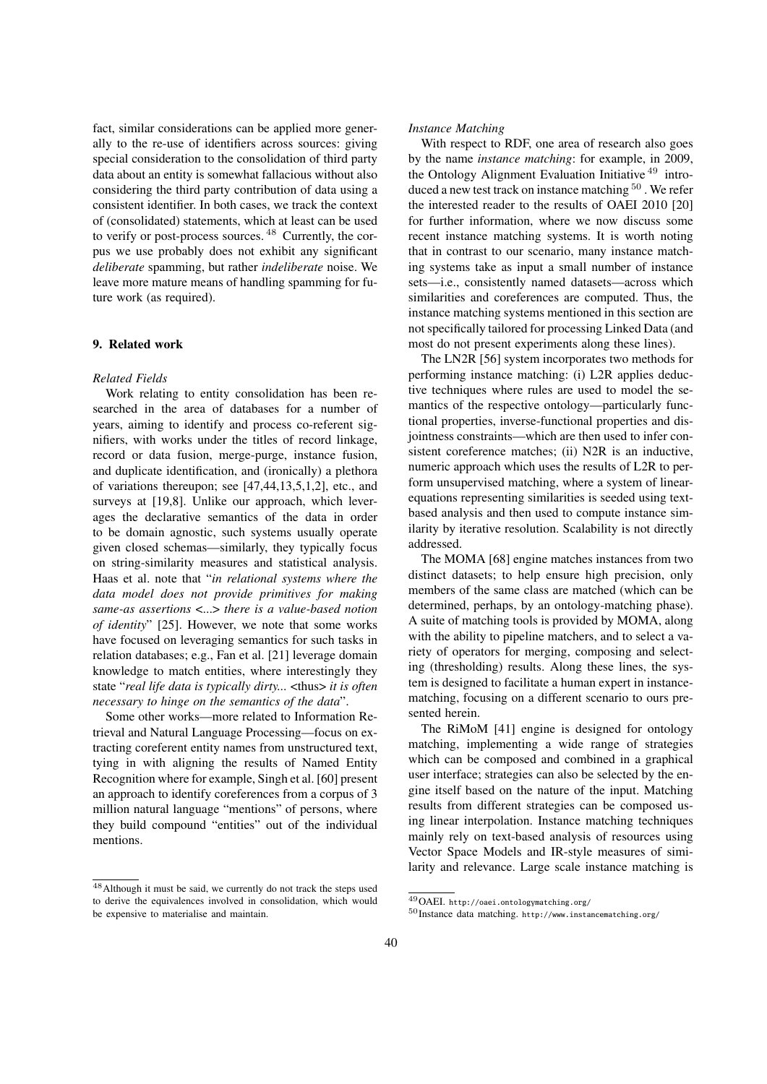fact, similar considerations can be applied more generally to the re-use of identifiers across sources: giving special consideration to the consolidation of third party data about an entity is somewhat fallacious without also considering the third party contribution of data using a consistent identifier. In both cases, we track the context of (consolidated) statements, which at least can be used to verify or post-process sources. <sup>48</sup> Currently, the corpus we use probably does not exhibit any significant *deliberate* spamming, but rather *indeliberate* noise. We leave more mature means of handling spamming for future work (as required).

# 9. Related work

#### *Related Fields*

Work relating to entity consolidation has been researched in the area of databases for a number of years, aiming to identify and process co-referent signifiers, with works under the titles of record linkage, record or data fusion, merge-purge, instance fusion, and duplicate identification, and (ironically) a plethora of variations thereupon; see [47,44,13,5,1,2], etc., and surveys at [19,8]. Unlike our approach, which leverages the declarative semantics of the data in order to be domain agnostic, such systems usually operate given closed schemas—similarly, they typically focus on string-similarity measures and statistical analysis. Haas et al. note that "*in relational systems where the data model does not provide primitives for making same-as assertions* <...> *there is a value-based notion of identity*" [25]. However, we note that some works have focused on leveraging semantics for such tasks in relation databases; e.g., Fan et al. [21] leverage domain knowledge to match entities, where interestingly they state "*real life data is typically dirty...* <thus> *it is often necessary to hinge on the semantics of the data*".

Some other works—more related to Information Retrieval and Natural Language Processing—focus on extracting coreferent entity names from unstructured text, tying in with aligning the results of Named Entity Recognition where for example, Singh et al. [60] present an approach to identify coreferences from a corpus of 3 million natural language "mentions" of persons, where they build compound "entities" out of the individual mentions.

#### *Instance Matching*

With respect to RDF, one area of research also goes by the name *instance matching*: for example, in 2009, the Ontology Alignment Evaluation Initiative <sup>49</sup> introduced a new test track on instance matching  $50$ . We refer the interested reader to the results of OAEI 2010 [20] for further information, where we now discuss some recent instance matching systems. It is worth noting that in contrast to our scenario, many instance matching systems take as input a small number of instance sets—i.e., consistently named datasets—across which similarities and coreferences are computed. Thus, the instance matching systems mentioned in this section are not specifically tailored for processing Linked Data (and most do not present experiments along these lines).

The LN2R [56] system incorporates two methods for performing instance matching: (i) L2R applies deductive techniques where rules are used to model the semantics of the respective ontology—particularly functional properties, inverse-functional properties and disjointness constraints—which are then used to infer consistent coreference matches; (ii) N2R is an inductive, numeric approach which uses the results of L2R to perform unsupervised matching, where a system of linearequations representing similarities is seeded using textbased analysis and then used to compute instance similarity by iterative resolution. Scalability is not directly addressed.

The MOMA [68] engine matches instances from two distinct datasets; to help ensure high precision, only members of the same class are matched (which can be determined, perhaps, by an ontology-matching phase). A suite of matching tools is provided by MOMA, along with the ability to pipeline matchers, and to select a variety of operators for merging, composing and selecting (thresholding) results. Along these lines, the system is designed to facilitate a human expert in instancematching, focusing on a different scenario to ours presented herein.

The RiMoM [41] engine is designed for ontology matching, implementing a wide range of strategies which can be composed and combined in a graphical user interface; strategies can also be selected by the engine itself based on the nature of the input. Matching results from different strategies can be composed using linear interpolation. Instance matching techniques mainly rely on text-based analysis of resources using Vector Space Models and IR-style measures of similarity and relevance. Large scale instance matching is

<sup>48</sup>Although it must be said, we currently do not track the steps used to derive the equivalences involved in consolidation, which would be expensive to materialise and maintain.

<sup>49</sup>OAEI. http://oaei.ontologymatching.org/

 $50$ Instance data matching. http://www.instancematching.org/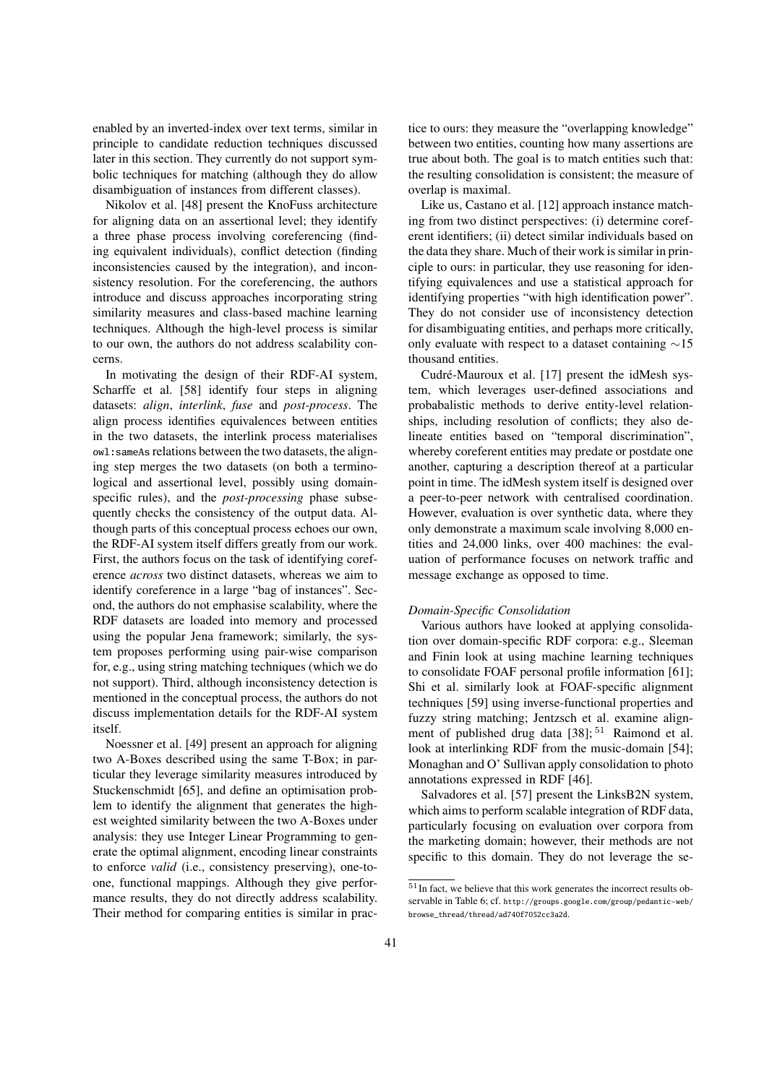enabled by an inverted-index over text terms, similar in principle to candidate reduction techniques discussed later in this section. They currently do not support symbolic techniques for matching (although they do allow disambiguation of instances from different classes).

Nikolov et al. [48] present the KnoFuss architecture for aligning data on an assertional level; they identify a three phase process involving coreferencing (finding equivalent individuals), conflict detection (finding inconsistencies caused by the integration), and inconsistency resolution. For the coreferencing, the authors introduce and discuss approaches incorporating string similarity measures and class-based machine learning techniques. Although the high-level process is similar to our own, the authors do not address scalability concerns.

In motivating the design of their RDF-AI system, Scharffe et al. [58] identify four steps in aligning datasets: *align*, *interlink*, *fuse* and *post-process*. The align process identifies equivalences between entities in the two datasets, the interlink process materialises owl:sameAs relations between the two datasets, the aligning step merges the two datasets (on both a terminological and assertional level, possibly using domainspecific rules), and the *post-processing* phase subsequently checks the consistency of the output data. Although parts of this conceptual process echoes our own, the RDF-AI system itself differs greatly from our work. First, the authors focus on the task of identifying coreference *across* two distinct datasets, whereas we aim to identify coreference in a large "bag of instances". Second, the authors do not emphasise scalability, where the RDF datasets are loaded into memory and processed using the popular Jena framework; similarly, the system proposes performing using pair-wise comparison for, e.g., using string matching techniques (which we do not support). Third, although inconsistency detection is mentioned in the conceptual process, the authors do not discuss implementation details for the RDF-AI system itself.

Noessner et al. [49] present an approach for aligning two A-Boxes described using the same T-Box; in particular they leverage similarity measures introduced by Stuckenschmidt [65], and define an optimisation problem to identify the alignment that generates the highest weighted similarity between the two A-Boxes under analysis: they use Integer Linear Programming to generate the optimal alignment, encoding linear constraints to enforce *valid* (i.e., consistency preserving), one-toone, functional mappings. Although they give performance results, they do not directly address scalability. Their method for comparing entities is similar in prac-

tice to ours: they measure the "overlapping knowledge" between two entities, counting how many assertions are true about both. The goal is to match entities such that: the resulting consolidation is consistent; the measure of overlap is maximal.

Like us, Castano et al. [12] approach instance matching from two distinct perspectives: (i) determine coreferent identifiers; (ii) detect similar individuals based on the data they share. Much of their work is similar in principle to ours: in particular, they use reasoning for identifying equivalences and use a statistical approach for identifying properties "with high identification power". They do not consider use of inconsistency detection for disambiguating entities, and perhaps more critically, only evaluate with respect to a dataset containing ∼15 thousand entities.

Cudré-Mauroux et al. [17] present the idMesh system, which leverages user-defined associations and probabalistic methods to derive entity-level relationships, including resolution of conflicts; they also delineate entities based on "temporal discrimination", whereby coreferent entities may predate or postdate one another, capturing a description thereof at a particular point in time. The idMesh system itself is designed over a peer-to-peer network with centralised coordination. However, evaluation is over synthetic data, where they only demonstrate a maximum scale involving 8,000 entities and 24,000 links, over 400 machines: the evaluation of performance focuses on network traffic and message exchange as opposed to time.

# *Domain-Specific Consolidation*

Various authors have looked at applying consolidation over domain-specific RDF corpora: e.g., Sleeman and Finin look at using machine learning techniques to consolidate FOAF personal profile information [61]; Shi et al. similarly look at FOAF-specific alignment techniques [59] using inverse-functional properties and fuzzy string matching; Jentzsch et al. examine alignment of published drug data  $[38]$ ;  $51$  Raimond et al. look at interlinking RDF from the music-domain [54]; Monaghan and O' Sullivan apply consolidation to photo annotations expressed in RDF [46].

Salvadores et al. [57] present the LinksB2N system, which aims to perform scalable integration of RDF data, particularly focusing on evaluation over corpora from the marketing domain; however, their methods are not specific to this domain. They do not leverage the se-

 $51$ In fact, we believe that this work generates the incorrect results observable in Table 6; cf. http://groups.google.com/group/pedantic-web/ browse\_thread/thread/ad740f7052cc3a2d.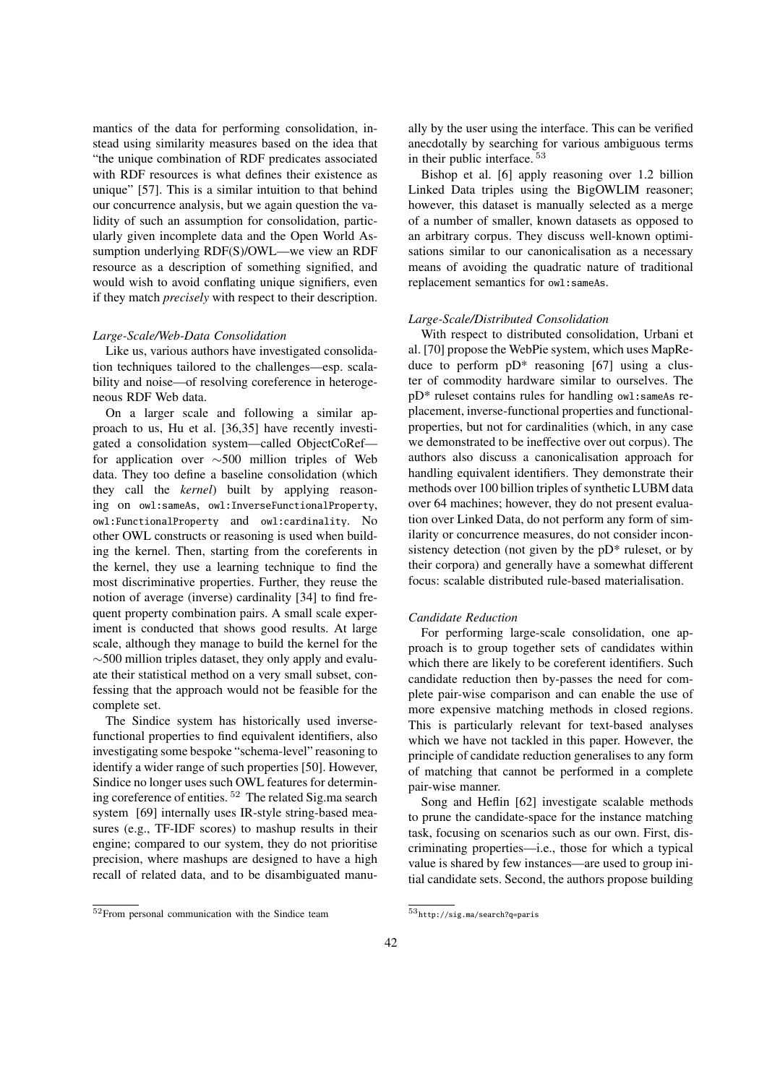mantics of the data for performing consolidation, instead using similarity measures based on the idea that "the unique combination of RDF predicates associated with RDF resources is what defines their existence as unique" [57]. This is a similar intuition to that behind our concurrence analysis, but we again question the validity of such an assumption for consolidation, particularly given incomplete data and the Open World Assumption underlying RDF(S)/OWL—we view an RDF resource as a description of something signified, and would wish to avoid conflating unique signifiers, even if they match *precisely* with respect to their description.

#### *Large-Scale/Web-Data Consolidation*

Like us, various authors have investigated consolidation techniques tailored to the challenges—esp. scalability and noise—of resolving coreference in heterogeneous RDF Web data.

On a larger scale and following a similar approach to us, Hu et al. [36,35] have recently investigated a consolidation system—called ObjectCoRef for application over ∼500 million triples of Web data. They too define a baseline consolidation (which they call the *kernel*) built by applying reasoning on owl:sameAs, owl:InverseFunctionalProperty, owl:FunctionalProperty and owl:cardinality. No other OWL constructs or reasoning is used when building the kernel. Then, starting from the coreferents in the kernel, they use a learning technique to find the most discriminative properties. Further, they reuse the notion of average (inverse) cardinality [34] to find frequent property combination pairs. A small scale experiment is conducted that shows good results. At large scale, although they manage to build the kernel for the ∼500 million triples dataset, they only apply and evaluate their statistical method on a very small subset, confessing that the approach would not be feasible for the complete set.

The Sindice system has historically used inversefunctional properties to find equivalent identifiers, also investigating some bespoke "schema-level" reasoning to identify a wider range of such properties [50]. However, Sindice no longer uses such OWL features for determining coreference of entities. <sup>52</sup> The related Sig.ma search system [69] internally uses IR-style string-based measures (e.g., TF-IDF scores) to mashup results in their engine; compared to our system, they do not prioritise precision, where mashups are designed to have a high recall of related data, and to be disambiguated manually by the user using the interface. This can be verified anecdotally by searching for various ambiguous terms in their public interface. <sup>53</sup>

Bishop et al. [6] apply reasoning over 1.2 billion Linked Data triples using the BigOWLIM reasoner; however, this dataset is manually selected as a merge of a number of smaller, known datasets as opposed to an arbitrary corpus. They discuss well-known optimisations similar to our canonicalisation as a necessary means of avoiding the quadratic nature of traditional replacement semantics for owl:sameAs.

#### *Large-Scale/Distributed Consolidation*

With respect to distributed consolidation, Urbani et al. [70] propose the WebPie system, which uses MapReduce to perform  $pD^*$  reasoning [67] using a cluster of commodity hardware similar to ourselves. The pD\* ruleset contains rules for handling owl:sameAs replacement, inverse-functional properties and functionalproperties, but not for cardinalities (which, in any case we demonstrated to be ineffective over out corpus). The authors also discuss a canonicalisation approach for handling equivalent identifiers. They demonstrate their methods over 100 billion triples of synthetic LUBM data over 64 machines; however, they do not present evaluation over Linked Data, do not perform any form of similarity or concurrence measures, do not consider inconsistency detection (not given by the  $pD^*$  ruleset, or by their corpora) and generally have a somewhat different focus: scalable distributed rule-based materialisation.

# *Candidate Reduction*

For performing large-scale consolidation, one approach is to group together sets of candidates within which there are likely to be coreferent identifiers. Such candidate reduction then by-passes the need for complete pair-wise comparison and can enable the use of more expensive matching methods in closed regions. This is particularly relevant for text-based analyses which we have not tackled in this paper. However, the principle of candidate reduction generalises to any form of matching that cannot be performed in a complete pair-wise manner.

Song and Heflin [62] investigate scalable methods to prune the candidate-space for the instance matching task, focusing on scenarios such as our own. First, discriminating properties—i.e., those for which a typical value is shared by few instances—are used to group initial candidate sets. Second, the authors propose building

<sup>52</sup>From personal communication with the Sindice team

<sup>53</sup>http://sig.ma/search?q=paris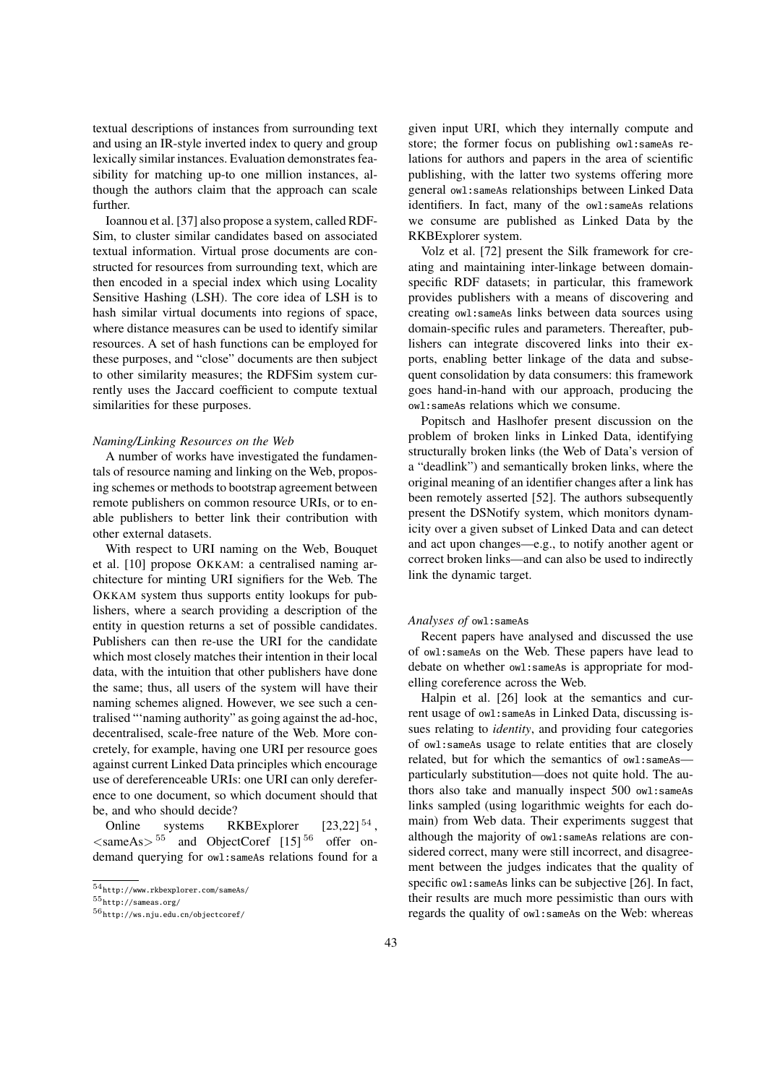textual descriptions of instances from surrounding text and using an IR-style inverted index to query and group lexically similar instances. Evaluation demonstrates feasibility for matching up-to one million instances, although the authors claim that the approach can scale further.

Ioannou et al. [37] also propose a system, called RDF-Sim, to cluster similar candidates based on associated textual information. Virtual prose documents are constructed for resources from surrounding text, which are then encoded in a special index which using Locality Sensitive Hashing (LSH). The core idea of LSH is to hash similar virtual documents into regions of space, where distance measures can be used to identify similar resources. A set of hash functions can be employed for these purposes, and "close" documents are then subject to other similarity measures; the RDFSim system currently uses the Jaccard coefficient to compute textual similarities for these purposes.

#### *Naming/Linking Resources on the Web*

A number of works have investigated the fundamentals of resource naming and linking on the Web, proposing schemes or methods to bootstrap agreement between remote publishers on common resource URIs, or to enable publishers to better link their contribution with other external datasets.

With respect to URI naming on the Web, Bouquet et al. [10] propose OKKAM: a centralised naming architecture for minting URI signifiers for the Web. The OKKAM system thus supports entity lookups for publishers, where a search providing a description of the entity in question returns a set of possible candidates. Publishers can then re-use the URI for the candidate which most closely matches their intention in their local data, with the intuition that other publishers have done the same; thus, all users of the system will have their naming schemes aligned. However, we see such a centralised "'naming authority" as going against the ad-hoc, decentralised, scale-free nature of the Web. More concretely, for example, having one URI per resource goes against current Linked Data principles which encourage use of dereferenceable URIs: one URI can only dereference to one document, so which document should that be, and who should decide?

Online systems RKBExplorer  $[23,22]^{54}$ ,  $\langle$ sameAs $>$ <sup>55</sup> and ObjectCoref [15]<sup>56</sup> offer ondemand querying for owl:sameAs relations found for a given input URI, which they internally compute and store; the former focus on publishing owl: sameAs relations for authors and papers in the area of scientific publishing, with the latter two systems offering more general owl:sameAs relationships between Linked Data identifiers. In fact, many of the owl: sameAs relations we consume are published as Linked Data by the RKBExplorer system.

Volz et al. [72] present the Silk framework for creating and maintaining inter-linkage between domainspecific RDF datasets; in particular, this framework provides publishers with a means of discovering and creating owl:sameAs links between data sources using domain-specific rules and parameters. Thereafter, publishers can integrate discovered links into their exports, enabling better linkage of the data and subsequent consolidation by data consumers: this framework goes hand-in-hand with our approach, producing the owl:sameAs relations which we consume.

Popitsch and Haslhofer present discussion on the problem of broken links in Linked Data, identifying structurally broken links (the Web of Data's version of a "deadlink") and semantically broken links, where the original meaning of an identifier changes after a link has been remotely asserted [52]. The authors subsequently present the DSNotify system, which monitors dynamicity over a given subset of Linked Data and can detect and act upon changes—e.g., to notify another agent or correct broken links—and can also be used to indirectly link the dynamic target.

#### *Analyses of* owl:sameAs

Recent papers have analysed and discussed the use of owl:sameAs on the Web. These papers have lead to debate on whether owl:sameAs is appropriate for modelling coreference across the Web.

Halpin et al. [26] look at the semantics and current usage of owl:sameAs in Linked Data, discussing issues relating to *identity*, and providing four categories of owl:sameAs usage to relate entities that are closely related, but for which the semantics of owl:sameAsparticularly substitution—does not quite hold. The authors also take and manually inspect 500 owl:sameAs links sampled (using logarithmic weights for each domain) from Web data. Their experiments suggest that although the majority of owl: sameAs relations are considered correct, many were still incorrect, and disagreement between the judges indicates that the quality of specific owl: sameAs links can be subjective [26]. In fact, their results are much more pessimistic than ours with regards the quality of owl:sameAs on the Web: whereas

<sup>54</sup>http://www.rkbexplorer.com/sameAs/

 $^{55}\mathrm{http://sameas.org/}$ 

<sup>56</sup>http://ws.nju.edu.cn/objectcoref/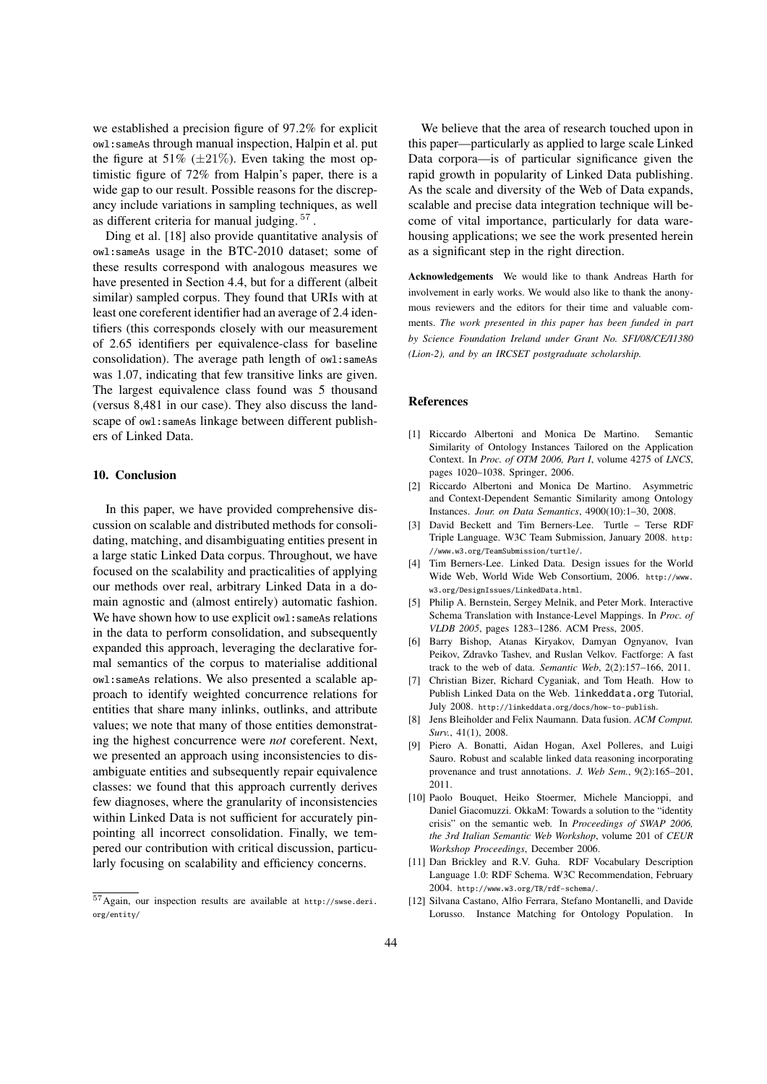we established a precision figure of 97.2% for explicit owl:sameAs through manual inspection, Halpin et al. put the figure at 51% ( $\pm 21\%$ ). Even taking the most optimistic figure of 72% from Halpin's paper, there is a wide gap to our result. Possible reasons for the discrepancy include variations in sampling techniques, as well as different criteria for manual judging.<sup>57</sup>.

Ding et al. [18] also provide quantitative analysis of owl:sameAs usage in the BTC-2010 dataset; some of these results correspond with analogous measures we have presented in Section 4.4, but for a different (albeit similar) sampled corpus. They found that URIs with at least one coreferent identifier had an average of 2.4 identifiers (this corresponds closely with our measurement of 2.65 identifiers per equivalence-class for baseline consolidation). The average path length of owl:sameAs was 1.07, indicating that few transitive links are given. The largest equivalence class found was 5 thousand (versus 8,481 in our case). They also discuss the landscape of owl: sameAs linkage between different publishers of Linked Data.

#### 10. Conclusion

In this paper, we have provided comprehensive discussion on scalable and distributed methods for consolidating, matching, and disambiguating entities present in a large static Linked Data corpus. Throughout, we have focused on the scalability and practicalities of applying our methods over real, arbitrary Linked Data in a domain agnostic and (almost entirely) automatic fashion. We have shown how to use explicit owl: sameAs relations in the data to perform consolidation, and subsequently expanded this approach, leveraging the declarative formal semantics of the corpus to materialise additional owl:sameAs relations. We also presented a scalable approach to identify weighted concurrence relations for entities that share many inlinks, outlinks, and attribute values; we note that many of those entities demonstrating the highest concurrence were *not* coreferent. Next, we presented an approach using inconsistencies to disambiguate entities and subsequently repair equivalence classes: we found that this approach currently derives few diagnoses, where the granularity of inconsistencies within Linked Data is not sufficient for accurately pinpointing all incorrect consolidation. Finally, we tempered our contribution with critical discussion, particularly focusing on scalability and efficiency concerns.

We believe that the area of research touched upon in this paper—particularly as applied to large scale Linked Data corpora—is of particular significance given the rapid growth in popularity of Linked Data publishing. As the scale and diversity of the Web of Data expands, scalable and precise data integration technique will become of vital importance, particularly for data warehousing applications; we see the work presented herein as a significant step in the right direction.

Acknowledgements We would like to thank Andreas Harth for involvement in early works. We would also like to thank the anonymous reviewers and the editors for their time and valuable comments. *The work presented in this paper has been funded in part by Science Foundation Ireland under Grant No. SFI/08/CE/I1380 (Lion-2), and by an IRCSET postgraduate scholarship.*

#### References

- [1] Riccardo Albertoni and Monica De Martino. Semantic Similarity of Ontology Instances Tailored on the Application Context. In *Proc. of OTM 2006, Part I*, volume 4275 of *LNCS*, pages 1020–1038. Springer, 2006.
- [2] Riccardo Albertoni and Monica De Martino. Asymmetric and Context-Dependent Semantic Similarity among Ontology Instances. *Jour. on Data Semantics*, 4900(10):1–30, 2008.
- [3] David Beckett and Tim Berners-Lee. Turtle Terse RDF Triple Language. W3C Team Submission, January 2008. http: //www.w3.org/TeamSubmission/turtle/.
- [4] Tim Berners-Lee. Linked Data. Design issues for the World Wide Web, World Wide Web Consortium, 2006. http://www. w3.org/DesignIssues/LinkedData.html.
- [5] Philip A. Bernstein, Sergey Melnik, and Peter Mork. Interactive Schema Translation with Instance-Level Mappings. In *Proc. of VLDB 2005*, pages 1283–1286. ACM Press, 2005.
- [6] Barry Bishop, Atanas Kiryakov, Damyan Ognyanov, Ivan Peikov, Zdravko Tashev, and Ruslan Velkov. Factforge: A fast track to the web of data. *Semantic Web*, 2(2):157–166, 2011.
- [7] Christian Bizer, Richard Cyganiak, and Tom Heath. How to Publish Linked Data on the Web. linkeddata.org Tutorial, July 2008. http://linkeddata.org/docs/how-to-publish.
- [8] Jens Bleiholder and Felix Naumann. Data fusion. *ACM Comput. Surv.*, 41(1), 2008.
- [9] Piero A. Bonatti, Aidan Hogan, Axel Polleres, and Luigi Sauro. Robust and scalable linked data reasoning incorporating provenance and trust annotations. *J. Web Sem.*, 9(2):165–201, 2011.
- [10] Paolo Bouquet, Heiko Stoermer, Michele Mancioppi, and Daniel Giacomuzzi. OkkaM: Towards a solution to the "identity crisis" on the semantic web. In *Proceedings of SWAP 2006, the 3rd Italian Semantic Web Workshop*, volume 201 of *CEUR Workshop Proceedings*, December 2006.
- [11] Dan Brickley and R.V. Guha. RDF Vocabulary Description Language 1.0: RDF Schema. W3C Recommendation, February 2004. http://www.w3.org/TR/rdf-schema/.
- [12] Silvana Castano, Alfio Ferrara, Stefano Montanelli, and Davide Lorusso. Instance Matching for Ontology Population. In

<sup>57</sup>Again, our inspection results are available at http://swse.deri. org/entity/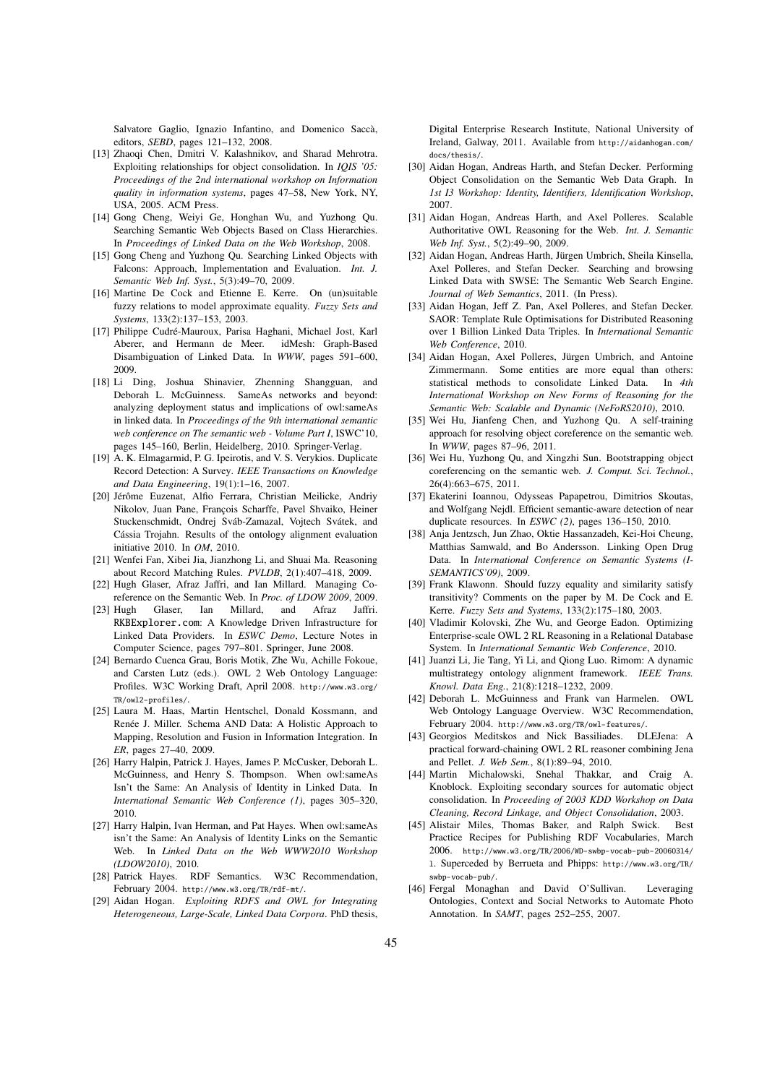Salvatore Gaglio, Ignazio Infantino, and Domenico Saccà, editors, *SEBD*, pages 121–132, 2008.

- [13] Zhaoqi Chen, Dmitri V. Kalashnikov, and Sharad Mehrotra. Exploiting relationships for object consolidation. In *IQIS '05: Proceedings of the 2nd international workshop on Information quality in information systems*, pages 47–58, New York, NY, USA, 2005. ACM Press.
- [14] Gong Cheng, Weiyi Ge, Honghan Wu, and Yuzhong Qu. Searching Semantic Web Objects Based on Class Hierarchies. In *Proceedings of Linked Data on the Web Workshop*, 2008.
- [15] Gong Cheng and Yuzhong Qu. Searching Linked Objects with Falcons: Approach, Implementation and Evaluation. *Int. J. Semantic Web Inf. Syst.*, 5(3):49–70, 2009.
- [16] Martine De Cock and Etienne E. Kerre. On (un)suitable fuzzy relations to model approximate equality. *Fuzzy Sets and Systems*, 133(2):137–153, 2003.
- [17] Philippe Cudré-Mauroux, Parisa Haghani, Michael Jost, Karl Aberer, and Hermann de Meer. idMesh: Graph-Based Disambiguation of Linked Data. In *WWW*, pages 591–600, 2009.
- [18] Li Ding, Joshua Shinavier, Zhenning Shangguan, and Deborah L. McGuinness. SameAs networks and beyond: analyzing deployment status and implications of owl:sameAs in linked data. In *Proceedings of the 9th international semantic web conference on The semantic web - Volume Part I*, ISWC'10, pages 145–160, Berlin, Heidelberg, 2010. Springer-Verlag.
- [19] A. K. Elmagarmid, P. G. Ipeirotis, and V. S. Verykios. Duplicate Record Detection: A Survey. *IEEE Transactions on Knowledge and Data Engineering*, 19(1):1–16, 2007.
- [20] Jérôme Euzenat, Alfio Ferrara, Christian Meilicke, Andriy Nikolov, Juan Pane, François Scharffe, Pavel Shvaiko, Heiner Stuckenschmidt, Ondrej Sváb-Zamazal, Vojtech Svátek, and Cássia Trojahn. Results of the ontology alignment evaluation initiative 2010. In *OM*, 2010.
- [21] Wenfei Fan, Xibei Jia, Jianzhong Li, and Shuai Ma. Reasoning about Record Matching Rules. *PVLDB*, 2(1):407–418, 2009.
- [22] Hugh Glaser, Afraz Jaffri, and Ian Millard. Managing Coreference on the Semantic Web. In *Proc. of LDOW 2009*, 2009.<br>[23] Hugh Glaser, Ian Millard, and Afraz Jaffri.
- Glaser, Ian Millard, and Afraz Jaffri. RKBExplorer.com: A Knowledge Driven Infrastructure for Linked Data Providers. In *ESWC Demo*, Lecture Notes in Computer Science, pages 797–801. Springer, June 2008.
- [24] Bernardo Cuenca Grau, Boris Motik, Zhe Wu, Achille Fokoue, and Carsten Lutz (eds.). OWL 2 Web Ontology Language: Profiles. W3C Working Draft, April 2008. http://www.w3.org/ TR/owl2-profiles/.
- [25] Laura M. Haas, Martin Hentschel, Donald Kossmann, and Renée J. Miller. Schema AND Data: A Holistic Approach to Mapping, Resolution and Fusion in Information Integration. In *ER*, pages 27–40, 2009.
- [26] Harry Halpin, Patrick J. Hayes, James P. McCusker, Deborah L. McGuinness, and Henry S. Thompson. When owl:sameAs Isn't the Same: An Analysis of Identity in Linked Data. In *International Semantic Web Conference (1)*, pages 305–320, 2010.
- [27] Harry Halpin, Ivan Herman, and Pat Hayes. When owl:sameAs isn't the Same: An Analysis of Identity Links on the Semantic Web. In *Linked Data on the Web WWW2010 Workshop (LDOW2010)*, 2010.
- [28] Patrick Hayes. RDF Semantics. W3C Recommendation, February 2004. http://www.w3.org/TR/rdf-mt/.
- [29] Aidan Hogan. *Exploiting RDFS and OWL for Integrating Heterogeneous, Large-Scale, Linked Data Corpora*. PhD thesis,

Digital Enterprise Research Institute, National University of Ireland, Galway, 2011. Available from http://aidanhogan.com/ docs/thesis/.

- [30] Aidan Hogan, Andreas Harth, and Stefan Decker. Performing Object Consolidation on the Semantic Web Data Graph. In *1st I3 Workshop: Identity, Identifiers, Identification Workshop*, 2007.
- [31] Aidan Hogan, Andreas Harth, and Axel Polleres. Scalable Authoritative OWL Reasoning for the Web. *Int. J. Semantic Web Inf. Syst.*, 5(2):49–90, 2009.
- [32] Aidan Hogan, Andreas Harth, Jürgen Umbrich, Sheila Kinsella, Axel Polleres, and Stefan Decker. Searching and browsing Linked Data with SWSE: The Semantic Web Search Engine. *Journal of Web Semantics*, 2011. (In Press).
- [33] Aidan Hogan, Jeff Z. Pan, Axel Polleres, and Stefan Decker. SAOR: Template Rule Optimisations for Distributed Reasoning over 1 Billion Linked Data Triples. In *International Semantic Web Conference*, 2010.
- [34] Aidan Hogan, Axel Polleres, Jürgen Umbrich, and Antoine Zimmermann. Some entities are more equal than others: statistical methods to consolidate Linked Data. In *4th International Workshop on New Forms of Reasoning for the Semantic Web: Scalable and Dynamic (NeFoRS2010)*, 2010.
- [35] Wei Hu, Jianfeng Chen, and Yuzhong Qu. A self-training approach for resolving object coreference on the semantic web. In *WWW*, pages 87–96, 2011.
- [36] Wei Hu, Yuzhong Qu, and Xingzhi Sun. Bootstrapping object coreferencing on the semantic web. *J. Comput. Sci. Technol.*, 26(4):663–675, 2011.
- [37] Ekaterini Ioannou, Odysseas Papapetrou, Dimitrios Skoutas, and Wolfgang Nejdl. Efficient semantic-aware detection of near duplicate resources. In *ESWC (2)*, pages 136–150, 2010.
- [38] Anja Jentzsch, Jun Zhao, Oktie Hassanzadeh, Kei-Hoi Cheung, Matthias Samwald, and Bo Andersson. Linking Open Drug Data. In *International Conference on Semantic Systems (I-SEMANTICS'09)*, 2009.
- [39] Frank Klawonn. Should fuzzy equality and similarity satisfy transitivity? Comments on the paper by M. De Cock and E. Kerre. *Fuzzy Sets and Systems*, 133(2):175–180, 2003.
- [40] Vladimir Kolovski, Zhe Wu, and George Eadon. Optimizing Enterprise-scale OWL 2 RL Reasoning in a Relational Database System. In *International Semantic Web Conference*, 2010.
- [41] Juanzi Li, Jie Tang, Yi Li, and Qiong Luo. Rimom: A dynamic multistrategy ontology alignment framework. *IEEE Trans. Knowl. Data Eng.*, 21(8):1218–1232, 2009.
- [42] Deborah L. McGuinness and Frank van Harmelen. OWL Web Ontology Language Overview. W3C Recommendation, February 2004. http://www.w3.org/TR/owl-features/.
- [43] Georgios Meditskos and Nick Bassiliades. DLEJena: A practical forward-chaining OWL 2 RL reasoner combining Jena and Pellet. *J. Web Sem.*, 8(1):89–94, 2010.
- [44] Martin Michalowski, Snehal Thakkar, and Craig A. Knoblock. Exploiting secondary sources for automatic object consolidation. In *Proceeding of 2003 KDD Workshop on Data Cleaning, Record Linkage, and Object Consolidation*, 2003.
- [45] Alistair Miles, Thomas Baker, and Ralph Swick. Best Practice Recipes for Publishing RDF Vocabularies, March 2006. http://www.w3.org/TR/2006/WD-swbp-vocab-pub-20060314/ <sup>l</sup>. Superceded by Berrueta and Phipps: http://www.w3.org/TR/ swbp-vocab-pub/.
- [46] Fergal Monaghan and David O'Sullivan. Leveraging Ontologies, Context and Social Networks to Automate Photo Annotation. In *SAMT*, pages 252–255, 2007.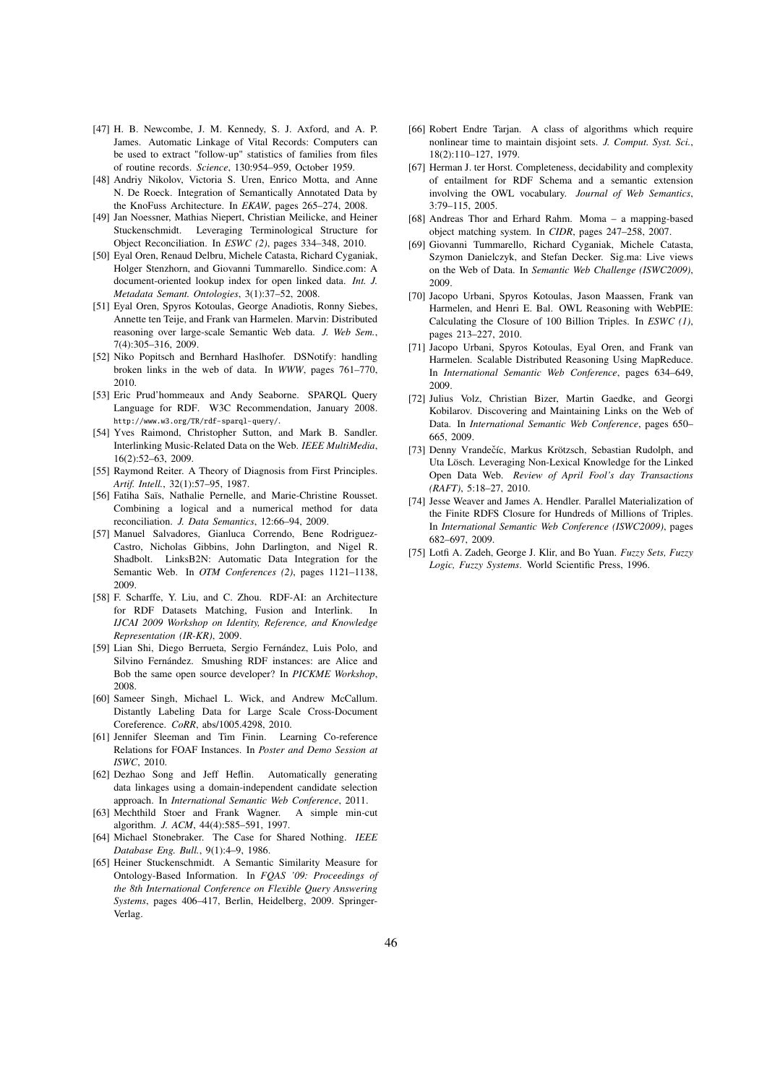- [47] H. B. Newcombe, J. M. Kennedy, S. J. Axford, and A. P. James. Automatic Linkage of Vital Records: Computers can be used to extract "follow-up" statistics of families from files of routine records. *Science*, 130:954–959, October 1959.
- [48] Andriy Nikolov, Victoria S. Uren, Enrico Motta, and Anne N. De Roeck. Integration of Semantically Annotated Data by the KnoFuss Architecture. In *EKAW*, pages 265–274, 2008.
- [49] Jan Noessner, Mathias Niepert, Christian Meilicke, and Heiner Stuckenschmidt. Leveraging Terminological Structure for Object Reconciliation. In *ESWC (2)*, pages 334–348, 2010.
- [50] Eyal Oren, Renaud Delbru, Michele Catasta, Richard Cyganiak, Holger Stenzhorn, and Giovanni Tummarello. Sindice.com: A document-oriented lookup index for open linked data. *Int. J. Metadata Semant. Ontologies*, 3(1):37–52, 2008.
- [51] Eyal Oren, Spyros Kotoulas, George Anadiotis, Ronny Siebes, Annette ten Teije, and Frank van Harmelen. Marvin: Distributed reasoning over large-scale Semantic Web data. *J. Web Sem.*, 7(4):305–316, 2009.
- [52] Niko Popitsch and Bernhard Haslhofer. DSNotify: handling broken links in the web of data. In *WWW*, pages 761–770, 2010.
- [53] Eric Prud'hommeaux and Andy Seaborne. SPARQL Query Language for RDF. W3C Recommendation, January 2008. http://www.w3.org/TR/rdf-sparql-query/.
- [54] Yves Raimond, Christopher Sutton, and Mark B. Sandler. Interlinking Music-Related Data on the Web. *IEEE MultiMedia*, 16(2):52–63, 2009.
- [55] Raymond Reiter. A Theory of Diagnosis from First Principles. *Artif. Intell.*, 32(1):57–95, 1987.
- [56] Fatiha Saïs, Nathalie Pernelle, and Marie-Christine Rousset. Combining a logical and a numerical method for data reconciliation. *J. Data Semantics*, 12:66–94, 2009.
- [57] Manuel Salvadores, Gianluca Correndo, Bene Rodriguez-Castro, Nicholas Gibbins, John Darlington, and Nigel R. Shadbolt. LinksB2N: Automatic Data Integration for the Semantic Web. In *OTM Conferences (2)*, pages 1121–1138, 2009.
- [58] F. Scharffe, Y. Liu, and C. Zhou. RDF-AI: an Architecture for RDF Datasets Matching, Fusion and Interlink. In *IJCAI 2009 Workshop on Identity, Reference, and Knowledge Representation (IR-KR)*, 2009.
- [59] Lian Shi, Diego Berrueta, Sergio Fernández, Luis Polo, and Silvino Fernández. Smushing RDF instances: are Alice and Bob the same open source developer? In *PICKME Workshop*, 2008.
- [60] Sameer Singh, Michael L. Wick, and Andrew McCallum. Distantly Labeling Data for Large Scale Cross-Document Coreference. *CoRR*, abs/1005.4298, 2010.
- [61] Jennifer Sleeman and Tim Finin. Learning Co-reference Relations for FOAF Instances. In *Poster and Demo Session at ISWC*, 2010.
- [62] Dezhao Song and Jeff Heflin. Automatically generating data linkages using a domain-independent candidate selection approach. In *International Semantic Web Conference*, 2011.
- [63] Mechthild Stoer and Frank Wagner. A simple min-cut algorithm. *J. ACM*, 44(4):585–591, 1997.
- [64] Michael Stonebraker. The Case for Shared Nothing. *IEEE Database Eng. Bull.*, 9(1):4–9, 1986.
- [65] Heiner Stuckenschmidt. A Semantic Similarity Measure for Ontology-Based Information. In *FQAS '09: Proceedings of the 8th International Conference on Flexible Query Answering Systems*, pages 406–417, Berlin, Heidelberg, 2009. Springer-Verlag.
- [66] Robert Endre Tarjan. A class of algorithms which require nonlinear time to maintain disjoint sets. *J. Comput. Syst. Sci.*, 18(2):110–127, 1979.
- [67] Herman J. ter Horst. Completeness, decidability and complexity of entailment for RDF Schema and a semantic extension involving the OWL vocabulary. *Journal of Web Semantics*, 3:79–115, 2005.
- [68] Andreas Thor and Erhard Rahm. Moma a mapping-based object matching system. In *CIDR*, pages 247–258, 2007.
- [69] Giovanni Tummarello, Richard Cyganiak, Michele Catasta, Szymon Danielczyk, and Stefan Decker. Sig.ma: Live views on the Web of Data. In *Semantic Web Challenge (ISWC2009)*, 2009.
- [70] Jacopo Urbani, Spyros Kotoulas, Jason Maassen, Frank van Harmelen, and Henri E. Bal. OWL Reasoning with WebPIE: Calculating the Closure of 100 Billion Triples. In *ESWC (1)*, pages 213–227, 2010.
- [71] Jacopo Urbani, Spyros Kotoulas, Eyal Oren, and Frank van Harmelen. Scalable Distributed Reasoning Using MapReduce. In *International Semantic Web Conference*, pages 634–649, 2009.
- [72] Julius Volz, Christian Bizer, Martin Gaedke, and Georgi Kobilarov. Discovering and Maintaining Links on the Web of Data. In *International Semantic Web Conference*, pages 650– 665, 2009.
- [73] Denny Vrandečíc, Markus Krötzsch, Sebastian Rudolph, and Uta Lösch. Leveraging Non-Lexical Knowledge for the Linked Open Data Web. *Review of April Fool's day Transactions (RAFT)*, 5:18–27, 2010.
- [74] Jesse Weaver and James A. Hendler. Parallel Materialization of the Finite RDFS Closure for Hundreds of Millions of Triples. In *International Semantic Web Conference (ISWC2009)*, pages 682–697, 2009.
- [75] Lotfi A. Zadeh, George J. Klir, and Bo Yuan. *Fuzzy Sets, Fuzzy Logic, Fuzzy Systems*. World Scientific Press, 1996.